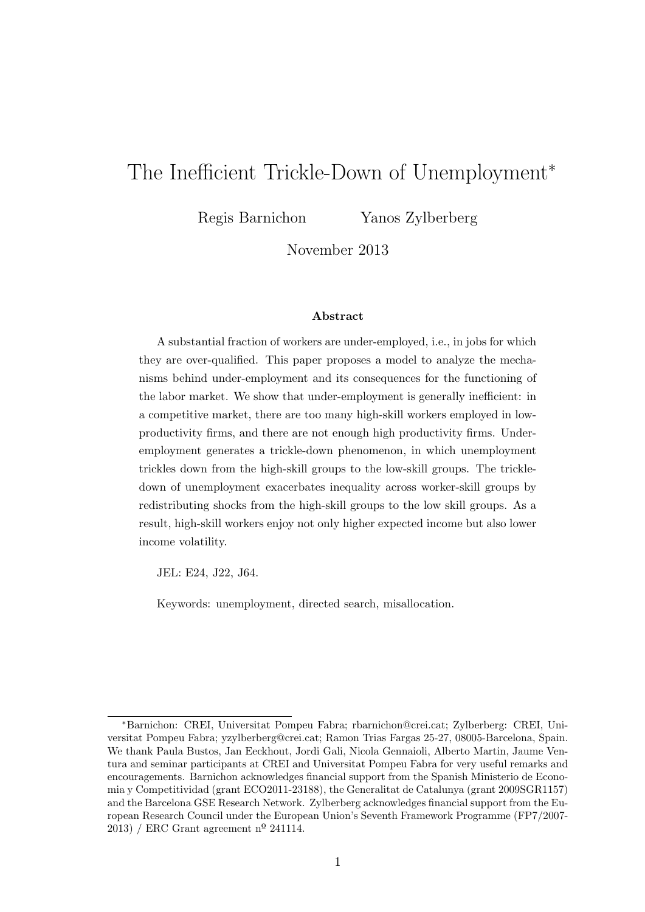# The Inefficient Trickle-Down of Unemployment<sup>\*</sup>

Regis Barnichon Yanos Zylberberg

November 2013

#### Abstract

A substantial fraction of workers are under-employed, i.e., in jobs for which they are over-qualified. This paper proposes a model to analyze the mechanisms behind under-employment and its consequences for the functioning of the labor market. We show that under-employment is generally inefficient: in a competitive market, there are too many high-skill workers employed in lowproductivity firms, and there are not enough high productivity firms. Underemployment generates a trickle-down phenomenon, in which unemployment trickles down from the high-skill groups to the low-skill groups. The trickledown of unemployment exacerbates inequality across worker-skill groups by redistributing shocks from the high-skill groups to the low skill groups. As a result, high-skill workers enjoy not only higher expected income but also lower income volatility.

JEL: E24, J22, J64.

Keywords: unemployment, directed search, misallocation.

<sup>∗</sup>Barnichon: CREI, Universitat Pompeu Fabra; rbarnichon@crei.cat; Zylberberg: CREI, Universitat Pompeu Fabra; yzylberberg@crei.cat; Ramon Trias Fargas 25-27, 08005-Barcelona, Spain. We thank Paula Bustos, Jan Eeckhout, Jordi Gali, Nicola Gennaioli, Alberto Martin, Jaume Ventura and seminar participants at CREI and Universitat Pompeu Fabra for very useful remarks and encouragements. Barnichon acknowledges financial support from the Spanish Ministerio de Economia y Competitividad (grant ECO2011-23188), the Generalitat de Catalunya (grant 2009SGR1157) and the Barcelona GSE Research Network. Zylberberg acknowledges financial support from the European Research Council under the European Union's Seventh Framework Programme (FP7/2007- 2013) / ERC Grant agreement nº 241114.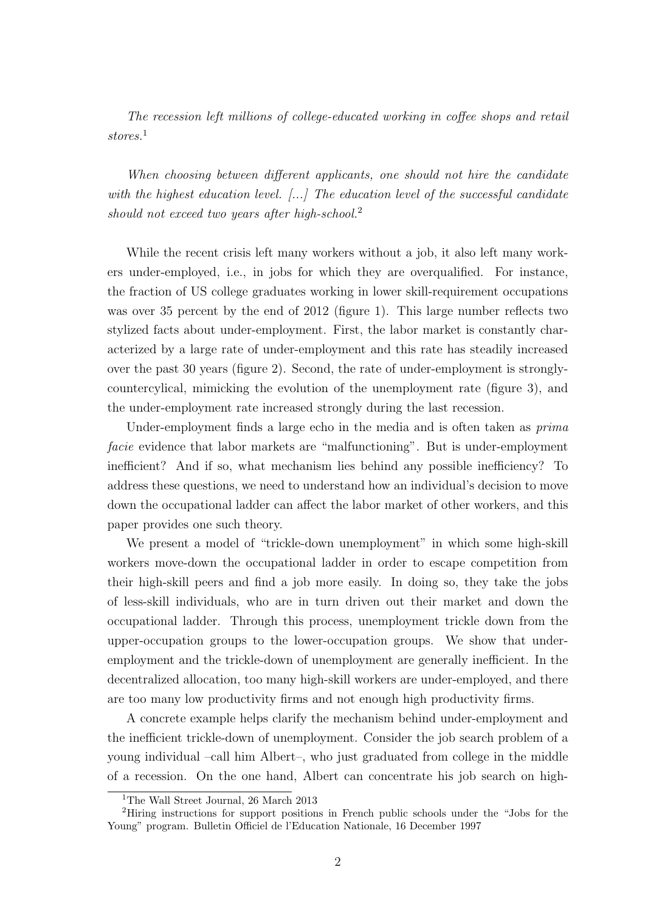The recession left millions of college-educated working in coffee shops and retail stores.<sup>1</sup>

When choosing between different applicants, one should not hire the candidate with the highest education level. [...] The education level of the successful candidate should not exceed two years after high-school.<sup>2</sup>

While the recent crisis left many workers without a job, it also left many workers under-employed, i.e., in jobs for which they are overqualified. For instance, the fraction of US college graduates working in lower skill-requirement occupations was over 35 percent by the end of 2012 (figure 1). This large number reflects two stylized facts about under-employment. First, the labor market is constantly characterized by a large rate of under-employment and this rate has steadily increased over the past 30 years (figure 2). Second, the rate of under-employment is stronglycountercylical, mimicking the evolution of the unemployment rate (figure 3), and the under-employment rate increased strongly during the last recession.

Under-employment finds a large echo in the media and is often taken as  $\textit{prima}$ facie evidence that labor markets are "malfunctioning". But is under-employment inefficient? And if so, what mechanism lies behind any possible inefficiency? To address these questions, we need to understand how an individual's decision to move down the occupational ladder can affect the labor market of other workers, and this paper provides one such theory.

We present a model of "trickle-down unemployment" in which some high-skill workers move-down the occupational ladder in order to escape competition from their high-skill peers and find a job more easily. In doing so, they take the jobs of less-skill individuals, who are in turn driven out their market and down the occupational ladder. Through this process, unemployment trickle down from the upper-occupation groups to the lower-occupation groups. We show that underemployment and the trickle-down of unemployment are generally inefficient. In the decentralized allocation, too many high-skill workers are under-employed, and there are too many low productivity firms and not enough high productivity firms.

A concrete example helps clarify the mechanism behind under-employment and the inefficient trickle-down of unemployment. Consider the job search problem of a young individual –call him Albert–, who just graduated from college in the middle of a recession. On the one hand, Albert can concentrate his job search on high-

<sup>&</sup>lt;sup>1</sup>The Wall Street Journal, 26 March 2013

<sup>2</sup>Hiring instructions for support positions in French public schools under the "Jobs for the Young" program. Bulletin Officiel de l'Education Nationale, 16 December 1997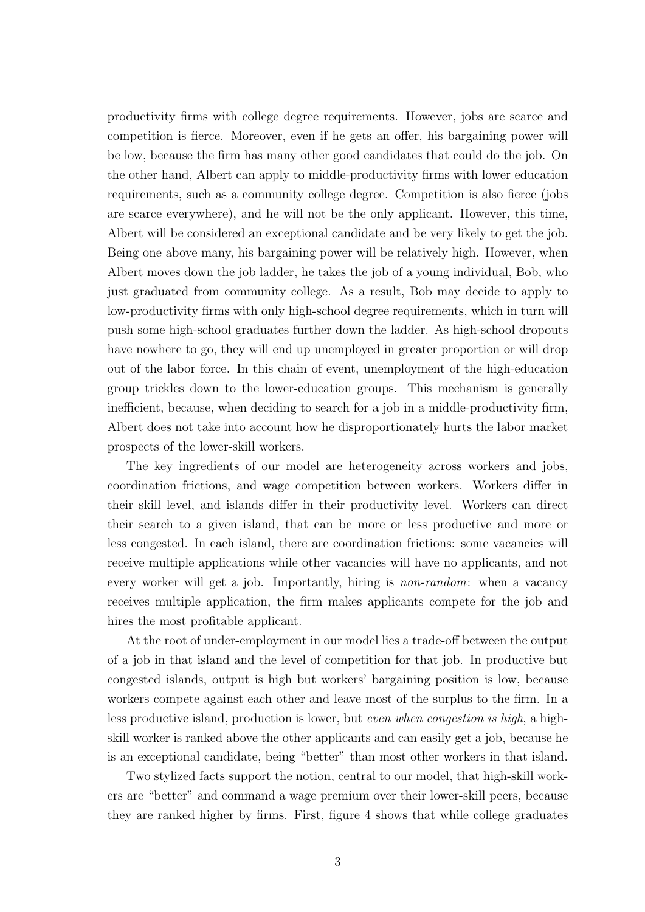productivity firms with college degree requirements. However, jobs are scarce and competition is fierce. Moreover, even if he gets an offer, his bargaining power will be low, because the firm has many other good candidates that could do the job. On the other hand, Albert can apply to middle-productivity firms with lower education requirements, such as a community college degree. Competition is also fierce (jobs are scarce everywhere), and he will not be the only applicant. However, this time, Albert will be considered an exceptional candidate and be very likely to get the job. Being one above many, his bargaining power will be relatively high. However, when Albert moves down the job ladder, he takes the job of a young individual, Bob, who just graduated from community college. As a result, Bob may decide to apply to low-productivity firms with only high-school degree requirements, which in turn will push some high-school graduates further down the ladder. As high-school dropouts have nowhere to go, they will end up unemployed in greater proportion or will drop out of the labor force. In this chain of event, unemployment of the high-education group trickles down to the lower-education groups. This mechanism is generally inefficient, because, when deciding to search for a job in a middle-productivity firm, Albert does not take into account how he disproportionately hurts the labor market prospects of the lower-skill workers.

The key ingredients of our model are heterogeneity across workers and jobs, coordination frictions, and wage competition between workers. Workers differ in their skill level, and islands differ in their productivity level. Workers can direct their search to a given island, that can be more or less productive and more or less congested. In each island, there are coordination frictions: some vacancies will receive multiple applications while other vacancies will have no applicants, and not every worker will get a job. Importantly, hiring is non-random: when a vacancy receives multiple application, the firm makes applicants compete for the job and hires the most profitable applicant.

At the root of under-employment in our model lies a trade-off between the output of a job in that island and the level of competition for that job. In productive but congested islands, output is high but workers' bargaining position is low, because workers compete against each other and leave most of the surplus to the firm. In a less productive island, production is lower, but even when congestion is high, a highskill worker is ranked above the other applicants and can easily get a job, because he is an exceptional candidate, being "better" than most other workers in that island.

Two stylized facts support the notion, central to our model, that high-skill workers are "better" and command a wage premium over their lower-skill peers, because they are ranked higher by firms. First, figure 4 shows that while college graduates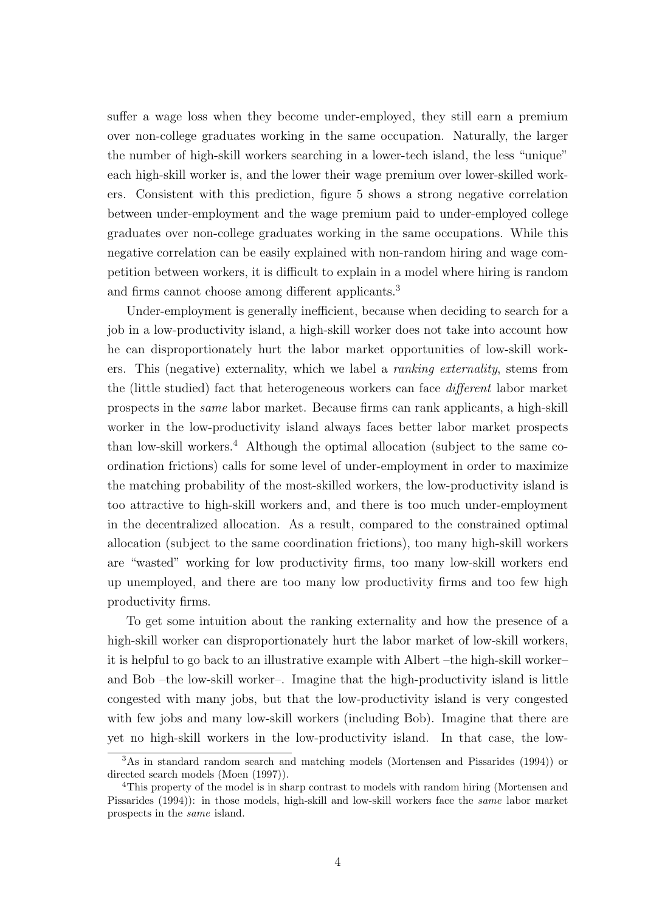suffer a wage loss when they become under-employed, they still earn a premium over non-college graduates working in the same occupation. Naturally, the larger the number of high-skill workers searching in a lower-tech island, the less "unique" each high-skill worker is, and the lower their wage premium over lower-skilled workers. Consistent with this prediction, figure 5 shows a strong negative correlation between under-employment and the wage premium paid to under-employed college graduates over non-college graduates working in the same occupations. While this negative correlation can be easily explained with non-random hiring and wage competition between workers, it is difficult to explain in a model where hiring is random and firms cannot choose among different applicants.<sup>3</sup>

Under-employment is generally inefficient, because when deciding to search for a job in a low-productivity island, a high-skill worker does not take into account how he can disproportionately hurt the labor market opportunities of low-skill workers. This (negative) externality, which we label a ranking externality, stems from the (little studied) fact that heterogeneous workers can face different labor market prospects in the same labor market. Because firms can rank applicants, a high-skill worker in the low-productivity island always faces better labor market prospects than low-skill workers.<sup>4</sup> Although the optimal allocation (subject to the same coordination frictions) calls for some level of under-employment in order to maximize the matching probability of the most-skilled workers, the low-productivity island is too attractive to high-skill workers and, and there is too much under-employment in the decentralized allocation. As a result, compared to the constrained optimal allocation (subject to the same coordination frictions), too many high-skill workers are "wasted" working for low productivity firms, too many low-skill workers end up unemployed, and there are too many low productivity firms and too few high productivity firms.

To get some intuition about the ranking externality and how the presence of a high-skill worker can disproportionately hurt the labor market of low-skill workers, it is helpful to go back to an illustrative example with Albert –the high-skill worker– and Bob –the low-skill worker–. Imagine that the high-productivity island is little congested with many jobs, but that the low-productivity island is very congested with few jobs and many low-skill workers (including Bob). Imagine that there are yet no high-skill workers in the low-productivity island. In that case, the low-

<sup>3</sup>As in standard random search and matching models (Mortensen and Pissarides (1994)) or directed search models (Moen (1997)).

<sup>4</sup>This property of the model is in sharp contrast to models with random hiring (Mortensen and Pissarides (1994)): in those models, high-skill and low-skill workers face the same labor market prospects in the same island.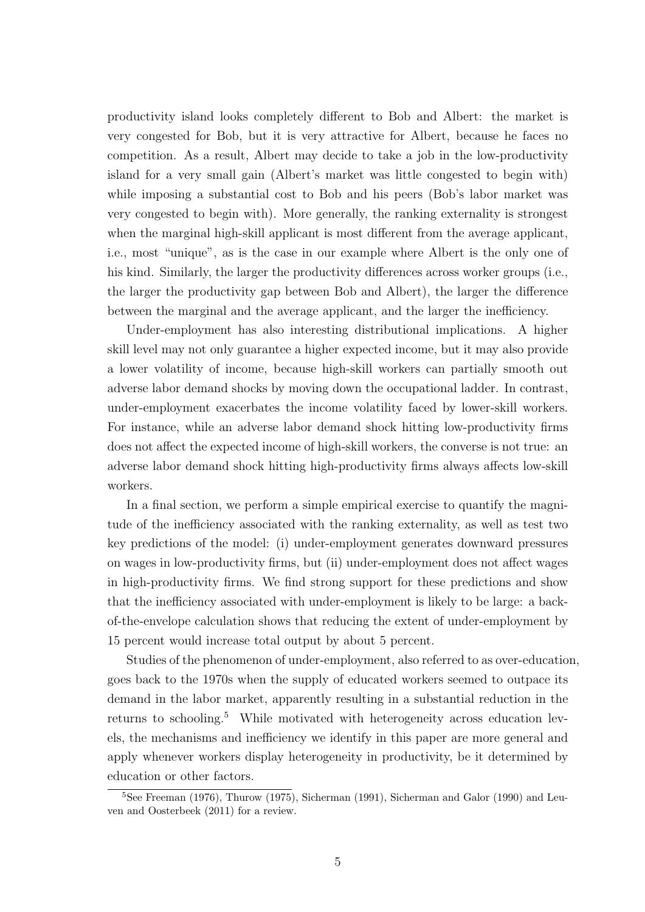productivity island looks completely different to Bob and Albert: the market is very congested for Bob, but it is very attractive for Albert, because he faces no competition. As a result, Albert may decide to take a job in the low-productivity island for a very small gain (Albert's market was little congested to begin with) while imposing a substantial cost to Bob and his peers (Bob's labor market was very congested to begin with). More generally, the ranking externality is strongest when the marginal high-skill applicant is most different from the average applicant, i.e., most "unique", as is the case in our example where Albert is the only one of his kind. Similarly, the larger the productivity differences across worker groups (i.e., the larger the productivity gap between Bob and Albert), the larger the difference between the marginal and the average applicant, and the larger the inefficiency.

Under-employment has also interesting distributional implications. A higher skill level may not only guarantee a higher expected income, but it may also provide a lower volatility of income, because high-skill workers can partially smooth out adverse labor demand shocks by moving down the occupational ladder. In contrast, under-employment exacerbates the income volatility faced by lower-skill workers. For instance, while an adverse labor demand shock hitting low-productivity firms does not affect the expected income of high-skill workers, the converse is not true: an adverse labor demand shock hitting high-productivity firms always affects low-skill workers.

In a final section, we perform a simple empirical exercise to quantify the magnitude of the inefficiency associated with the ranking externality, as well as test two key predictions of the model: (i) under-employment generates downward pressures on wages in low-productivity firms, but (ii) under-employment does not affect wages in high-productivity firms. We find strong support for these predictions and show that the inefficiency associated with under-employment is likely to be large: a backof-the-envelope calculation shows that reducing the extent of under-employment by 15 percent would increase total output by about 5 percent.

Studies of the phenomenon of under-employment, also referred to as over-education, goes back to the 1970s when the supply of educated workers seemed to outpace its demand in the labor market, apparently resulting in a substantial reduction in the returns to schooling.<sup>5</sup> While motivated with heterogeneity across education levels, the mechanisms and inefficiency we identify in this paper are more general and apply whenever workers display heterogeneity in productivity, be it determined by education or other factors.

<sup>&</sup>lt;sup>5</sup>See Freeman (1976), Thurow (1975), Sicherman (1991), Sicherman and Galor (1990) and Leuven and Oosterbeek (2011) for a review.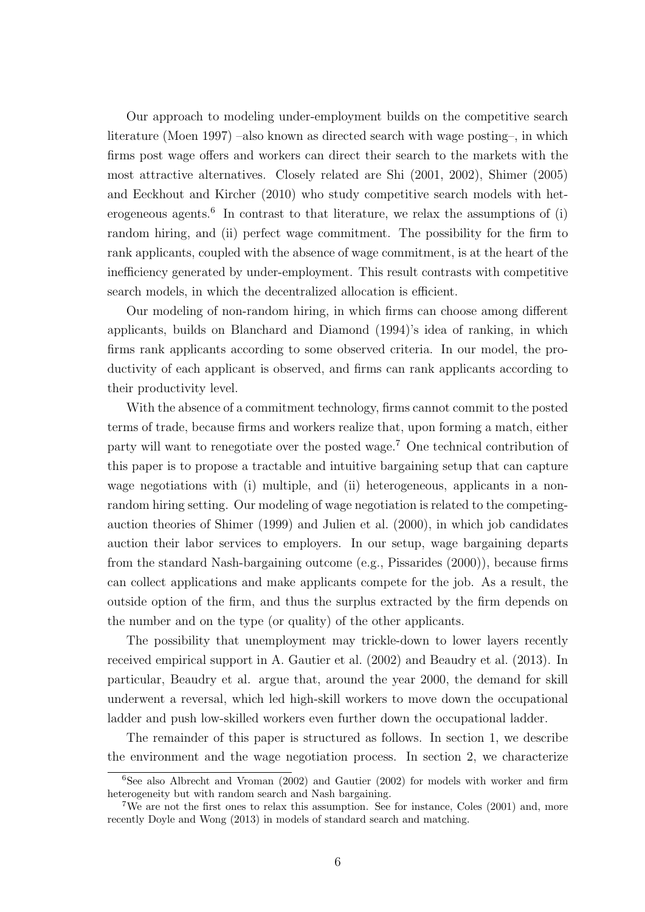Our approach to modeling under-employment builds on the competitive search literature (Moen 1997) –also known as directed search with wage posting–, in which firms post wage offers and workers can direct their search to the markets with the most attractive alternatives. Closely related are Shi (2001, 2002), Shimer (2005) and Eeckhout and Kircher (2010) who study competitive search models with heterogeneous agents.<sup>6</sup> In contrast to that literature, we relax the assumptions of  $(i)$ random hiring, and (ii) perfect wage commitment. The possibility for the firm to rank applicants, coupled with the absence of wage commitment, is at the heart of the inefficiency generated by under-employment. This result contrasts with competitive search models, in which the decentralized allocation is efficient.

Our modeling of non-random hiring, in which firms can choose among different applicants, builds on Blanchard and Diamond (1994)'s idea of ranking, in which firms rank applicants according to some observed criteria. In our model, the productivity of each applicant is observed, and firms can rank applicants according to their productivity level.

With the absence of a commitment technology, firms cannot commit to the posted terms of trade, because firms and workers realize that, upon forming a match, either party will want to renegotiate over the posted wage.<sup>7</sup> One technical contribution of this paper is to propose a tractable and intuitive bargaining setup that can capture wage negotiations with (i) multiple, and (ii) heterogeneous, applicants in a nonrandom hiring setting. Our modeling of wage negotiation is related to the competingauction theories of Shimer (1999) and Julien et al. (2000), in which job candidates auction their labor services to employers. In our setup, wage bargaining departs from the standard Nash-bargaining outcome (e.g., Pissarides (2000)), because firms can collect applications and make applicants compete for the job. As a result, the outside option of the firm, and thus the surplus extracted by the firm depends on the number and on the type (or quality) of the other applicants.

The possibility that unemployment may trickle-down to lower layers recently received empirical support in A. Gautier et al. (2002) and Beaudry et al. (2013). In particular, Beaudry et al. argue that, around the year 2000, the demand for skill underwent a reversal, which led high-skill workers to move down the occupational ladder and push low-skilled workers even further down the occupational ladder.

The remainder of this paper is structured as follows. In section 1, we describe the environment and the wage negotiation process. In section 2, we characterize

 $6$ See also Albrecht and Vroman (2002) and Gautier (2002) for models with worker and firm heterogeneity but with random search and Nash bargaining.

<sup>7</sup>We are not the first ones to relax this assumption. See for instance, Coles (2001) and, more recently Doyle and Wong (2013) in models of standard search and matching.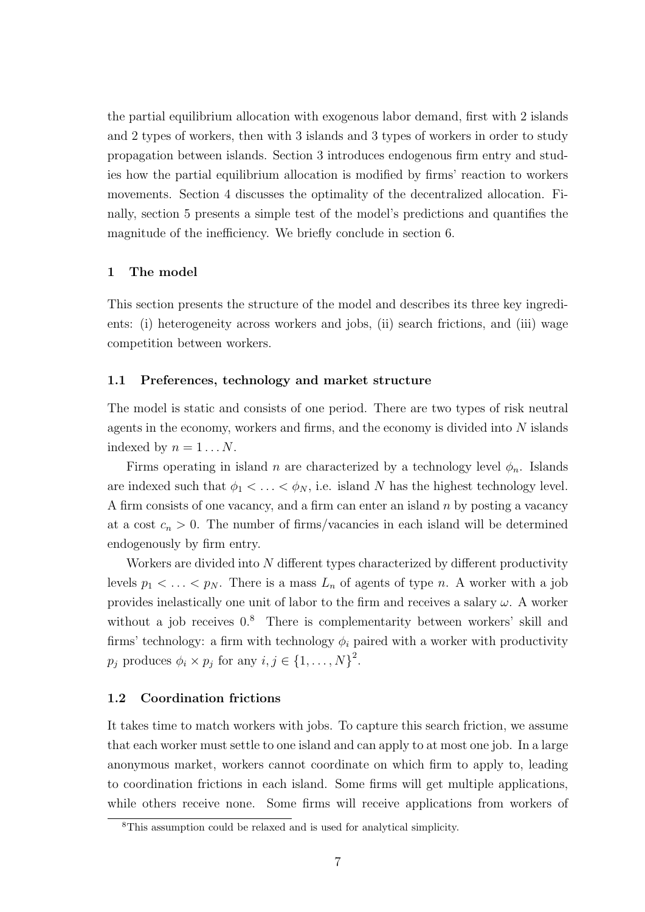the partial equilibrium allocation with exogenous labor demand, first with 2 islands and 2 types of workers, then with 3 islands and 3 types of workers in order to study propagation between islands. Section 3 introduces endogenous firm entry and studies how the partial equilibrium allocation is modified by firms' reaction to workers movements. Section 4 discusses the optimality of the decentralized allocation. Finally, section 5 presents a simple test of the model's predictions and quantifies the magnitude of the inefficiency. We briefly conclude in section 6.

# 1 The model

This section presents the structure of the model and describes its three key ingredients: (i) heterogeneity across workers and jobs, (ii) search frictions, and (iii) wage competition between workers.

#### 1.1 Preferences, technology and market structure

The model is static and consists of one period. There are two types of risk neutral agents in the economy, workers and firms, and the economy is divided into N islands indexed by  $n = 1 \dots N$ .

Firms operating in island n are characterized by a technology level  $\phi_n$ . Islands are indexed such that  $\phi_1 < \ldots < \phi_N$ , i.e. island N has the highest technology level. A firm consists of one vacancy, and a firm can enter an island  $n$  by posting a vacancy at a cost  $c_n > 0$ . The number of firms/vacancies in each island will be determined endogenously by firm entry.

Workers are divided into N different types characterized by different productivity levels  $p_1 < \ldots < p_N$ . There is a mass  $L_n$  of agents of type n. A worker with a job provides inelastically one unit of labor to the firm and receives a salary  $\omega$ . A worker without a job receives  $0.8$  There is complementarity between workers' skill and firms' technology: a firm with technology  $\phi_i$  paired with a worker with productivity  $p_j$  produces  $\phi_i \times p_j$  for any  $i, j \in \{1, ..., N\}^2$ .

#### 1.2 Coordination frictions

It takes time to match workers with jobs. To capture this search friction, we assume that each worker must settle to one island and can apply to at most one job. In a large anonymous market, workers cannot coordinate on which firm to apply to, leading to coordination frictions in each island. Some firms will get multiple applications, while others receive none. Some firms will receive applications from workers of

<sup>8</sup>This assumption could be relaxed and is used for analytical simplicity.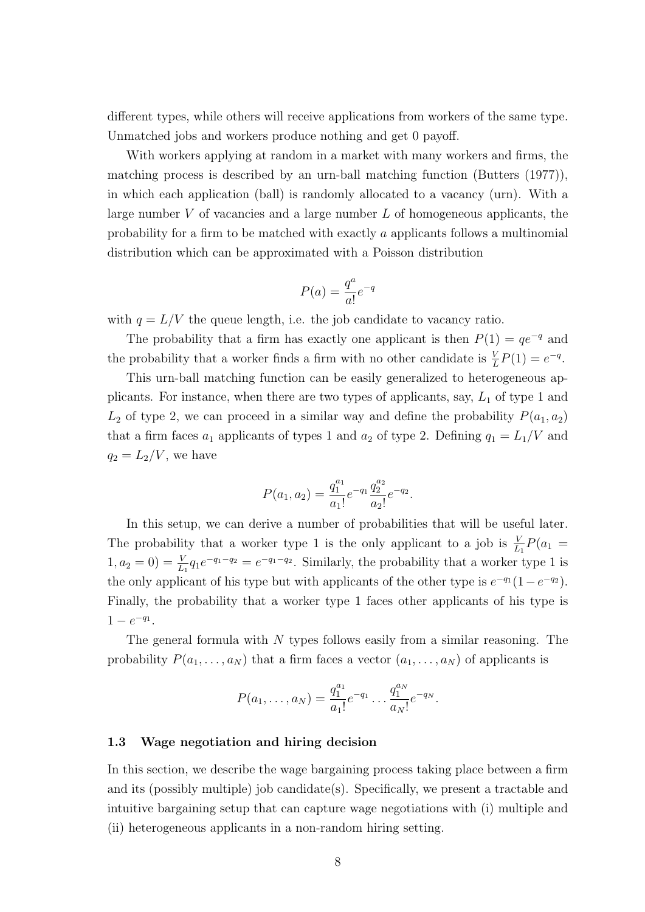different types, while others will receive applications from workers of the same type. Unmatched jobs and workers produce nothing and get 0 payoff.

With workers applying at random in a market with many workers and firms, the matching process is described by an urn-ball matching function (Butters (1977)), in which each application (ball) is randomly allocated to a vacancy (urn). With a large number  $V$  of vacancies and a large number  $L$  of homogeneous applicants, the probability for a firm to be matched with exactly a applicants follows a multinomial distribution which can be approximated with a Poisson distribution

$$
P(a) = \frac{q^a}{a!}e^{-q}
$$

with  $q = L/V$  the queue length, i.e. the job candidate to vacancy ratio.

The probability that a firm has exactly one applicant is then  $P(1) = qe^{-q}$  and the probability that a worker finds a firm with no other candidate is  $\frac{V}{L}P(1) = e^{-q}$ .

This urn-ball matching function can be easily generalized to heterogeneous applicants. For instance, when there are two types of applicants, say,  $L_1$  of type 1 and  $L_2$  of type 2, we can proceed in a similar way and define the probability  $P(a_1, a_2)$ that a firm faces  $a_1$  applicants of types 1 and  $a_2$  of type 2. Defining  $q_1 = L_1/V$  and  $q_2 = L_2/V$ , we have

$$
P(a_1, a_2) = \frac{q_1^{a_1}}{a_1!} e^{-q_1} \frac{q_2^{a_2}}{a_2!} e^{-q_2}.
$$

In this setup, we can derive a number of probabilities that will be useful later. The probability that a worker type 1 is the only applicant to a job is  $\frac{V}{L_1}P(a_1 =$  $(1, a_2 = 0) = \frac{V}{L_1} q_1 e^{-q_1 - q_2} = e^{-q_1 - q_2}$ . Similarly, the probability that a worker type 1 is the only applicant of his type but with applicants of the other type is  $e^{-q_1}(1-e^{-q_2})$ . Finally, the probability that a worker type 1 faces other applicants of his type is  $1 - e^{-q_1}.$ 

The general formula with  $N$  types follows easily from a similar reasoning. The probability  $P(a_1, \ldots, a_N)$  that a firm faces a vector  $(a_1, \ldots, a_N)$  of applicants is

$$
P(a_1,\ldots,a_N) = \frac{q_1^{a_1}}{a_1!}e^{-q_1}\ldots\frac{q_1^{a_N}}{a_N!}e^{-q_N}.
$$

# 1.3 Wage negotiation and hiring decision

In this section, we describe the wage bargaining process taking place between a firm and its (possibly multiple) job candidate(s). Specifically, we present a tractable and intuitive bargaining setup that can capture wage negotiations with (i) multiple and (ii) heterogeneous applicants in a non-random hiring setting.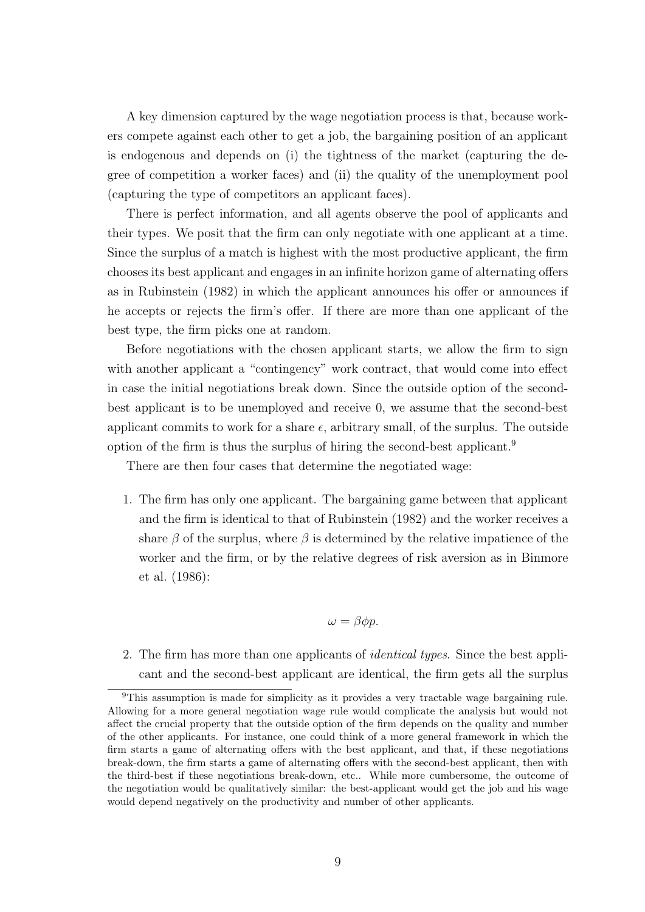A key dimension captured by the wage negotiation process is that, because workers compete against each other to get a job, the bargaining position of an applicant is endogenous and depends on (i) the tightness of the market (capturing the degree of competition a worker faces) and (ii) the quality of the unemployment pool (capturing the type of competitors an applicant faces).

There is perfect information, and all agents observe the pool of applicants and their types. We posit that the firm can only negotiate with one applicant at a time. Since the surplus of a match is highest with the most productive applicant, the firm chooses its best applicant and engages in an infinite horizon game of alternating offers as in Rubinstein (1982) in which the applicant announces his offer or announces if he accepts or rejects the firm's offer. If there are more than one applicant of the best type, the firm picks one at random.

Before negotiations with the chosen applicant starts, we allow the firm to sign with another applicant a "contingency" work contract, that would come into effect in case the initial negotiations break down. Since the outside option of the secondbest applicant is to be unemployed and receive 0, we assume that the second-best applicant commits to work for a share  $\epsilon$ , arbitrary small, of the surplus. The outside option of the firm is thus the surplus of hiring the second-best applicant.<sup>9</sup>

There are then four cases that determine the negotiated wage:

1. The firm has only one applicant. The bargaining game between that applicant and the firm is identical to that of Rubinstein (1982) and the worker receives a share  $\beta$  of the surplus, where  $\beta$  is determined by the relative impatience of the worker and the firm, or by the relative degrees of risk aversion as in Binmore et al. (1986):

# $\omega = \beta \phi p$ .

2. The firm has more than one applicants of identical types. Since the best applicant and the second-best applicant are identical, the firm gets all the surplus

<sup>&</sup>lt;sup>9</sup>This assumption is made for simplicity as it provides a very tractable wage bargaining rule. Allowing for a more general negotiation wage rule would complicate the analysis but would not affect the crucial property that the outside option of the firm depends on the quality and number of the other applicants. For instance, one could think of a more general framework in which the firm starts a game of alternating offers with the best applicant, and that, if these negotiations break-down, the firm starts a game of alternating offers with the second-best applicant, then with the third-best if these negotiations break-down, etc.. While more cumbersome, the outcome of the negotiation would be qualitatively similar: the best-applicant would get the job and his wage would depend negatively on the productivity and number of other applicants.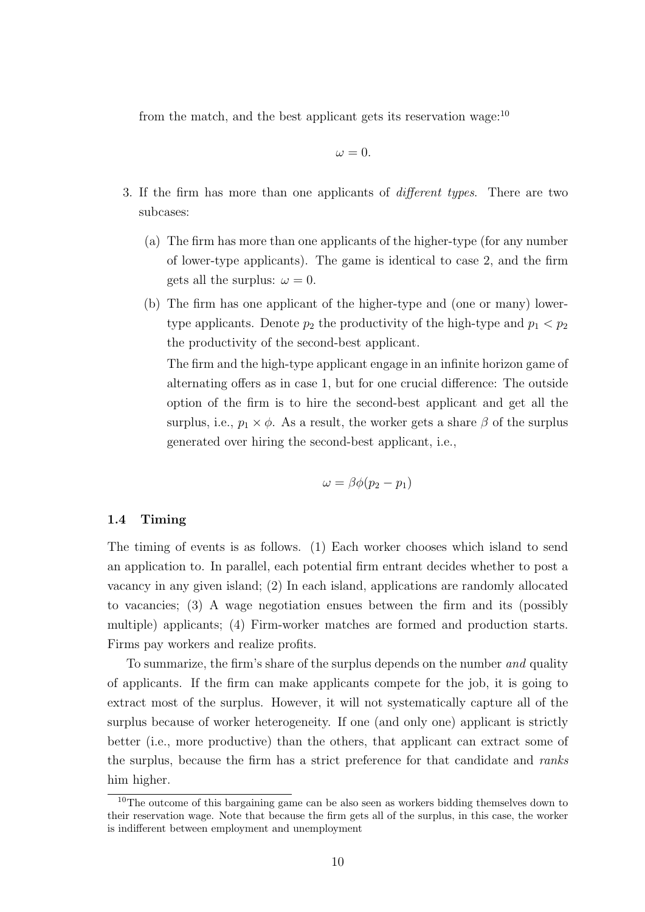from the match, and the best applicant gets its reservation wage:<sup>10</sup>

$$
\omega = 0.
$$

- 3. If the firm has more than one applicants of different types. There are two subcases:
	- (a) The firm has more than one applicants of the higher-type (for any number of lower-type applicants). The game is identical to case 2, and the firm gets all the surplus:  $\omega = 0$ .
	- (b) The firm has one applicant of the higher-type and (one or many) lowertype applicants. Denote  $p_2$  the productivity of the high-type and  $p_1 < p_2$ the productivity of the second-best applicant.

The firm and the high-type applicant engage in an infinite horizon game of alternating offers as in case 1, but for one crucial difference: The outside option of the firm is to hire the second-best applicant and get all the surplus, i.e.,  $p_1 \times \phi$ . As a result, the worker gets a share  $\beta$  of the surplus generated over hiring the second-best applicant, i.e.,

$$
\omega = \beta \phi(p_2 - p_1)
$$

# 1.4 Timing

The timing of events is as follows. (1) Each worker chooses which island to send an application to. In parallel, each potential firm entrant decides whether to post a vacancy in any given island; (2) In each island, applications are randomly allocated to vacancies; (3) A wage negotiation ensues between the firm and its (possibly multiple) applicants; (4) Firm-worker matches are formed and production starts. Firms pay workers and realize profits.

To summarize, the firm's share of the surplus depends on the number and quality of applicants. If the firm can make applicants compete for the job, it is going to extract most of the surplus. However, it will not systematically capture all of the surplus because of worker heterogeneity. If one (and only one) applicant is strictly better (i.e., more productive) than the others, that applicant can extract some of the surplus, because the firm has a strict preference for that candidate and ranks him higher.

<sup>&</sup>lt;sup>10</sup>The outcome of this bargaining game can be also seen as workers bidding themselves down to their reservation wage. Note that because the firm gets all of the surplus, in this case, the worker is indifferent between employment and unemployment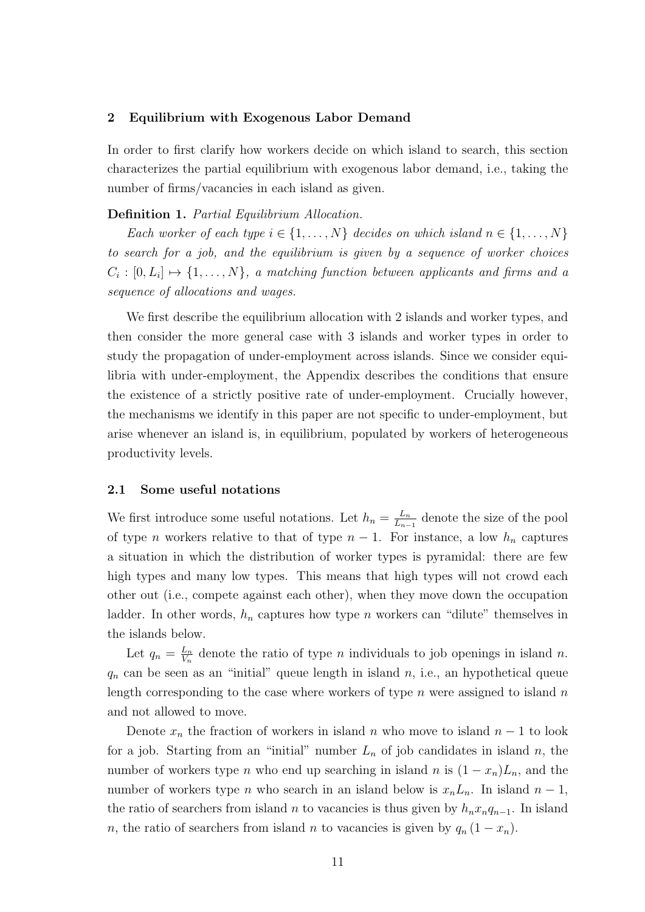## 2 Equilibrium with Exogenous Labor Demand

In order to first clarify how workers decide on which island to search, this section characterizes the partial equilibrium with exogenous labor demand, i.e., taking the number of firms/vacancies in each island as given.

## Definition 1. Partial Equilibrium Allocation.

Each worker of each type  $i \in \{1, \ldots, N\}$  decides on which island  $n \in \{1, \ldots, N\}$ to search for a job, and the equilibrium is given by a sequence of worker choices  $C_i: [0, L_i] \mapsto \{1, \ldots, N\},$  a matching function between applicants and firms and a sequence of allocations and wages.

We first describe the equilibrium allocation with 2 islands and worker types, and then consider the more general case with 3 islands and worker types in order to study the propagation of under-employment across islands. Since we consider equilibria with under-employment, the Appendix describes the conditions that ensure the existence of a strictly positive rate of under-employment. Crucially however, the mechanisms we identify in this paper are not specific to under-employment, but arise whenever an island is, in equilibrium, populated by workers of heterogeneous productivity levels.

#### 2.1 Some useful notations

We first introduce some useful notations. Let  $h_n = \frac{L_n}{L_n}$  $\frac{L_n}{L_{n-1}}$  denote the size of the pool of type n workers relative to that of type  $n-1$ . For instance, a low  $h_n$  captures a situation in which the distribution of worker types is pyramidal: there are few high types and many low types. This means that high types will not crowd each other out (i.e., compete against each other), when they move down the occupation ladder. In other words,  $h_n$  captures how type n workers can "dilute" themselves in the islands below.

Let  $q_n = \frac{L_n}{V_n}$  $\frac{L_n}{V_n}$  denote the ratio of type *n* individuals to job openings in island *n*.  $q_n$  can be seen as an "initial" queue length in island  $n$ , i.e., an hypothetical queue length corresponding to the case where workers of type  $n$  were assigned to island  $n$ and not allowed to move.

Denote  $x_n$  the fraction of workers in island n who move to island  $n-1$  to look for a job. Starting from an "initial" number  $L_n$  of job candidates in island n, the number of workers type *n* who end up searching in island *n* is  $(1 - x_n)L_n$ , and the number of workers type *n* who search in an island below is  $x_nL_n$ . In island  $n-1$ , the ratio of searchers from island *n* to vacancies is thus given by  $h_nx_nq_{n-1}$ . In island n, the ratio of searchers from island n to vacancies is given by  $q_n (1 - x_n)$ .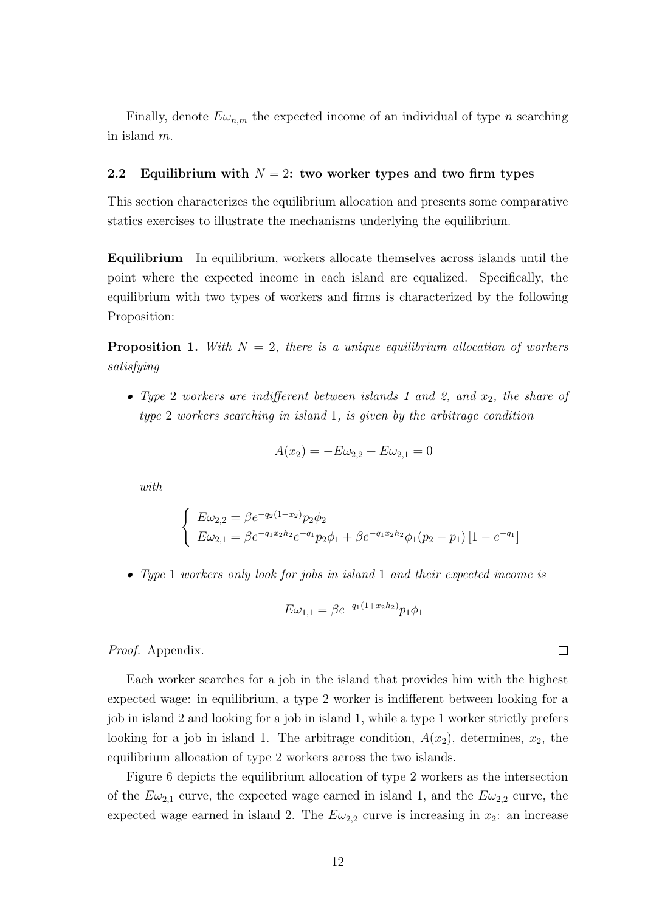Finally, denote  $E\omega_{n,m}$  the expected income of an individual of type *n* searching in island m.

# 2.2 Equilibrium with  $N = 2$ : two worker types and two firm types

This section characterizes the equilibrium allocation and presents some comparative statics exercises to illustrate the mechanisms underlying the equilibrium.

Equilibrium In equilibrium, workers allocate themselves across islands until the point where the expected income in each island are equalized. Specifically, the equilibrium with two types of workers and firms is characterized by the following Proposition:

**Proposition 1.** With  $N = 2$ , there is a unique equilibrium allocation of workers satisfying

• Type 2 workers are indifferent between islands 1 and 2, and  $x_2$ , the share of type 2 workers searching in island 1, is given by the arbitrage condition

$$
A(x_2) = -E\omega_{2,2} + E\omega_{2,1} = 0
$$

with

$$
\begin{cases}\nE\omega_{2,2} = \beta e^{-q_2(1-x_2)} p_2 \phi_2 \\
E\omega_{2,1} = \beta e^{-q_1x_2h_2} e^{-q_1} p_2 \phi_1 + \beta e^{-q_1x_2h_2} \phi_1(p_2 - p_1) \left[1 - e^{-q_1}\right]\n\end{cases}
$$

• Type 1 workers only look for jobs in island 1 and their expected income is

$$
E\omega_{1,1} = \beta e^{-q_1(1+x_2h_2)}p_1\phi_1
$$

Proof. Appendix.

Each worker searches for a job in the island that provides him with the highest expected wage: in equilibrium, a type 2 worker is indifferent between looking for a job in island 2 and looking for a job in island 1, while a type 1 worker strictly prefers looking for a job in island 1. The arbitrage condition,  $A(x_2)$ , determines,  $x_2$ , the equilibrium allocation of type 2 workers across the two islands.

Figure 6 depicts the equilibrium allocation of type 2 workers as the intersection of the  $E\omega_{2,1}$  curve, the expected wage earned in island 1, and the  $E\omega_{2,2}$  curve, the expected wage earned in island 2. The  $E\omega_{2,2}$  curve is increasing in  $x_2$ : an increase

 $\Box$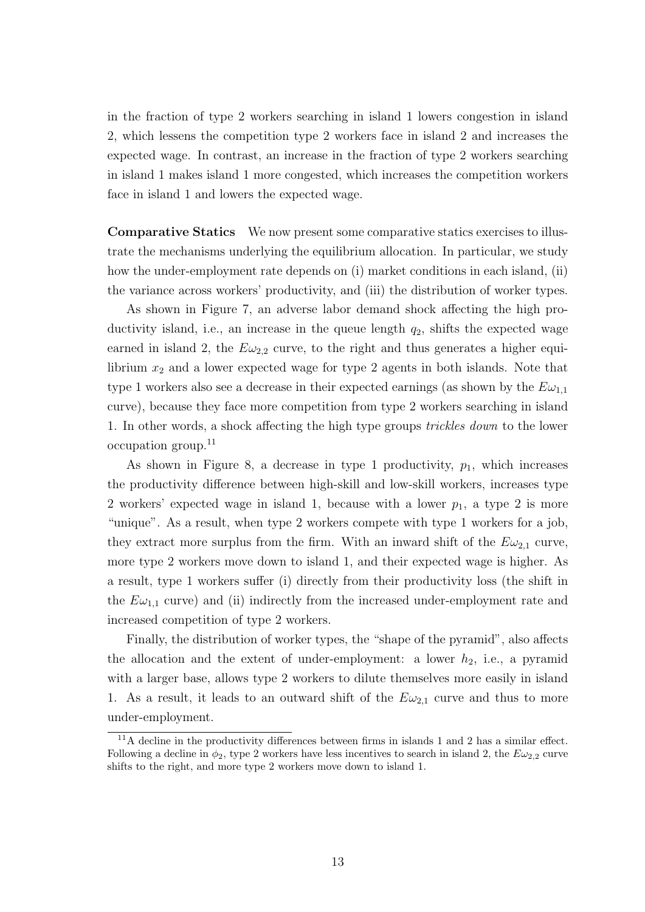in the fraction of type 2 workers searching in island 1 lowers congestion in island 2, which lessens the competition type 2 workers face in island 2 and increases the expected wage. In contrast, an increase in the fraction of type 2 workers searching in island 1 makes island 1 more congested, which increases the competition workers face in island 1 and lowers the expected wage.

Comparative Statics We now present some comparative statics exercises to illustrate the mechanisms underlying the equilibrium allocation. In particular, we study how the under-employment rate depends on (i) market conditions in each island, (ii) the variance across workers' productivity, and (iii) the distribution of worker types.

As shown in Figure 7, an adverse labor demand shock affecting the high productivity island, i.e., an increase in the queue length  $q_2$ , shifts the expected wage earned in island 2, the  $E\omega_{2,2}$  curve, to the right and thus generates a higher equilibrium  $x_2$  and a lower expected wage for type 2 agents in both islands. Note that type 1 workers also see a decrease in their expected earnings (as shown by the  $E\omega_{1,1}$ curve), because they face more competition from type 2 workers searching in island 1. In other words, a shock affecting the high type groups trickles down to the lower occupation group.<sup>11</sup>

As shown in Figure 8, a decrease in type 1 productivity,  $p_1$ , which increases the productivity difference between high-skill and low-skill workers, increases type 2 workers' expected wage in island 1, because with a lower  $p_1$ , a type 2 is more "unique". As a result, when type 2 workers compete with type 1 workers for a job, they extract more surplus from the firm. With an inward shift of the  $E\omega_{2,1}$  curve, more type 2 workers move down to island 1, and their expected wage is higher. As a result, type 1 workers suffer (i) directly from their productivity loss (the shift in the  $E\omega_{1,1}$  curve) and (ii) indirectly from the increased under-employment rate and increased competition of type 2 workers.

Finally, the distribution of worker types, the "shape of the pyramid", also affects the allocation and the extent of under-employment: a lower  $h_2$ , i.e., a pyramid with a larger base, allows type 2 workers to dilute themselves more easily in island 1. As a result, it leads to an outward shift of the  $E\omega_{2,1}$  curve and thus to more under-employment.

<sup>&</sup>lt;sup>11</sup>A decline in the productivity differences between firms in islands 1 and 2 has a similar effect. Following a decline in  $\phi_2$ , type 2 workers have less incentives to search in island 2, the  $E\omega_{2,2}$  curve shifts to the right, and more type 2 workers move down to island 1.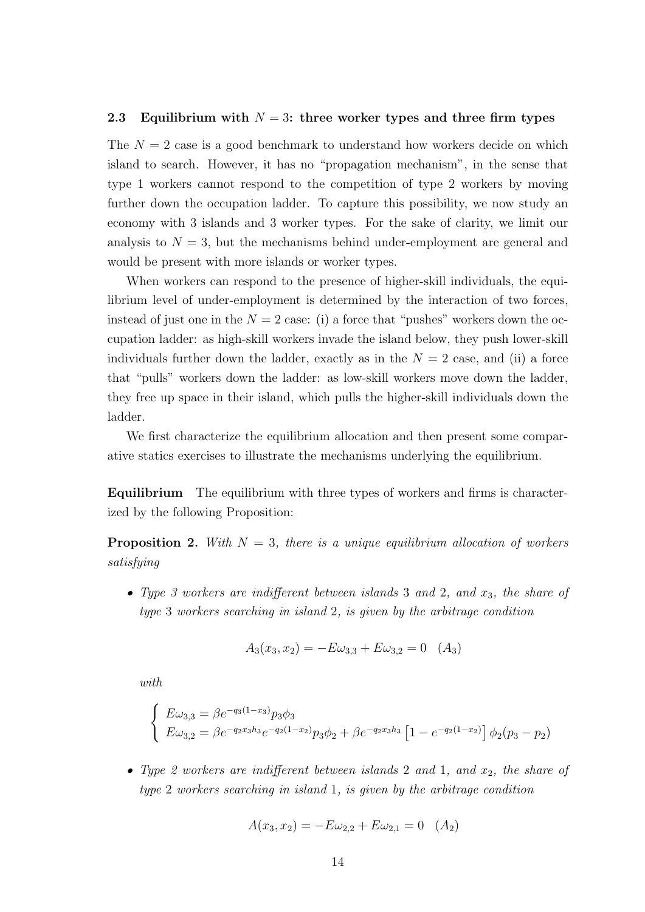#### 2.3 Equilibrium with  $N = 3$ : three worker types and three firm types

The  $N = 2$  case is a good benchmark to understand how workers decide on which island to search. However, it has no "propagation mechanism", in the sense that type 1 workers cannot respond to the competition of type 2 workers by moving further down the occupation ladder. To capture this possibility, we now study an economy with 3 islands and 3 worker types. For the sake of clarity, we limit our analysis to  $N = 3$ , but the mechanisms behind under-employment are general and would be present with more islands or worker types.

When workers can respond to the presence of higher-skill individuals, the equilibrium level of under-employment is determined by the interaction of two forces, instead of just one in the  $N = 2$  case: (i) a force that "pushes" workers down the occupation ladder: as high-skill workers invade the island below, they push lower-skill individuals further down the ladder, exactly as in the  $N = 2$  case, and (ii) a force that "pulls" workers down the ladder: as low-skill workers move down the ladder, they free up space in their island, which pulls the higher-skill individuals down the ladder.

We first characterize the equilibrium allocation and then present some comparative statics exercises to illustrate the mechanisms underlying the equilibrium.

Equilibrium The equilibrium with three types of workers and firms is characterized by the following Proposition:

**Proposition 2.** With  $N = 3$ , there is a unique equilibrium allocation of workers satisfying

• Type 3 workers are indifferent between islands 3 and 2, and  $x_3$ , the share of type 3 workers searching in island 2, is given by the arbitrage condition

$$
A_3(x_3, x_2) = -E\omega_{3,3} + E\omega_{3,2} = 0 \quad (A_3)
$$

with

$$
\begin{cases}\nE\omega_{3,3} = \beta e^{-q_3(1-x_3)} p_3 \phi_3 \\
E\omega_{3,2} = \beta e^{-q_2 x_3 h_3} e^{-q_2(1-x_2)} p_3 \phi_2 + \beta e^{-q_2 x_3 h_3} \left[1 - e^{-q_2(1-x_2)}\right] \phi_2(p_3 - p_2)\n\end{cases}
$$

• Type 2 workers are indifferent between islands 2 and 1, and  $x_2$ , the share of type 2 workers searching in island 1, is given by the arbitrage condition

$$
A(x_3, x_2) = -E\omega_{2,2} + E\omega_{2,1} = 0 \quad (A_2)
$$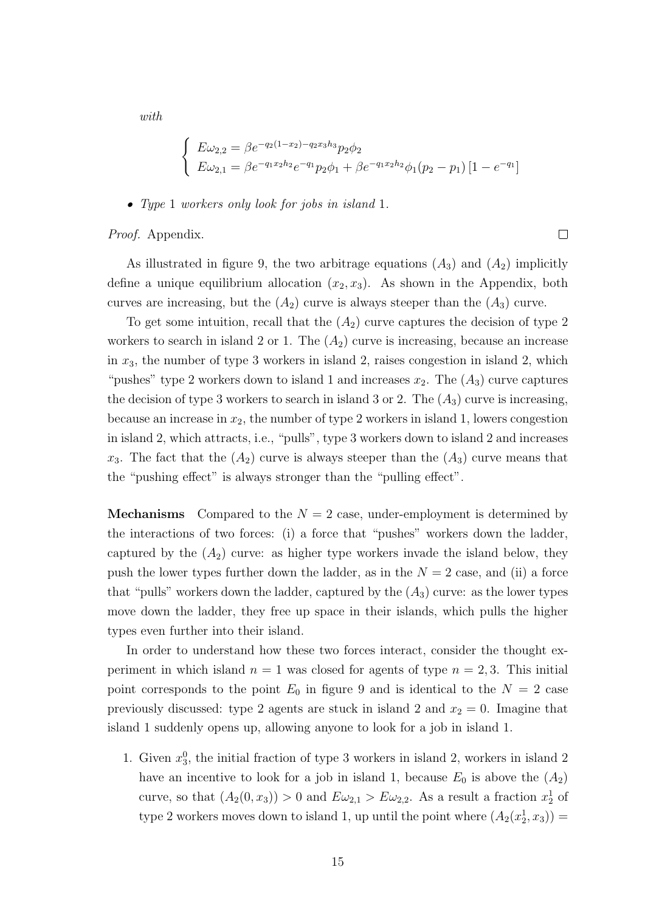with

$$
\begin{cases}\nE\omega_{2,2} = \beta e^{-q_2(1-x_2)-q_2x_3h_3} p_2 \phi_2 \\
E\omega_{2,1} = \beta e^{-q_1x_2h_2} e^{-q_1} p_2 \phi_1 + \beta e^{-q_1x_2h_2} \phi_1(p_2 - p_1) [1 - e^{-q_1}]\n\end{cases}
$$

• Type 1 workers only look for jobs in island 1.

Proof. Appendix.

As illustrated in figure 9, the two arbitrage equations  $(A_3)$  and  $(A_2)$  implicitly define a unique equilibrium allocation  $(x_2, x_3)$ . As shown in the Appendix, both curves are increasing, but the  $(A_2)$  curve is always steeper than the  $(A_3)$  curve.

To get some intuition, recall that the  $(A_2)$  curve captures the decision of type 2 workers to search in island 2 or 1. The  $(A_2)$  curve is increasing, because an increase in  $x_3$ , the number of type 3 workers in island 2, raises congestion in island 2, which "pushes" type 2 workers down to island 1 and increases  $x_2$ . The  $(A_3)$  curve captures the decision of type 3 workers to search in island 3 or 2. The  $(A_3)$  curve is increasing, because an increase in  $x_2$ , the number of type 2 workers in island 1, lowers congestion in island 2, which attracts, i.e., "pulls", type 3 workers down to island 2 and increases  $x_3$ . The fact that the  $(A_2)$  curve is always steeper than the  $(A_3)$  curve means that the "pushing effect" is always stronger than the "pulling effect".

**Mechanisms** Compared to the  $N = 2$  case, under-employment is determined by the interactions of two forces: (i) a force that "pushes" workers down the ladder, captured by the  $(A_2)$  curve: as higher type workers invade the island below, they push the lower types further down the ladder, as in the  $N = 2$  case, and (ii) a force that "pulls" workers down the ladder, captured by the  $(A_3)$  curve: as the lower types move down the ladder, they free up space in their islands, which pulls the higher types even further into their island.

In order to understand how these two forces interact, consider the thought experiment in which island  $n = 1$  was closed for agents of type  $n = 2, 3$ . This initial point corresponds to the point  $E_0$  in figure 9 and is identical to the  $N = 2$  case previously discussed: type 2 agents are stuck in island 2 and  $x_2 = 0$ . Imagine that island 1 suddenly opens up, allowing anyone to look for a job in island 1.

1. Given  $x_3^0$ , the initial fraction of type 3 workers in island 2, workers in island 2 have an incentive to look for a job in island 1, because  $E_0$  is above the  $(A_2)$ curve, so that  $(A_2(0, x_3)) > 0$  and  $E \omega_{2,1} > E \omega_{2,2}$ . As a result a fraction  $x_2^1$  of type 2 workers moves down to island 1, up until the point where  $(A_2(x_2^1, x_3)) =$ 

 $\Box$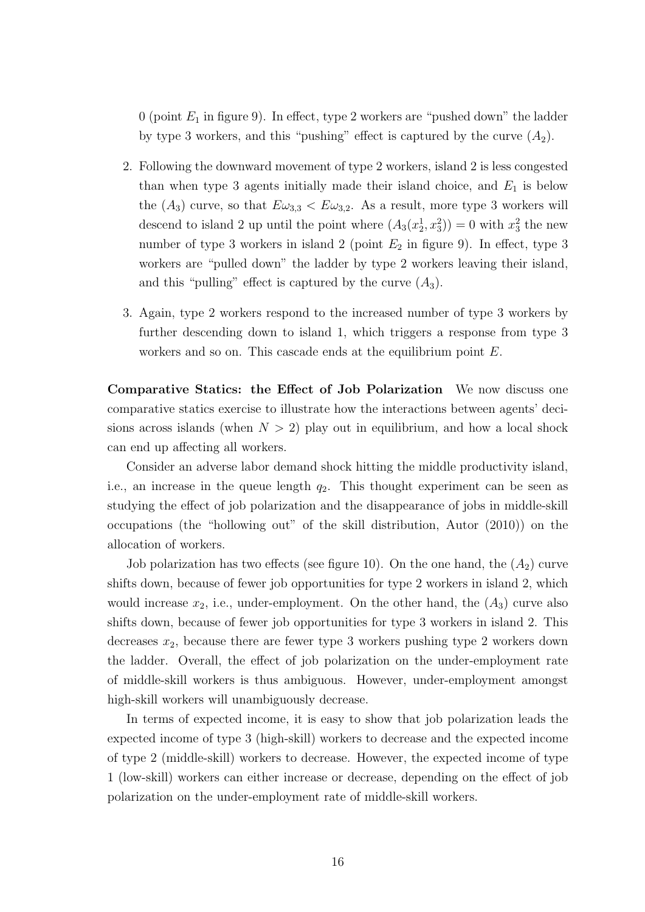0 (point  $E_1$  in figure 9). In effect, type 2 workers are "pushed down" the ladder by type 3 workers, and this "pushing" effect is captured by the curve  $(A_2)$ .

- 2. Following the downward movement of type 2 workers, island 2 is less congested than when type 3 agents initially made their island choice, and  $E_1$  is below the  $(A_3)$  curve, so that  $E\omega_{3,3} < E\omega_{3,2}$ . As a result, more type 3 workers will descend to island 2 up until the point where  $(A_3(x_2^1, x_3^2)) = 0$  with  $x_3^2$  the new number of type 3 workers in island 2 (point  $E_2$  in figure 9). In effect, type 3 workers are "pulled down" the ladder by type 2 workers leaving their island, and this "pulling" effect is captured by the curve  $(A_3)$ .
- 3. Again, type 2 workers respond to the increased number of type 3 workers by further descending down to island 1, which triggers a response from type 3 workers and so on. This cascade ends at the equilibrium point E.

Comparative Statics: the Effect of Job Polarization We now discuss one comparative statics exercise to illustrate how the interactions between agents' decisions across islands (when  $N > 2$ ) play out in equilibrium, and how a local shock can end up affecting all workers.

Consider an adverse labor demand shock hitting the middle productivity island, i.e., an increase in the queue length  $q_2$ . This thought experiment can be seen as studying the effect of job polarization and the disappearance of jobs in middle-skill occupations (the "hollowing out" of the skill distribution, Autor (2010)) on the allocation of workers.

Job polarization has two effects (see figure 10). On the one hand, the  $(A_2)$  curve shifts down, because of fewer job opportunities for type 2 workers in island 2, which would increase  $x_2$ , i.e., under-employment. On the other hand, the  $(A_3)$  curve also shifts down, because of fewer job opportunities for type 3 workers in island 2. This decreases  $x_2$ , because there are fewer type 3 workers pushing type 2 workers down the ladder. Overall, the effect of job polarization on the under-employment rate of middle-skill workers is thus ambiguous. However, under-employment amongst high-skill workers will unambiguously decrease.

In terms of expected income, it is easy to show that job polarization leads the expected income of type 3 (high-skill) workers to decrease and the expected income of type 2 (middle-skill) workers to decrease. However, the expected income of type 1 (low-skill) workers can either increase or decrease, depending on the effect of job polarization on the under-employment rate of middle-skill workers.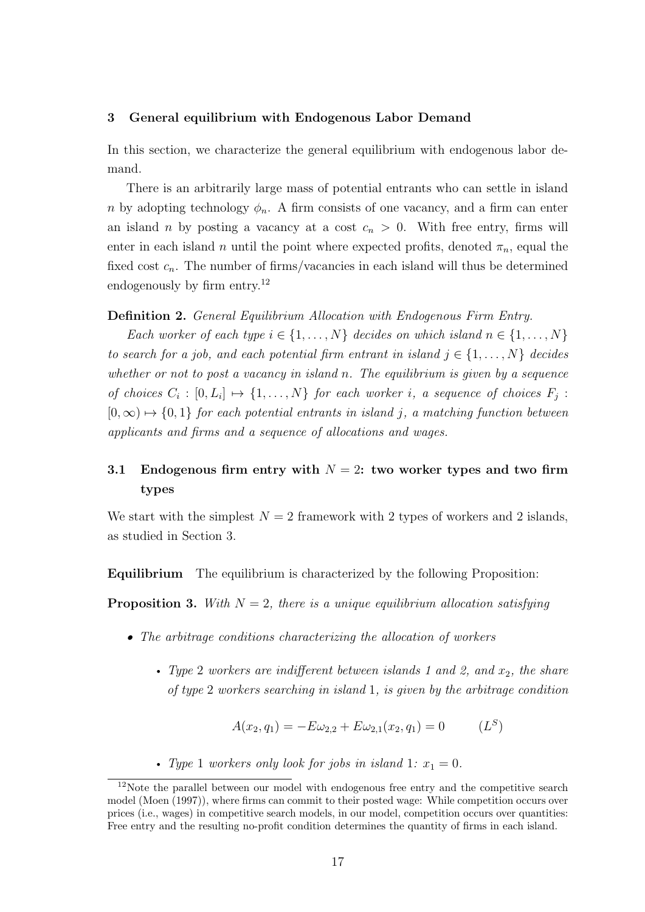#### 3 General equilibrium with Endogenous Labor Demand

In this section, we characterize the general equilibrium with endogenous labor demand.

There is an arbitrarily large mass of potential entrants who can settle in island n by adopting technology  $\phi_n$ . A firm consists of one vacancy, and a firm can enter an island n by posting a vacancy at a cost  $c_n > 0$ . With free entry, firms will enter in each island n until the point where expected profits, denoted  $\pi_n$ , equal the fixed cost  $c_n$ . The number of firms/vacancies in each island will thus be determined endogenously by firm entry.<sup>12</sup>

# Definition 2. General Equilibrium Allocation with Endogenous Firm Entry.

Each worker of each type  $i \in \{1, \ldots, N\}$  decides on which island  $n \in \{1, \ldots, N\}$ to search for a job, and each potential firm entrant in island  $j \in \{1, \ldots, N\}$  decides whether or not to post a vacancy in island n. The equilibrium is given by a sequence of choices  $C_i : [0, L_i] \mapsto \{1, ..., N\}$  for each worker i, a sequence of choices  $F_j$ :  $[0, \infty) \mapsto \{0, 1\}$  for each potential entrants in island j, a matching function between applicants and firms and a sequence of allocations and wages.

# 3.1 Endogenous firm entry with  $N = 2$ : two worker types and two firm types

We start with the simplest  $N = 2$  framework with 2 types of workers and 2 islands, as studied in Section 3.

Equilibrium The equilibrium is characterized by the following Proposition:

**Proposition 3.** With  $N = 2$ , there is a unique equilibrium allocation satisfying

- The arbitrage conditions characterizing the allocation of workers
	- Type 2 workers are indifferent between islands 1 and 2, and  $x_2$ , the share of type 2 workers searching in island 1, is given by the arbitrage condition

$$
A(x_2, q_1) = -E\omega_{2,2} + E\omega_{2,1}(x_2, q_1) = 0 \qquad (L^S)
$$

• Type 1 workers only look for jobs in island 1:  $x_1 = 0$ .

<sup>&</sup>lt;sup>12</sup>Note the parallel between our model with endogenous free entry and the competitive search model (Moen (1997)), where firms can commit to their posted wage: While competition occurs over prices (i.e., wages) in competitive search models, in our model, competition occurs over quantities: Free entry and the resulting no-profit condition determines the quantity of firms in each island.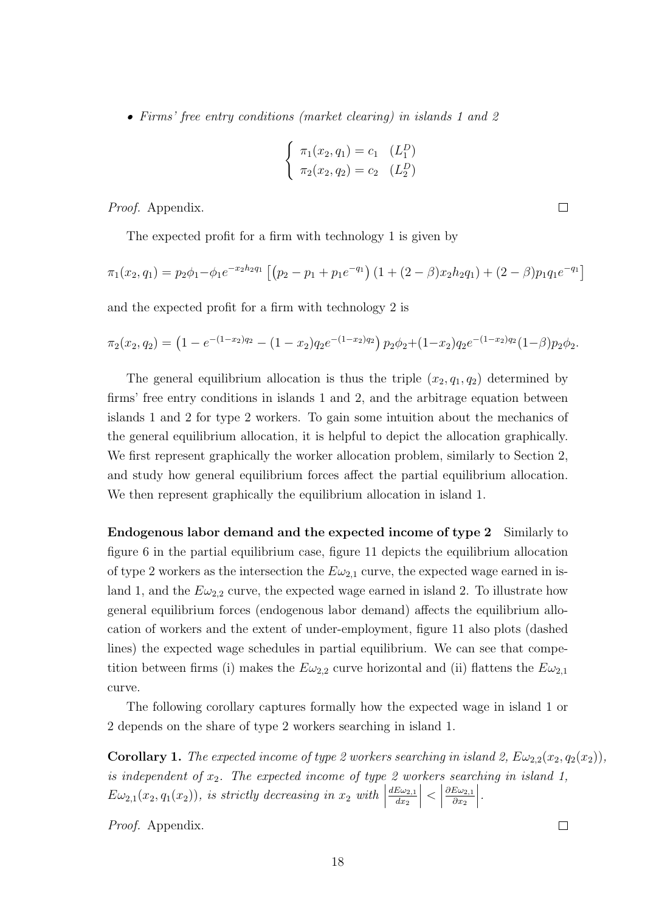• Firms' free entry conditions (market clearing) in islands 1 and 2

$$
\begin{cases} \pi_1(x_2, q_1) = c_1 & (L_1^D) \\ \pi_2(x_2, q_2) = c_2 & (L_2^D) \end{cases}
$$

Proof. Appendix.

The expected profit for a firm with technology 1 is given by

$$
\pi_1(x_2, q_1) = p_2 \phi_1 - \phi_1 e^{-x_2 h_2 q_1} \left[ \left( p_2 - p_1 + p_1 e^{-q_1} \right) \left( 1 + (2 - \beta) x_2 h_2 q_1 \right) + (2 - \beta) p_1 q_1 e^{-q_1} \right]
$$

and the expected profit for a firm with technology 2 is

$$
\pi_2(x_2,q_2) = \left(1 - e^{-(1-x_2)q_2} - (1-x_2)q_2 e^{-(1-x_2)q_2}\right) p_2 \phi_2 + (1-x_2) q_2 e^{-(1-x_2)q_2} (1-\beta) p_2 \phi_2.
$$

The general equilibrium allocation is thus the triple  $(x_2, q_1, q_2)$  determined by firms' free entry conditions in islands 1 and 2, and the arbitrage equation between islands 1 and 2 for type 2 workers. To gain some intuition about the mechanics of the general equilibrium allocation, it is helpful to depict the allocation graphically. We first represent graphically the worker allocation problem, similarly to Section 2, and study how general equilibrium forces affect the partial equilibrium allocation. We then represent graphically the equilibrium allocation in island 1.

Endogenous labor demand and the expected income of type 2 Similarly to figure 6 in the partial equilibrium case, figure 11 depicts the equilibrium allocation of type 2 workers as the intersection the  $E\omega_{2,1}$  curve, the expected wage earned in island 1, and the  $E\omega_{2,2}$  curve, the expected wage earned in island 2. To illustrate how general equilibrium forces (endogenous labor demand) affects the equilibrium allocation of workers and the extent of under-employment, figure 11 also plots (dashed lines) the expected wage schedules in partial equilibrium. We can see that competition between firms (i) makes the  $E\omega_{2,2}$  curve horizontal and (ii) flattens the  $E\omega_{2,1}$ curve.

The following corollary captures formally how the expected wage in island 1 or 2 depends on the share of type 2 workers searching in island 1.

**Corollary 1.** The expected income of type 2 workers searching in island 2,  $E\omega_{2,2}(x_2, q_2(x_2))$ , is independent of  $x_2$ . The expected income of type 2 workers searching in island 1,  $E\omega_{2,1}(x_2,q_1(x_2))$ , is strictly decreasing in  $x_2$  with  $\Big|$  $dE\omega_{2,1}$  $dx_2$  $\begin{array}{c} \begin{array}{c} \begin{array}{c} \end{array} \\ \begin{array}{c} \end{array} \end{array} \end{array}$  $\vert$  $\partial E\omega_{2,1}$  $\partial x_2$  $\Big\}$ .

Proof. Appendix.

 $\Box$ 

 $\Box$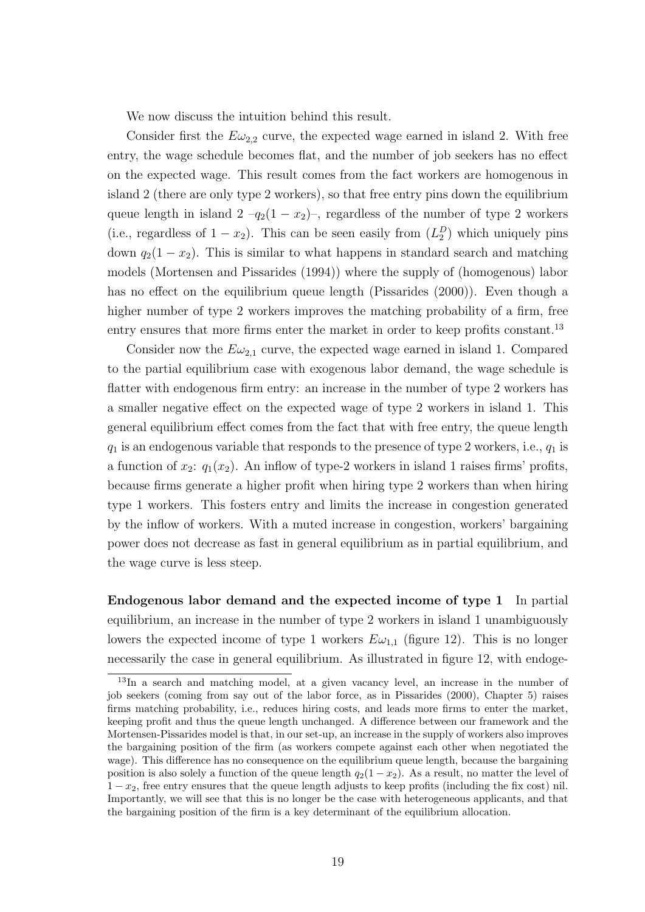We now discuss the intuition behind this result.

Consider first the  $E\omega_{2,2}$  curve, the expected wage earned in island 2. With free entry, the wage schedule becomes flat, and the number of job seekers has no effect on the expected wage. This result comes from the fact workers are homogenous in island 2 (there are only type 2 workers), so that free entry pins down the equilibrium queue length in island  $2 - q_2(1 - x_2)$ , regardless of the number of type 2 workers (i.e., regardless of  $1 - x_2$ ). This can be seen easily from  $(L_2^D)$  which uniquely pins down  $q_2(1-x_2)$ . This is similar to what happens in standard search and matching models (Mortensen and Pissarides (1994)) where the supply of (homogenous) labor has no effect on the equilibrium queue length (Pissarides (2000)). Even though a higher number of type 2 workers improves the matching probability of a firm, free entry ensures that more firms enter the market in order to keep profits constant.<sup>13</sup>

Consider now the  $E\omega_{2,1}$  curve, the expected wage earned in island 1. Compared to the partial equilibrium case with exogenous labor demand, the wage schedule is flatter with endogenous firm entry: an increase in the number of type 2 workers has a smaller negative effect on the expected wage of type 2 workers in island 1. This general equilibrium effect comes from the fact that with free entry, the queue length  $q_1$  is an endogenous variable that responds to the presence of type 2 workers, i.e.,  $q_1$  is a function of  $x_2$ :  $q_1(x_2)$ . An inflow of type-2 workers in island 1 raises firms' profits, because firms generate a higher profit when hiring type 2 workers than when hiring type 1 workers. This fosters entry and limits the increase in congestion generated by the inflow of workers. With a muted increase in congestion, workers' bargaining power does not decrease as fast in general equilibrium as in partial equilibrium, and the wage curve is less steep.

Endogenous labor demand and the expected income of type 1 In partial equilibrium, an increase in the number of type 2 workers in island 1 unambiguously lowers the expected income of type 1 workers  $E\omega_{1,1}$  (figure 12). This is no longer necessarily the case in general equilibrium. As illustrated in figure 12, with endoge-

<sup>13</sup>In a search and matching model, at a given vacancy level, an increase in the number of job seekers (coming from say out of the labor force, as in Pissarides (2000), Chapter 5) raises firms matching probability, i.e., reduces hiring costs, and leads more firms to enter the market, keeping profit and thus the queue length unchanged. A difference between our framework and the Mortensen-Pissarides model is that, in our set-up, an increase in the supply of workers also improves the bargaining position of the firm (as workers compete against each other when negotiated the wage). This difference has no consequence on the equilibrium queue length, because the bargaining position is also solely a function of the queue length  $q_2(1-x_2)$ . As a result, no matter the level of  $1 - x_2$ , free entry ensures that the queue length adjusts to keep profits (including the fix cost) nil. Importantly, we will see that this is no longer be the case with heterogeneous applicants, and that the bargaining position of the firm is a key determinant of the equilibrium allocation.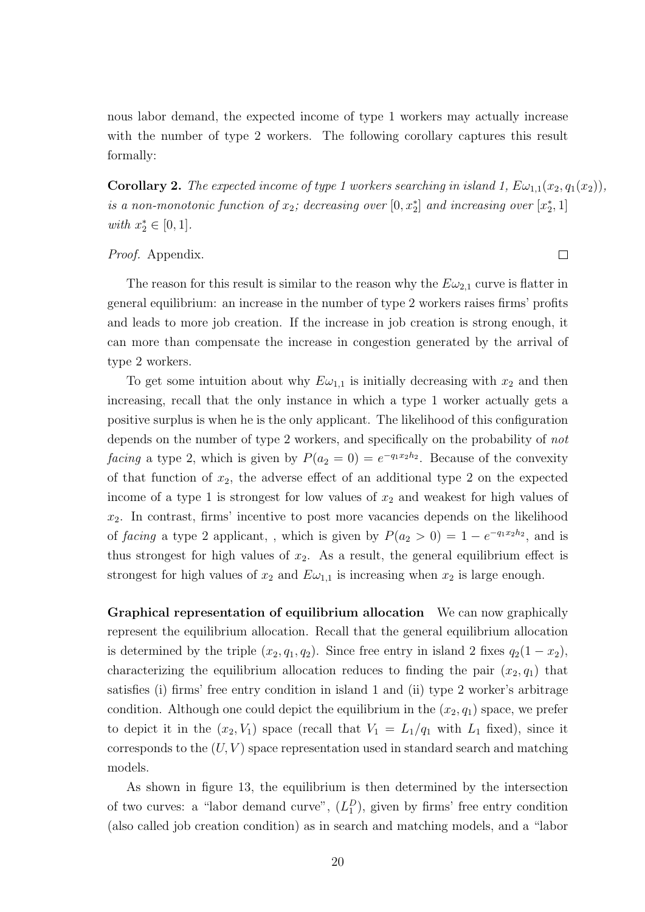nous labor demand, the expected income of type 1 workers may actually increase with the number of type 2 workers. The following corollary captures this result formally:

**Corollary 2.** The expected income of type 1 workers searching in island 1,  $E\omega_{1,1}(x_2, q_1(x_2))$ , is a non-monotonic function of  $x_2$ ; decreasing over  $[0, x_2^*]$  and increasing over  $[x_2^*, 1]$ with  $x_2^* \in [0,1]$ .

Proof. Appendix.

The reason for this result is similar to the reason why the  $E\omega_{2,1}$  curve is flatter in general equilibrium: an increase in the number of type 2 workers raises firms' profits and leads to more job creation. If the increase in job creation is strong enough, it can more than compensate the increase in congestion generated by the arrival of type 2 workers.

To get some intuition about why  $E\omega_{1,1}$  is initially decreasing with  $x_2$  and then increasing, recall that the only instance in which a type 1 worker actually gets a positive surplus is when he is the only applicant. The likelihood of this configuration depends on the number of type 2 workers, and specifically on the probability of not facing a type 2, which is given by  $P(a_2 = 0) = e^{-q_1 x_2 h_2}$ . Because of the convexity of that function of  $x_2$ , the adverse effect of an additional type 2 on the expected income of a type 1 is strongest for low values of  $x_2$  and weakest for high values of  $x_2$ . In contrast, firms' incentive to post more vacancies depends on the likelihood of facing a type 2 applicant,, which is given by  $P(a_2 > 0) = 1 - e^{-q_1 x_2 h_2}$ , and is thus strongest for high values of  $x_2$ . As a result, the general equilibrium effect is strongest for high values of  $x_2$  and  $E\omega_{1,1}$  is increasing when  $x_2$  is large enough.

Graphical representation of equilibrium allocation We can now graphically represent the equilibrium allocation. Recall that the general equilibrium allocation is determined by the triple  $(x_2, q_1, q_2)$ . Since free entry in island 2 fixes  $q_2(1-x_2)$ , characterizing the equilibrium allocation reduces to finding the pair  $(x_2, q_1)$  that satisfies (i) firms' free entry condition in island 1 and (ii) type 2 worker's arbitrage condition. Although one could depict the equilibrium in the  $(x_2, q_1)$  space, we prefer to depict it in the  $(x_2, V_1)$  space (recall that  $V_1 = L_1/q_1$  with  $L_1$  fixed), since it corresponds to the  $(U, V)$  space representation used in standard search and matching models.

As shown in figure 13, the equilibrium is then determined by the intersection of two curves: a "labor demand curve",  $(L_1^D)$ , given by firms' free entry condition (also called job creation condition) as in search and matching models, and a "labor

 $\Box$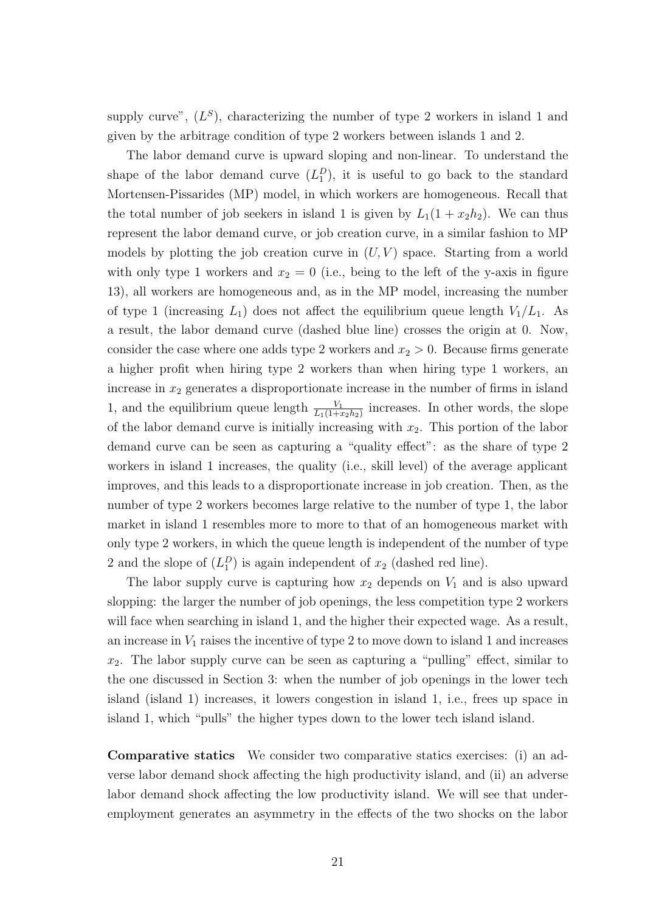supply curve",  $(L^S)$ , characterizing the number of type 2 workers in island 1 and given by the arbitrage condition of type 2 workers between islands 1 and 2.

The labor demand curve is upward sloping and non-linear. To understand the shape of the labor demand curve  $(L_1^D)$ , it is useful to go back to the standard Mortensen-Pissarides (MP) model, in which workers are homogeneous. Recall that the total number of job seekers in island 1 is given by  $L_1(1+x_2h_2)$ . We can thus represent the labor demand curve, or job creation curve, in a similar fashion to MP models by plotting the job creation curve in  $(U, V)$  space. Starting from a world with only type 1 workers and  $x_2 = 0$  (i.e., being to the left of the y-axis in figure 13), all workers are homogeneous and, as in the MP model, increasing the number of type 1 (increasing  $L_1$ ) does not affect the equilibrium queue length  $V_1/L_1$ . As a result, the labor demand curve (dashed blue line) crosses the origin at 0. Now, consider the case where one adds type 2 workers and  $x_2 > 0$ . Because firms generate a higher profit when hiring type 2 workers than when hiring type 1 workers, an increase in  $x_2$  generates a disproportionate increase in the number of firms in island 1, and the equilibrium queue length  $\frac{V_1}{L_1(1+x_2h_2)}$  increases. In other words, the slope of the labor demand curve is initially increasing with  $x_2$ . This portion of the labor demand curve can be seen as capturing a "quality effect": as the share of type 2 workers in island 1 increases, the quality (i.e., skill level) of the average applicant improves, and this leads to a disproportionate increase in job creation. Then, as the number of type 2 workers becomes large relative to the number of type 1, the labor market in island 1 resembles more to more to that of an homogeneous market with only type 2 workers, in which the queue length is independent of the number of type 2 and the slope of  $(L_1^D)$  is again independent of  $x_2$  (dashed red line).

The labor supply curve is capturing how  $x_2$  depends on  $V_1$  and is also upward slopping: the larger the number of job openings, the less competition type 2 workers will face when searching in island 1, and the higher their expected wage. As a result, an increase in  $V_1$  raises the incentive of type 2 to move down to island 1 and increases  $x_2$ . The labor supply curve can be seen as capturing a "pulling" effect, similar to the one discussed in Section 3: when the number of job openings in the lower tech island (island 1) increases, it lowers congestion in island 1, i.e., frees up space in island 1, which "pulls" the higher types down to the lower tech island island.

Comparative statics We consider two comparative statics exercises: (i) an adverse labor demand shock affecting the high productivity island, and (ii) an adverse labor demand shock affecting the low productivity island. We will see that underemployment generates an asymmetry in the effects of the two shocks on the labor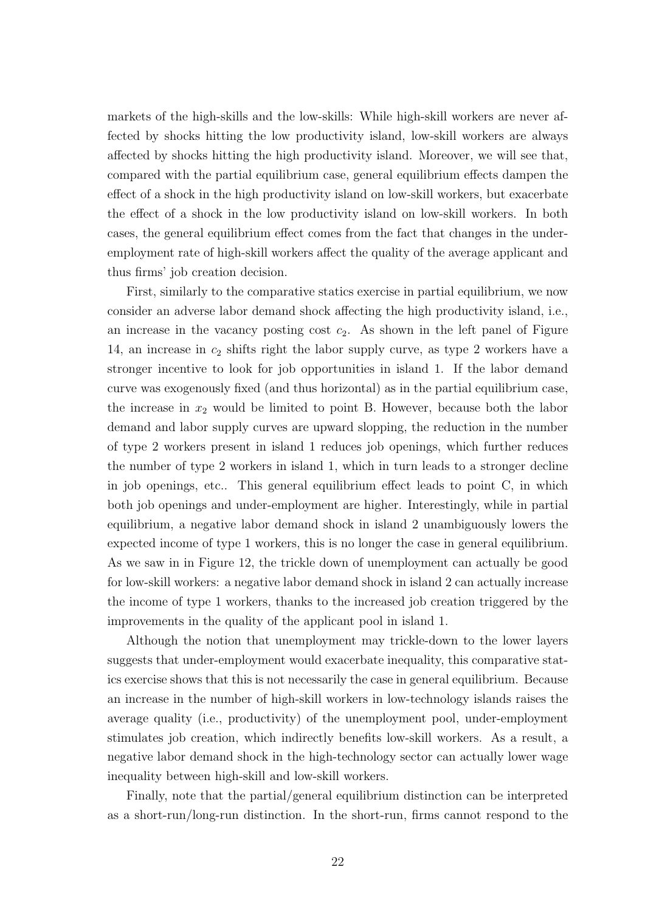markets of the high-skills and the low-skills: While high-skill workers are never affected by shocks hitting the low productivity island, low-skill workers are always affected by shocks hitting the high productivity island. Moreover, we will see that, compared with the partial equilibrium case, general equilibrium effects dampen the effect of a shock in the high productivity island on low-skill workers, but exacerbate the effect of a shock in the low productivity island on low-skill workers. In both cases, the general equilibrium effect comes from the fact that changes in the underemployment rate of high-skill workers affect the quality of the average applicant and thus firms' job creation decision.

First, similarly to the comparative statics exercise in partial equilibrium, we now consider an adverse labor demand shock affecting the high productivity island, i.e., an increase in the vacancy posting cost  $c_2$ . As shown in the left panel of Figure 14, an increase in  $c_2$  shifts right the labor supply curve, as type 2 workers have a stronger incentive to look for job opportunities in island 1. If the labor demand curve was exogenously fixed (and thus horizontal) as in the partial equilibrium case, the increase in  $x_2$  would be limited to point B. However, because both the labor demand and labor supply curves are upward slopping, the reduction in the number of type 2 workers present in island 1 reduces job openings, which further reduces the number of type 2 workers in island 1, which in turn leads to a stronger decline in job openings, etc.. This general equilibrium effect leads to point C, in which both job openings and under-employment are higher. Interestingly, while in partial equilibrium, a negative labor demand shock in island 2 unambiguously lowers the expected income of type 1 workers, this is no longer the case in general equilibrium. As we saw in in Figure 12, the trickle down of unemployment can actually be good for low-skill workers: a negative labor demand shock in island 2 can actually increase the income of type 1 workers, thanks to the increased job creation triggered by the improvements in the quality of the applicant pool in island 1.

Although the notion that unemployment may trickle-down to the lower layers suggests that under-employment would exacerbate inequality, this comparative statics exercise shows that this is not necessarily the case in general equilibrium. Because an increase in the number of high-skill workers in low-technology islands raises the average quality (i.e., productivity) of the unemployment pool, under-employment stimulates job creation, which indirectly benefits low-skill workers. As a result, a negative labor demand shock in the high-technology sector can actually lower wage inequality between high-skill and low-skill workers.

Finally, note that the partial/general equilibrium distinction can be interpreted as a short-run/long-run distinction. In the short-run, firms cannot respond to the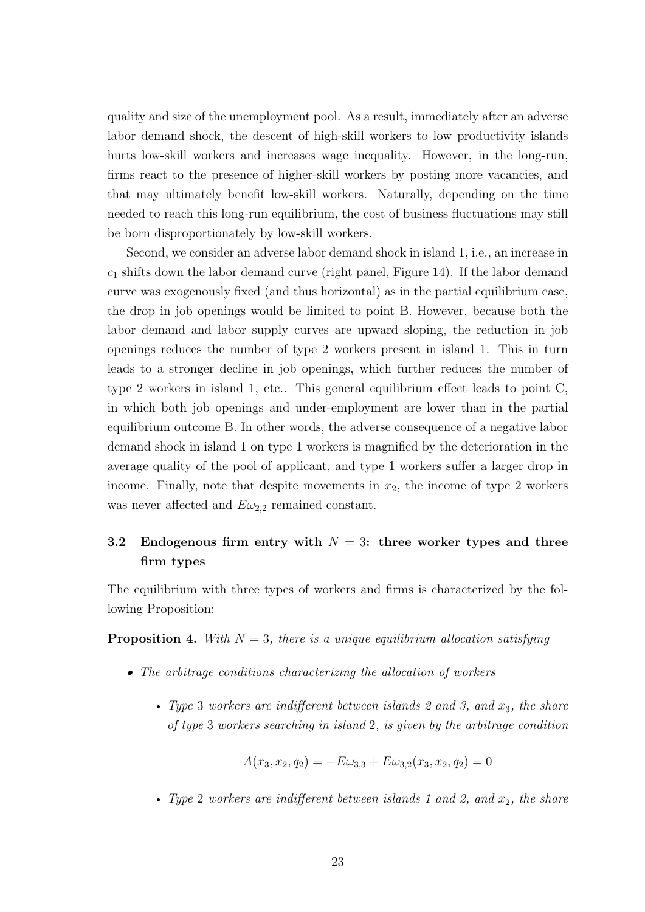quality and size of the unemployment pool. As a result, immediately after an adverse labor demand shock, the descent of high-skill workers to low productivity islands hurts low-skill workers and increases wage inequality. However, in the long-run, firms react to the presence of higher-skill workers by posting more vacancies, and that may ultimately benefit low-skill workers. Naturally, depending on the time needed to reach this long-run equilibrium, the cost of business fluctuations may still be born disproportionately by low-skill workers.

Second, we consider an adverse labor demand shock in island 1, i.e., an increase in  $c_1$  shifts down the labor demand curve (right panel, Figure 14). If the labor demand curve was exogenously fixed (and thus horizontal) as in the partial equilibrium case, the drop in job openings would be limited to point B. However, because both the labor demand and labor supply curves are upward sloping, the reduction in job openings reduces the number of type 2 workers present in island 1. This in turn leads to a stronger decline in job openings, which further reduces the number of type 2 workers in island 1, etc.. This general equilibrium effect leads to point C, in which both job openings and under-employment are lower than in the partial equilibrium outcome B. In other words, the adverse consequence of a negative labor demand shock in island 1 on type 1 workers is magnified by the deterioration in the average quality of the pool of applicant, and type 1 workers suffer a larger drop in income. Finally, note that despite movements in  $x_2$ , the income of type 2 workers was never affected and  $E\omega_{2,2}$  remained constant.

# 3.2 Endogenous firm entry with  $N = 3$ : three worker types and three firm types

The equilibrium with three types of workers and firms is characterized by the following Proposition:

**Proposition 4.** With  $N = 3$ , there is a unique equilibrium allocation satisfying

- The arbitrage conditions characterizing the allocation of workers
	- Type 3 workers are indifferent between islands 2 and 3, and  $x_3$ , the share of type 3 workers searching in island 2, is given by the arbitrage condition

$$
A(x_3, x_2, q_2) = -E\omega_{3,3} + E\omega_{3,2}(x_3, x_2, q_2) = 0
$$

• Type 2 workers are indifferent between islands 1 and 2, and  $x_2$ , the share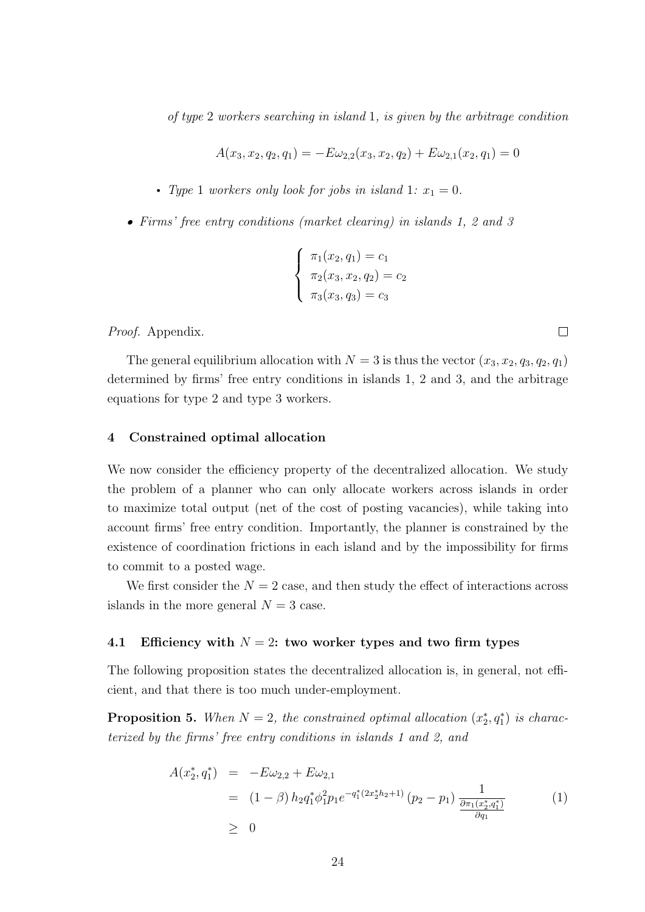of type 2 workers searching in island 1, is given by the arbitrage condition

$$
A(x_3, x_2, q_2, q_1) = -E\omega_{2,2}(x_3, x_2, q_2) + E\omega_{2,1}(x_2, q_1) = 0
$$

- Type 1 workers only look for jobs in island 1:  $x_1 = 0$ .
- Firms' free entry conditions (market clearing) in islands 1, 2 and 3

$$
\begin{cases} \pi_1(x_2, q_1) = c_1 \\ \pi_2(x_3, x_2, q_2) = c_2 \\ \pi_3(x_3, q_3) = c_3 \end{cases}
$$

Proof. Appendix.

The general equilibrium allocation with  $N = 3$  is thus the vector  $(x_3, x_2, q_3, q_2, q_1)$ determined by firms' free entry conditions in islands 1, 2 and 3, and the arbitrage equations for type 2 and type 3 workers.

# 4 Constrained optimal allocation

We now consider the efficiency property of the decentralized allocation. We study the problem of a planner who can only allocate workers across islands in order to maximize total output (net of the cost of posting vacancies), while taking into account firms' free entry condition. Importantly, the planner is constrained by the existence of coordination frictions in each island and by the impossibility for firms to commit to a posted wage.

We first consider the  $N = 2$  case, and then study the effect of interactions across islands in the more general  $N = 3$  case.

# 4.1 Efficiency with  $N = 2$ : two worker types and two firm types

The following proposition states the decentralized allocation is, in general, not efficient, and that there is too much under-employment.

**Proposition 5.** When  $N = 2$ , the constrained optimal allocation  $(x_2^*, q_1^*)$  is characterized by the firms' free entry conditions in islands 1 and 2, and

$$
A(x_2^*, q_1^*) = -E\omega_{2,2} + E\omega_{2,1}
$$
  
=  $(1 - \beta) h_2 q_1^* \phi_1^2 p_1 e^{-q_1^* (2x_2^* h_2 + 1)} (p_2 - p_1) \frac{1}{\frac{\partial \pi_1(x_2^*, q_1^*)}{\partial q_1}}$  (1)  
 $\geq 0$ 

 $\Box$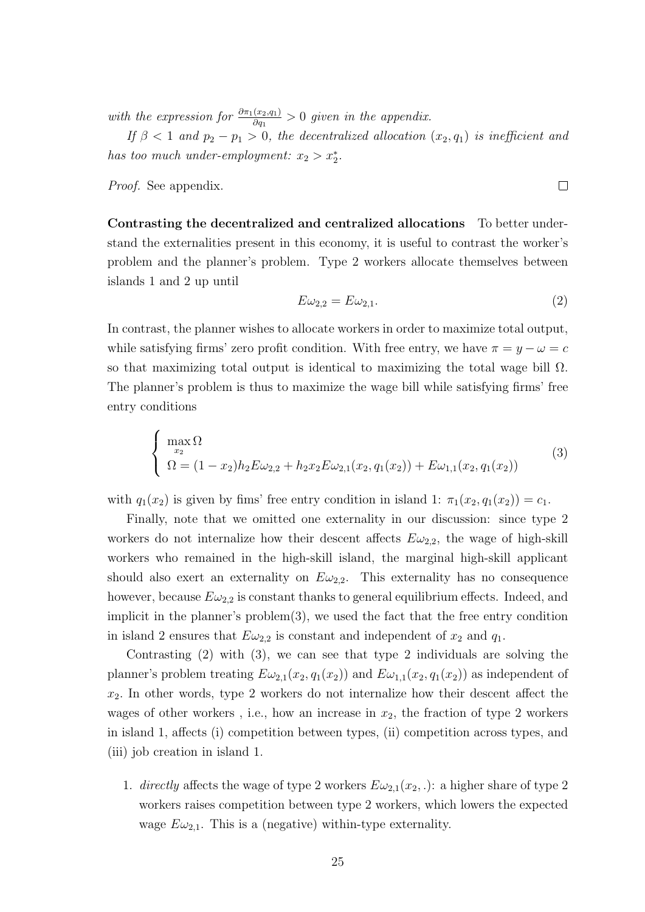with the expression for  $\frac{\partial \pi_1(x_2,q_1)}{\partial q_1} > 0$  given in the appendix.

If  $\beta < 1$  and  $p_2 - p_1 > 0$ , the decentralized allocation  $(x_2, q_1)$  is inefficient and has too much under-employment:  $x_2 > x_2^*$ .

Proof. See appendix.

Contrasting the decentralized and centralized allocations To better understand the externalities present in this economy, it is useful to contrast the worker's problem and the planner's problem. Type 2 workers allocate themselves between islands 1 and 2 up until

$$
E\omega_{2,2} = E\omega_{2,1}.\tag{2}
$$

In contrast, the planner wishes to allocate workers in order to maximize total output, while satisfying firms' zero profit condition. With free entry, we have  $\pi = y - \omega = c$ so that maximizing total output is identical to maximizing the total wage bill  $\Omega$ . The planner's problem is thus to maximize the wage bill while satisfying firms' free entry conditions

$$
\begin{cases}\n\max_{x_2} \Omega & (3) \\
\Omega = (1 - x_2) h_2 E \omega_{2,2} + h_2 x_2 E \omega_{2,1}(x_2, q_1(x_2)) + E \omega_{1,1}(x_2, q_1(x_2))\n\end{cases}
$$

with  $q_1(x_2)$  is given by fims' free entry condition in island 1:  $\pi_1(x_2, q_1(x_2)) = c_1$ .

Finally, note that we omitted one externality in our discussion: since type 2 workers do not internalize how their descent affects  $E\omega_{2,2}$ , the wage of high-skill workers who remained in the high-skill island, the marginal high-skill applicant should also exert an externality on  $E\omega_{2,2}$ . This externality has no consequence however, because  $E\omega_{2,2}$  is constant thanks to general equilibrium effects. Indeed, and implicit in the planner's  $problem(3)$ , we used the fact that the free entry condition in island 2 ensures that  $E\omega_{2,2}$  is constant and independent of  $x_2$  and  $q_1$ .

Contrasting  $(2)$  with  $(3)$ , we can see that type 2 individuals are solving the planner's problem treating  $E\omega_{2,1}(x_2, q_1(x_2))$  and  $E\omega_{1,1}(x_2, q_1(x_2))$  as independent of  $x_2$ . In other words, type 2 workers do not internalize how their descent affect the wages of other workers, i.e., how an increase in  $x_2$ , the fraction of type 2 workers in island 1, affects (i) competition between types, (ii) competition across types, and (iii) job creation in island 1.

1. directly affects the wage of type 2 workers  $E\omega_{2,1}(x_2,.)$ : a higher share of type 2 workers raises competition between type 2 workers, which lowers the expected wage  $E\omega_{2,1}$ . This is a (negative) within-type externality.

 $\Box$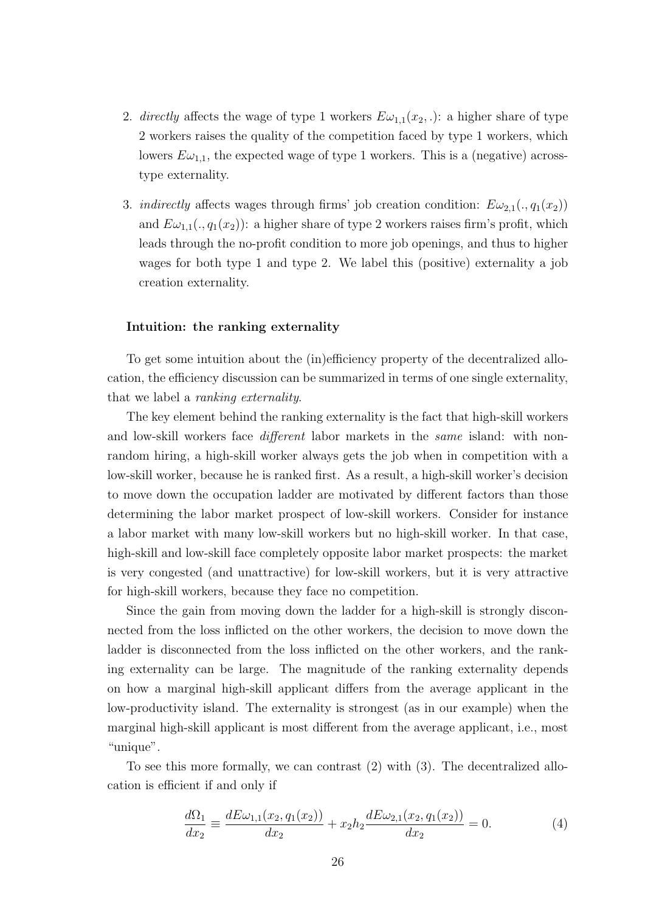- 2. directly affects the wage of type 1 workers  $E\omega_{1,1}(x_2,.)$ : a higher share of type 2 workers raises the quality of the competition faced by type 1 workers, which lowers  $E\omega_{1,1}$ , the expected wage of type 1 workers. This is a (negative) acrosstype externality.
- 3. *indirectly* affects wages through firms' job creation condition:  $E\omega_{2,1}(. , q_1(x_2))$ and  $E\omega_{1,1}(. , q_1(x_2))$ : a higher share of type 2 workers raises firm's profit, which leads through the no-profit condition to more job openings, and thus to higher wages for both type 1 and type 2. We label this (positive) externality a job creation externality.

#### Intuition: the ranking externality

To get some intuition about the (in)efficiency property of the decentralized allocation, the efficiency discussion can be summarized in terms of one single externality, that we label a ranking externality.

The key element behind the ranking externality is the fact that high-skill workers and low-skill workers face *different* labor markets in the *same* island: with nonrandom hiring, a high-skill worker always gets the job when in competition with a low-skill worker, because he is ranked first. As a result, a high-skill worker's decision to move down the occupation ladder are motivated by different factors than those determining the labor market prospect of low-skill workers. Consider for instance a labor market with many low-skill workers but no high-skill worker. In that case, high-skill and low-skill face completely opposite labor market prospects: the market is very congested (and unattractive) for low-skill workers, but it is very attractive for high-skill workers, because they face no competition.

Since the gain from moving down the ladder for a high-skill is strongly disconnected from the loss inflicted on the other workers, the decision to move down the ladder is disconnected from the loss inflicted on the other workers, and the ranking externality can be large. The magnitude of the ranking externality depends on how a marginal high-skill applicant differs from the average applicant in the low-productivity island. The externality is strongest (as in our example) when the marginal high-skill applicant is most different from the average applicant, i.e., most "unique".

To see this more formally, we can contrast (2) with (3). The decentralized allocation is efficient if and only if

$$
\frac{d\Omega_1}{dx_2} \equiv \frac{dE\omega_{1,1}(x_2, q_1(x_2))}{dx_2} + x_2 h_2 \frac{dE\omega_{2,1}(x_2, q_1(x_2))}{dx_2} = 0.
$$
\n(4)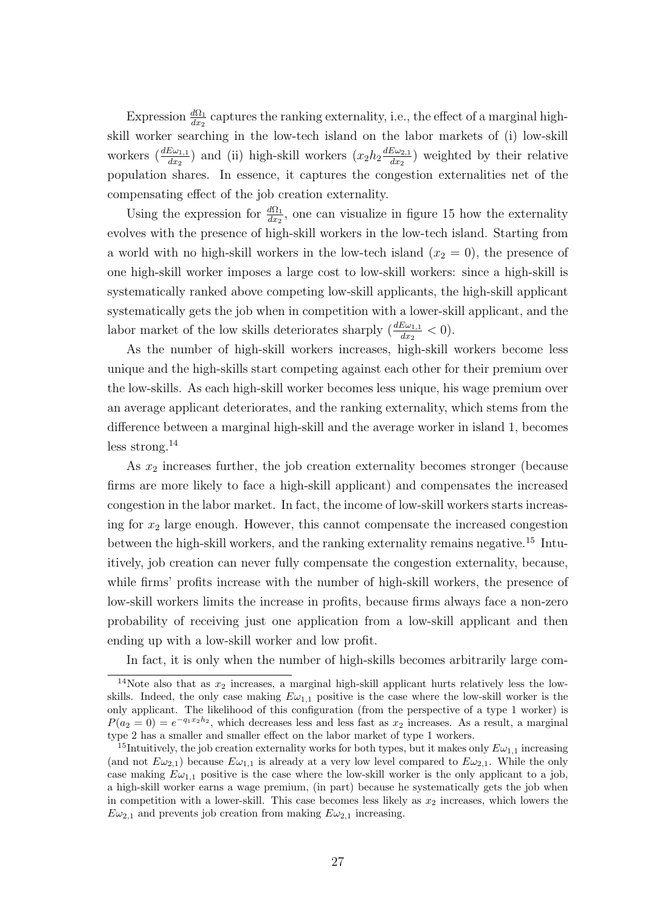Expression  $\frac{d\Omega_1}{dx_2}$  captures the ranking externality, i.e., the effect of a marginal highskill worker searching in the low-tech island on the labor markets of (i) low-skill workers  $\left(\frac{dE\omega_{1,1}}{dx_2}\right)$  and (ii) high-skill workers  $\left(x_2h_2\frac{dE\omega_{2,1}}{dx_2}\right)$  $\frac{E\omega_{2,1}}{dx_2}$ ) weighted by their relative population shares. In essence, it captures the congestion externalities net of the compensating effect of the job creation externality.

Using the expression for  $\frac{d\Omega_1}{dx_2}$ , one can visualize in figure 15 how the externality evolves with the presence of high-skill workers in the low-tech island. Starting from a world with no high-skill workers in the low-tech island  $(x_2 = 0)$ , the presence of one high-skill worker imposes a large cost to low-skill workers: since a high-skill is systematically ranked above competing low-skill applicants, the high-skill applicant systematically gets the job when in competition with a lower-skill applicant, and the labor market of the low skills deteriorates sharply  $\left(\frac{dE\omega_{1,1}}{dx_2}\right) < 0$ .

As the number of high-skill workers increases, high-skill workers become less unique and the high-skills start competing against each other for their premium over the low-skills. As each high-skill worker becomes less unique, his wage premium over an average applicant deteriorates, and the ranking externality, which stems from the difference between a marginal high-skill and the average worker in island 1, becomes less strong.<sup>14</sup>

As  $x_2$  increases further, the job creation externality becomes stronger (because firms are more likely to face a high-skill applicant) and compensates the increased congestion in the labor market. In fact, the income of low-skill workers starts increasing for  $x_2$  large enough. However, this cannot compensate the increased congestion between the high-skill workers, and the ranking externality remains negative.<sup>15</sup> Intuitively, job creation can never fully compensate the congestion externality, because, while firms' profits increase with the number of high-skill workers, the presence of low-skill workers limits the increase in profits, because firms always face a non-zero probability of receiving just one application from a low-skill applicant and then ending up with a low-skill worker and low profit.

In fact, it is only when the number of high-skills becomes arbitrarily large com-

<sup>&</sup>lt;sup>14</sup>Note also that as  $x_2$  increases, a marginal high-skill applicant hurts relatively less the lowskills. Indeed, the only case making  $E\omega_{1,1}$  positive is the case where the low-skill worker is the only applicant. The likelihood of this configuration (from the perspective of a type 1 worker) is  $P(a_2 = 0) = e^{-q_1 x_2 h_2}$ , which decreases less and less fast as  $x_2$  increases. As a result, a marginal type 2 has a smaller and smaller effect on the labor market of type 1 workers.

<sup>&</sup>lt;sup>15</sup>Intuitively, the job creation externality works for both types, but it makes only  $E\omega_{1,1}$  increasing (and not  $E\omega_{2,1}$ ) because  $E\omega_{1,1}$  is already at a very low level compared to  $E\omega_{2,1}$ . While the only case making  $E\omega_{1,1}$  positive is the case where the low-skill worker is the only applicant to a job, a high-skill worker earns a wage premium, (in part) because he systematically gets the job when in competition with a lower-skill. This case becomes less likely as  $x_2$  increases, which lowers the  $E\omega_{2,1}$  and prevents job creation from making  $E\omega_{2,1}$  increasing.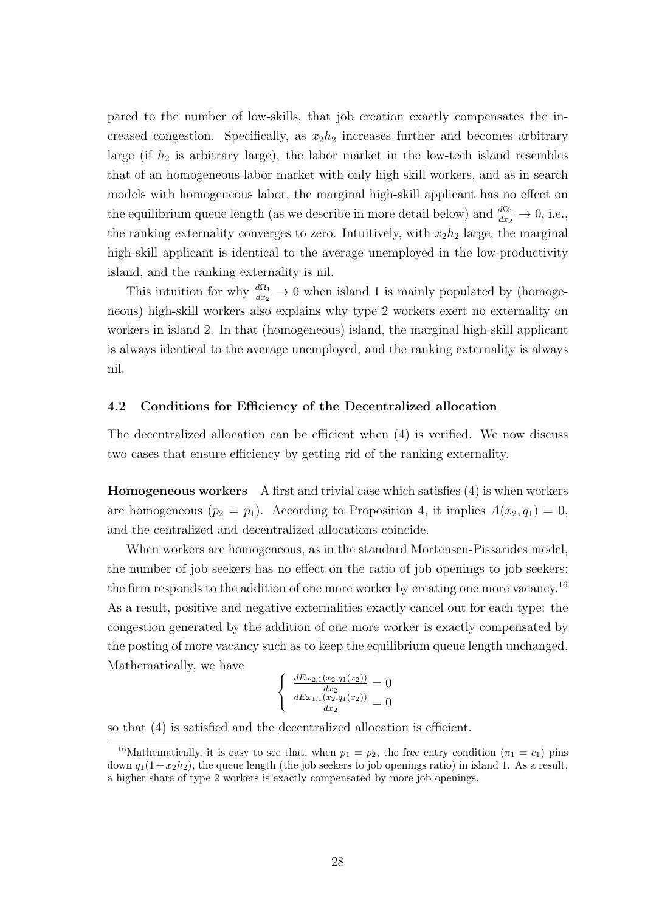pared to the number of low-skills, that job creation exactly compensates the increased congestion. Specifically, as  $x_2h_2$  increases further and becomes arbitrary large (if  $h_2$  is arbitrary large), the labor market in the low-tech island resembles that of an homogeneous labor market with only high skill workers, and as in search models with homogeneous labor, the marginal high-skill applicant has no effect on the equilibrium queue length (as we describe in more detail below) and  $\frac{d\Omega_1}{dx_2} \to 0$ , i.e., the ranking externality converges to zero. Intuitively, with  $x_2h_2$  large, the marginal high-skill applicant is identical to the average unemployed in the low-productivity island, and the ranking externality is nil.

This intuition for why  $\frac{d\Omega_1}{dx_2} \to 0$  when island 1 is mainly populated by (homogeneous) high-skill workers also explains why type 2 workers exert no externality on workers in island 2. In that (homogeneous) island, the marginal high-skill applicant is always identical to the average unemployed, and the ranking externality is always nil.

# 4.2 Conditions for Efficiency of the Decentralized allocation

The decentralized allocation can be efficient when (4) is verified. We now discuss two cases that ensure efficiency by getting rid of the ranking externality.

Homogeneous workers A first and trivial case which satisfies (4) is when workers are homogeneous  $(p_2 = p_1)$ . According to Proposition 4, it implies  $A(x_2, q_1) = 0$ , and the centralized and decentralized allocations coincide.

When workers are homogeneous, as in the standard Mortensen-Pissarides model, the number of job seekers has no effect on the ratio of job openings to job seekers: the firm responds to the addition of one more worker by creating one more vacancy.<sup>16</sup> As a result, positive and negative externalities exactly cancel out for each type: the congestion generated by the addition of one more worker is exactly compensated by the posting of more vacancy such as to keep the equilibrium queue length unchanged. Mathematically, we have

$$
\begin{cases} \frac{dE\omega_{2,1}(x_2,q_1(x_2))}{dx_2} = 0\\ \frac{dE\omega_{1,1}(x_2,q_1(x_2))}{dx_2} = 0 \end{cases}
$$

so that (4) is satisfied and the decentralized allocation is efficient.

<sup>&</sup>lt;sup>16</sup>Mathematically, it is easy to see that, when  $p_1 = p_2$ , the free entry condition  $(\pi_1 = c_1)$  pins down  $q_1(1 + x_2h_2)$ , the queue length (the job seekers to job openings ratio) in island 1. As a result, a higher share of type 2 workers is exactly compensated by more job openings.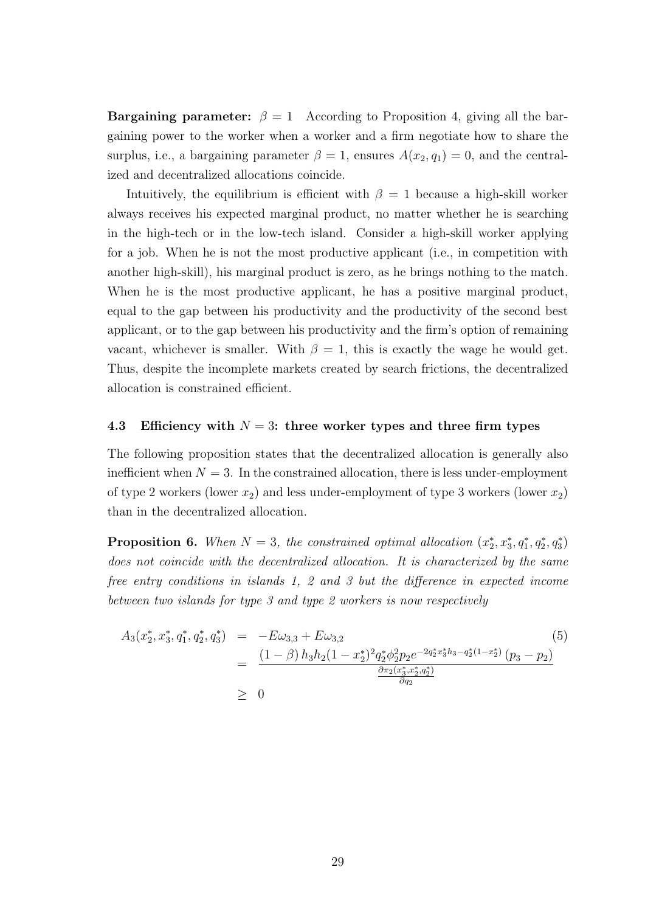**Bargaining parameter:**  $\beta = 1$  According to Proposition 4, giving all the bargaining power to the worker when a worker and a firm negotiate how to share the surplus, i.e., a bargaining parameter  $\beta = 1$ , ensures  $A(x_2, q_1) = 0$ , and the centralized and decentralized allocations coincide.

Intuitively, the equilibrium is efficient with  $\beta = 1$  because a high-skill worker always receives his expected marginal product, no matter whether he is searching in the high-tech or in the low-tech island. Consider a high-skill worker applying for a job. When he is not the most productive applicant (i.e., in competition with another high-skill), his marginal product is zero, as he brings nothing to the match. When he is the most productive applicant, he has a positive marginal product, equal to the gap between his productivity and the productivity of the second best applicant, or to the gap between his productivity and the firm's option of remaining vacant, whichever is smaller. With  $\beta = 1$ , this is exactly the wage he would get. Thus, despite the incomplete markets created by search frictions, the decentralized allocation is constrained efficient.

#### 4.3 Efficiency with  $N = 3$ : three worker types and three firm types

The following proposition states that the decentralized allocation is generally also inefficient when  $N = 3$ . In the constrained allocation, there is less under-employment of type 2 workers (lower  $x_2$ ) and less under-employment of type 3 workers (lower  $x_2$ ) than in the decentralized allocation.

**Proposition 6.** When  $N = 3$ , the constrained optimal allocation  $(x_2^*, x_3^*, q_1^*, q_2^*, q_3^*)$ does not coincide with the decentralized allocation. It is characterized by the same free entry conditions in islands 1, 2 and 3 but the difference in expected income between two islands for type 3 and type 2 workers is now respectively

$$
A_3(x_2^*, x_3^*, q_1^*, q_2^*, q_3^*) = -E\omega_{3,3} + E\omega_{3,2}
$$
\n
$$
= \frac{(1-\beta)h_3h_2(1-x_2^*)^2q_2^*\phi_2^2p_2e^{-2q_2^*x_3^*h_3-q_2^*(1-x_2^*)}(p_3-p_2)}{\frac{\partial\pi_2(x_3^*, x_2^*, q_2^*)}{\partial q_2}}
$$
\n
$$
\geq 0
$$
\n(5)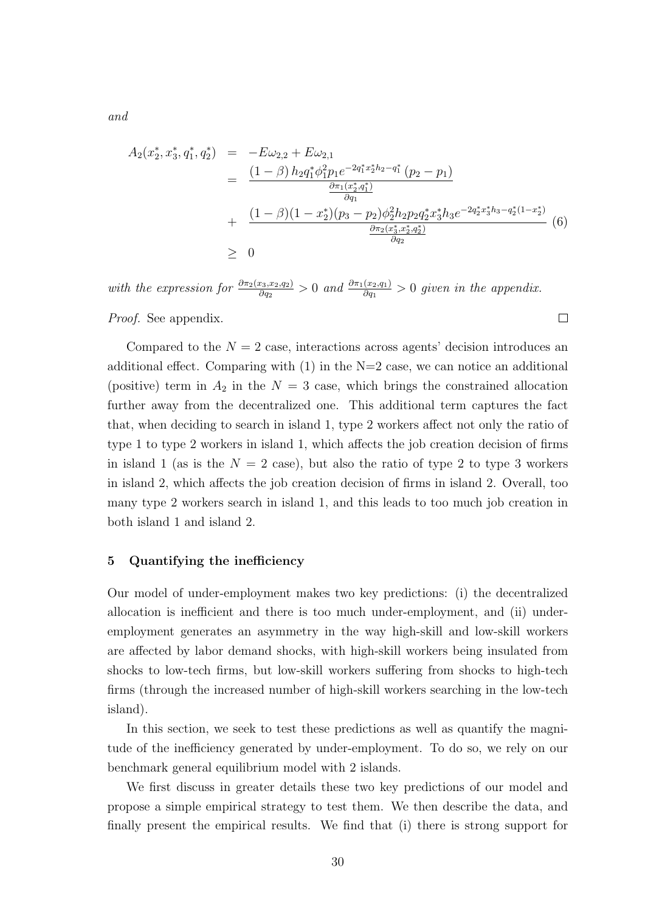$$
A_2(x_2^*, x_3^*, q_1^*, q_2^*) = -E\omega_{2,2} + E\omega_{2,1}
$$
  
\n
$$
= \frac{(1-\beta) h_2 q_1^* \phi_1^2 p_1 e^{-2q_1^* x_2^* h_2 - q_1^*} (p_2 - p_1)}{\frac{\partial \pi_1(x_2^*, q_1^*)}{\partial q_1}}
$$
  
\n
$$
+ \frac{(1-\beta)(1-x_2^*)(p_3 - p_2)\phi_2^2 h_2 p_2 q_2^* x_3^* h_3 e^{-2q_2^* x_3^* h_3 - q_2^* (1-x_2^*)}}{\frac{\partial \pi_2(x_3^*, x_2^*, q_2^*)}{\partial q_2}} (6)
$$

 $\Box$ 

with the expression for  $\frac{\partial \pi_2(x_3, x_2, q_2)}{\partial q_2} > 0$  and  $\frac{\partial \pi_1(x_2, q_1)}{\partial q_1} > 0$  given in the appendix.

Proof. See appendix.

Compared to the  $N = 2$  case, interactions across agents' decision introduces an additional effect. Comparing with  $(1)$  in the N=2 case, we can notice an additional (positive) term in  $A_2$  in the  $N = 3$  case, which brings the constrained allocation further away from the decentralized one. This additional term captures the fact that, when deciding to search in island 1, type 2 workers affect not only the ratio of type 1 to type 2 workers in island 1, which affects the job creation decision of firms in island 1 (as is the  $N = 2$  case), but also the ratio of type 2 to type 3 workers in island 2, which affects the job creation decision of firms in island 2. Overall, too many type 2 workers search in island 1, and this leads to too much job creation in both island 1 and island 2.

## 5 Quantifying the inefficiency

Our model of under-employment makes two key predictions: (i) the decentralized allocation is inefficient and there is too much under-employment, and (ii) underemployment generates an asymmetry in the way high-skill and low-skill workers are affected by labor demand shocks, with high-skill workers being insulated from shocks to low-tech firms, but low-skill workers suffering from shocks to high-tech firms (through the increased number of high-skill workers searching in the low-tech island).

In this section, we seek to test these predictions as well as quantify the magnitude of the inefficiency generated by under-employment. To do so, we rely on our benchmark general equilibrium model with 2 islands.

We first discuss in greater details these two key predictions of our model and propose a simple empirical strategy to test them. We then describe the data, and finally present the empirical results. We find that (i) there is strong support for

and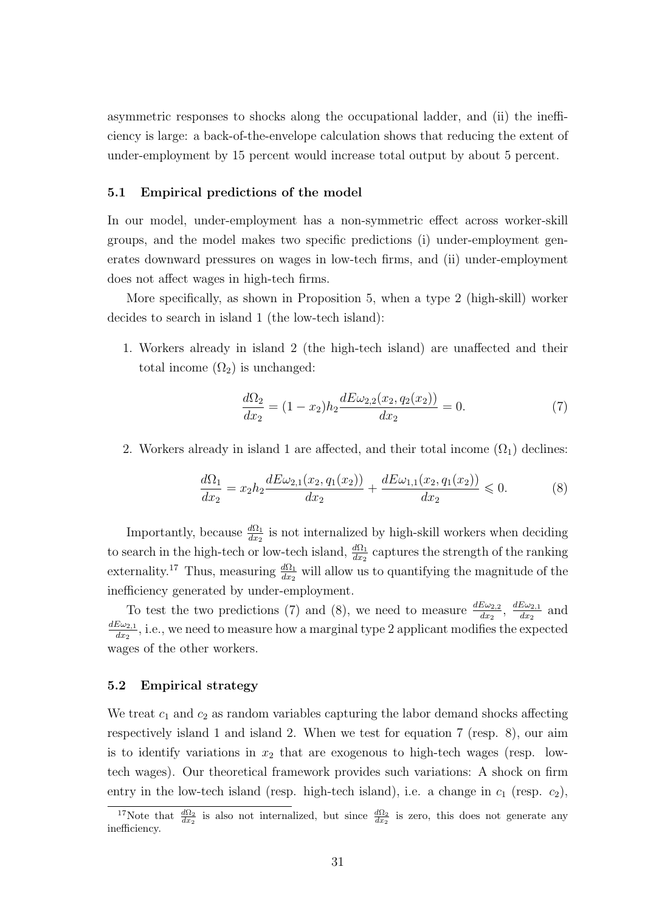asymmetric responses to shocks along the occupational ladder, and (ii) the inefficiency is large: a back-of-the-envelope calculation shows that reducing the extent of under-employment by 15 percent would increase total output by about 5 percent.

#### 5.1 Empirical predictions of the model

In our model, under-employment has a non-symmetric effect across worker-skill groups, and the model makes two specific predictions (i) under-employment generates downward pressures on wages in low-tech firms, and (ii) under-employment does not affect wages in high-tech firms.

More specifically, as shown in Proposition 5, when a type 2 (high-skill) worker decides to search in island 1 (the low-tech island):

1. Workers already in island 2 (the high-tech island) are unaffected and their total income  $(\Omega_2)$  is unchanged:

$$
\frac{d\Omega_2}{dx_2} = (1 - x_2)h_2 \frac{dE\omega_{2,2}(x_2, q_2(x_2))}{dx_2} = 0.
$$
\n(7)

2. Workers already in island 1 are affected, and their total income  $(\Omega_1)$  declines:

$$
\frac{d\Omega_1}{dx_2} = x_2 h_2 \frac{dE\omega_{2,1}(x_2, q_1(x_2))}{dx_2} + \frac{dE\omega_{1,1}(x_2, q_1(x_2))}{dx_2} \le 0.
$$
\n(8)

Importantly, because  $\frac{d\Omega_1}{dx_2}$  is not internalized by high-skill workers when deciding to search in the high-tech or low-tech island,  $\frac{d\Omega_1}{dx_2}$  captures the strength of the ranking externality.<sup>17</sup> Thus, measuring  $\frac{d\Omega_1}{dx_2}$  will allow us to quantifying the magnitude of the inefficiency generated by under-employment.

To test the two predictions (7) and (8), we need to measure  $\frac{dE\omega_{2,2}}{dx_2}$ ,  $\frac{dE\omega_{2,1}}{dx_2}$  $rac{E\omega_{2,1}}{dx_2}$  and  $dE\omega_{2,1}$  $\frac{\partial \omega_{2,1}}{\partial x_2}$ , i.e., we need to measure how a marginal type 2 applicant modifies the expected wages of the other workers.

# 5.2 Empirical strategy

We treat  $c_1$  and  $c_2$  as random variables capturing the labor demand shocks affecting respectively island 1 and island 2. When we test for equation 7 (resp. 8), our aim is to identify variations in  $x_2$  that are exogenous to high-tech wages (resp. lowtech wages). Our theoretical framework provides such variations: A shock on firm entry in the low-tech island (resp. high-tech island), i.e. a change in  $c_1$  (resp.  $c_2$ ),

<sup>&</sup>lt;sup>17</sup>Note that  $\frac{d\Omega_2}{dx_2}$  is also not internalized, but since  $\frac{d\Omega_2}{dx_2}$  is zero, this does not generate any inefficiency.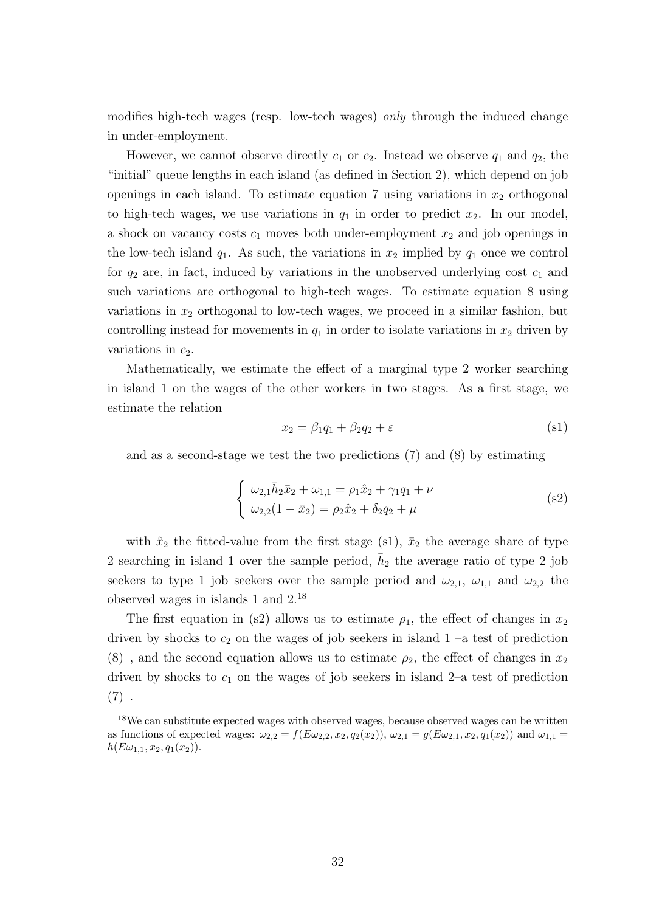modifies high-tech wages (resp. low-tech wages) only through the induced change in under-employment.

However, we cannot observe directly  $c_1$  or  $c_2$ . Instead we observe  $q_1$  and  $q_2$ , the "initial" queue lengths in each island (as defined in Section 2), which depend on job openings in each island. To estimate equation 7 using variations in  $x_2$  orthogonal to high-tech wages, we use variations in  $q_1$  in order to predict  $x_2$ . In our model, a shock on vacancy costs  $c_1$  moves both under-employment  $x_2$  and job openings in the low-tech island  $q_1$ . As such, the variations in  $x_2$  implied by  $q_1$  once we control for  $q_2$  are, in fact, induced by variations in the unobserved underlying cost  $c_1$  and such variations are orthogonal to high-tech wages. To estimate equation 8 using variations in  $x_2$  orthogonal to low-tech wages, we proceed in a similar fashion, but controlling instead for movements in  $q_1$  in order to isolate variations in  $x_2$  driven by variations in  $c_2$ .

Mathematically, we estimate the effect of a marginal type 2 worker searching in island 1 on the wages of the other workers in two stages. As a first stage, we estimate the relation

$$
x_2 = \beta_1 q_1 + \beta_2 q_2 + \varepsilon \tag{s1}
$$

and as a second-stage we test the two predictions (7) and (8) by estimating

$$
\begin{cases}\n\omega_{2,1}\bar{h}_2\bar{x}_2 + \omega_{1,1} = \rho_1\hat{x}_2 + \gamma_1q_1 + \nu \\
\omega_{2,2}(1-\bar{x}_2) = \rho_2\hat{x}_2 + \delta_2q_2 + \mu\n\end{cases}
$$
\n(s2)

with  $\hat{x}_2$  the fitted-value from the first stage (s1),  $\bar{x}_2$  the average share of type 2 searching in island 1 over the sample period,  $\bar{h}_2$  the average ratio of type 2 job seekers to type 1 job seekers over the sample period and  $\omega_{2,1}$ ,  $\omega_{1,1}$  and  $\omega_{2,2}$  the observed wages in islands 1 and 2.<sup>18</sup>

The first equation in (s2) allows us to estimate  $\rho_1$ , the effect of changes in  $x_2$ driven by shocks to  $c_2$  on the wages of job seekers in island  $1$  –a test of prediction  $(8)$ –, and the second equation allows us to estimate  $\rho_2$ , the effect of changes in  $x_2$ driven by shocks to  $c_1$  on the wages of job seekers in island 2–a test of prediction  $(7)-$ 

<sup>18</sup>We can substitute expected wages with observed wages, because observed wages can be written as functions of expected wages:  $\omega_{2,2} = f(E\omega_{2,2}, x_2, q_2(x_2))$ ,  $\omega_{2,1} = g(E\omega_{2,1}, x_2, q_1(x_2))$  and  $\omega_{1,1} = g(E\omega_{1,1}, x_2, q_1(x_2))$  $h(E\omega_{1,1}, x_2, q_1(x_2)).$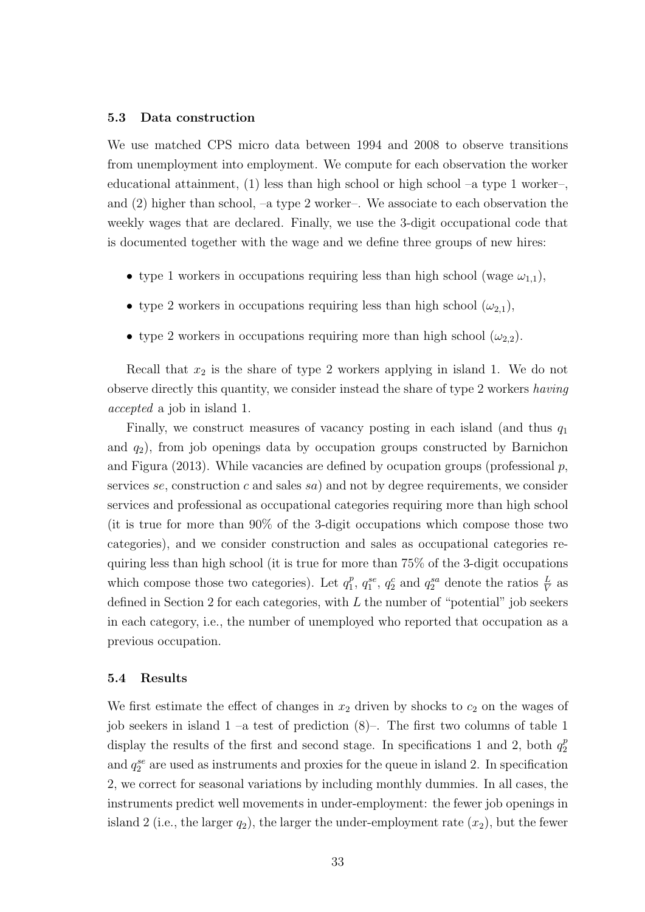#### 5.3 Data construction

We use matched CPS micro data between 1994 and 2008 to observe transitions from unemployment into employment. We compute for each observation the worker educational attainment, (1) less than high school or high school –a type 1 worker–, and (2) higher than school, –a type 2 worker–. We associate to each observation the weekly wages that are declared. Finally, we use the 3-digit occupational code that is documented together with the wage and we define three groups of new hires:

- type 1 workers in occupations requiring less than high school (wage  $\omega_{1,1}$ ),
- type 2 workers in occupations requiring less than high school  $(\omega_{2,1}),$
- type 2 workers in occupations requiring more than high school  $(\omega_{2,2})$ .

Recall that  $x_2$  is the share of type 2 workers applying in island 1. We do not observe directly this quantity, we consider instead the share of type 2 workers having accepted a job in island 1.

Finally, we construct measures of vacancy posting in each island (and thus  $q_1$ ) and  $q_2$ ), from job openings data by occupation groups constructed by Barnichon and Figura (2013). While vacancies are defined by ocupation groups (professional  $p$ , services se, construction c and sales sa) and not by degree requirements, we consider services and professional as occupational categories requiring more than high school (it is true for more than 90% of the 3-digit occupations which compose those two categories), and we consider construction and sales as occupational categories requiring less than high school (it is true for more than 75% of the 3-digit occupations which compose those two categories). Let  $q_1^p$  $_1^p$ ,  $q_1^{se}$ ,  $q_2^c$  and  $q_2^{sa}$  denote the ratios  $\frac{L}{V}$  as defined in Section 2 for each categories, with  $L$  the number of "potential" job seekers in each category, i.e., the number of unemployed who reported that occupation as a previous occupation.

# 5.4 Results

We first estimate the effect of changes in  $x_2$  driven by shocks to  $c_2$  on the wages of job seekers in island  $1 - a$  test of prediction  $(8)$ -. The first two columns of table 1 display the results of the first and second stage. In specifications 1 and 2, both  $q_2^p$ 2 and  $q_2^{se}$  are used as instruments and proxies for the queue in island 2. In specification 2, we correct for seasonal variations by including monthly dummies. In all cases, the instruments predict well movements in under-employment: the fewer job openings in island 2 (i.e., the larger  $q_2$ ), the larger the under-employment rate  $(x_2)$ , but the fewer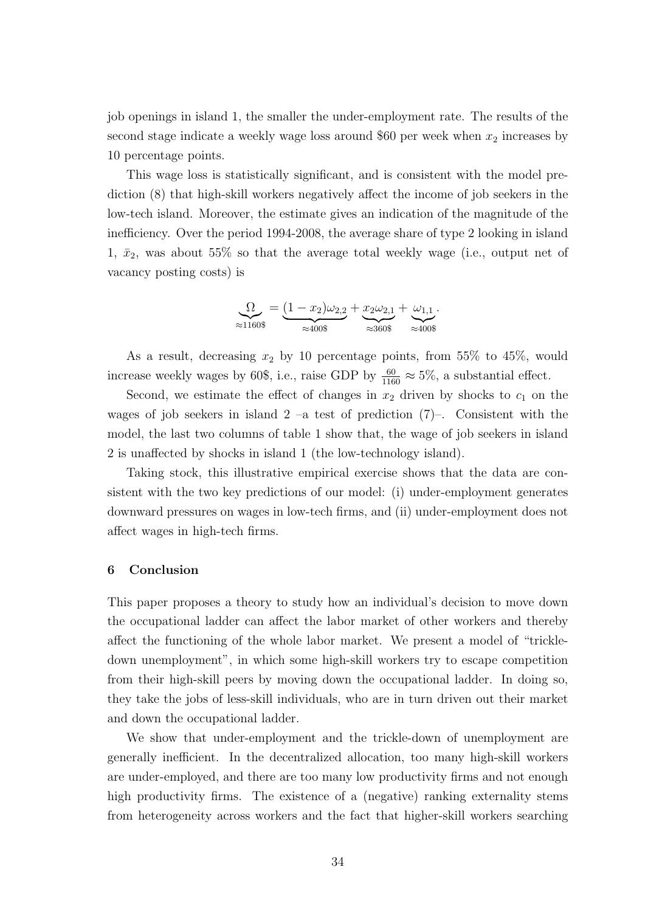job openings in island 1, the smaller the under-employment rate. The results of the second stage indicate a weekly wage loss around \$60 per week when  $x_2$  increases by 10 percentage points.

This wage loss is statistically significant, and is consistent with the model prediction (8) that high-skill workers negatively affect the income of job seekers in the low-tech island. Moreover, the estimate gives an indication of the magnitude of the inefficiency. Over the period 1994-2008, the average share of type 2 looking in island 1,  $\bar{x}_2$ , was about 55% so that the average total weekly wage (i.e., output net of vacancy posting costs) is

$$
\underset{\approx 1160\$}{\Omega} = \underbrace{(1-x_2)\omega_{2,2}}_{\approx 400\$} + \underbrace{x_2\omega_{2,1}}_{\approx 360\$} + \underbrace{\omega_{1,1}}_{\approx 400\$}.
$$

As a result, decreasing  $x_2$  by 10 percentage points, from 55% to 45%, would increase weekly wages by 60\$, i.e., raise GDP by  $\frac{60}{1160} \approx 5\%$ , a substantial effect.

Second, we estimate the effect of changes in  $x_2$  driven by shocks to  $c_1$  on the wages of job seekers in island  $2 -a$  test of prediction  $(7)$ –. Consistent with the model, the last two columns of table 1 show that, the wage of job seekers in island 2 is unaffected by shocks in island 1 (the low-technology island).

Taking stock, this illustrative empirical exercise shows that the data are consistent with the two key predictions of our model: (i) under-employment generates downward pressures on wages in low-tech firms, and (ii) under-employment does not affect wages in high-tech firms.

# 6 Conclusion

This paper proposes a theory to study how an individual's decision to move down the occupational ladder can affect the labor market of other workers and thereby affect the functioning of the whole labor market. We present a model of "trickledown unemployment", in which some high-skill workers try to escape competition from their high-skill peers by moving down the occupational ladder. In doing so, they take the jobs of less-skill individuals, who are in turn driven out their market and down the occupational ladder.

We show that under-employment and the trickle-down of unemployment are generally inefficient. In the decentralized allocation, too many high-skill workers are under-employed, and there are too many low productivity firms and not enough high productivity firms. The existence of a (negative) ranking externality stems from heterogeneity across workers and the fact that higher-skill workers searching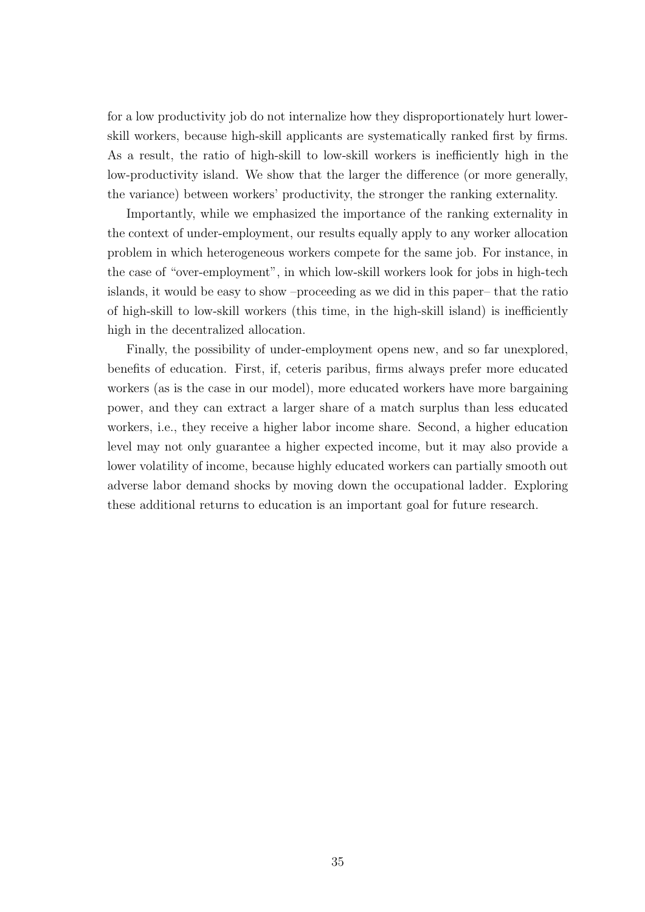for a low productivity job do not internalize how they disproportionately hurt lowerskill workers, because high-skill applicants are systematically ranked first by firms. As a result, the ratio of high-skill to low-skill workers is inefficiently high in the low-productivity island. We show that the larger the difference (or more generally, the variance) between workers' productivity, the stronger the ranking externality.

Importantly, while we emphasized the importance of the ranking externality in the context of under-employment, our results equally apply to any worker allocation problem in which heterogeneous workers compete for the same job. For instance, in the case of "over-employment", in which low-skill workers look for jobs in high-tech islands, it would be easy to show –proceeding as we did in this paper– that the ratio of high-skill to low-skill workers (this time, in the high-skill island) is inefficiently high in the decentralized allocation.

Finally, the possibility of under-employment opens new, and so far unexplored, benefits of education. First, if, ceteris paribus, firms always prefer more educated workers (as is the case in our model), more educated workers have more bargaining power, and they can extract a larger share of a match surplus than less educated workers, i.e., they receive a higher labor income share. Second, a higher education level may not only guarantee a higher expected income, but it may also provide a lower volatility of income, because highly educated workers can partially smooth out adverse labor demand shocks by moving down the occupational ladder. Exploring these additional returns to education is an important goal for future research.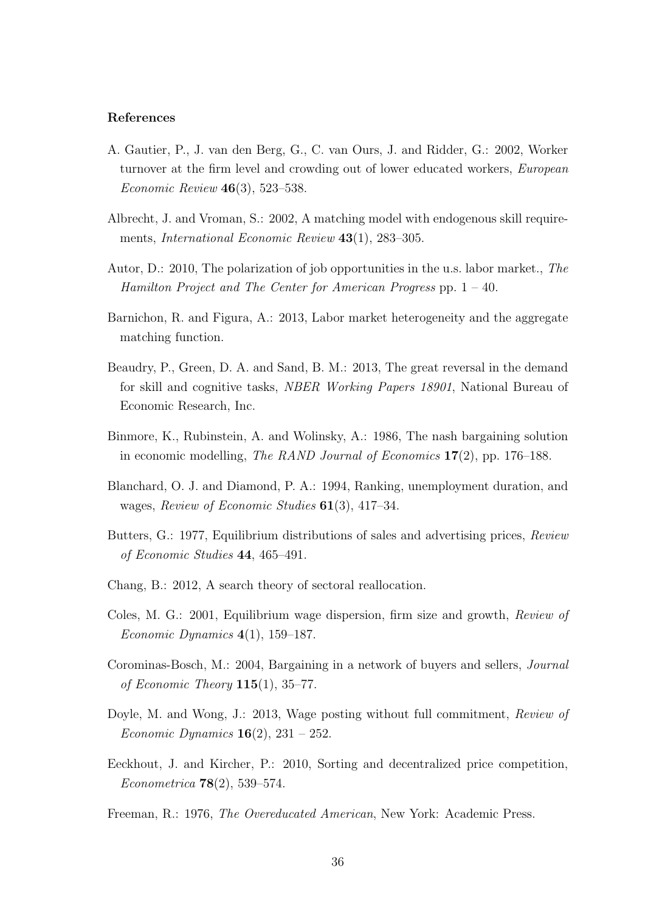### References

- A. Gautier, P., J. van den Berg, G., C. van Ours, J. and Ridder, G.: 2002, Worker turnover at the firm level and crowding out of lower educated workers, European Economic Review 46(3), 523–538.
- Albrecht, J. and Vroman, S.: 2002, A matching model with endogenous skill requirements, *International Economic Review* 43(1), 283–305.
- Autor, D.: 2010, The polarization of job opportunities in the u.s. labor market., The Hamilton Project and The Center for American Progress pp. 1 – 40.
- Barnichon, R. and Figura, A.: 2013, Labor market heterogeneity and the aggregate matching function.
- Beaudry, P., Green, D. A. and Sand, B. M.: 2013, The great reversal in the demand for skill and cognitive tasks, NBER Working Papers 18901, National Bureau of Economic Research, Inc.
- Binmore, K., Rubinstein, A. and Wolinsky, A.: 1986, The nash bargaining solution in economic modelling, The RAND Journal of Economics  $17(2)$ , pp. 176–188.
- Blanchard, O. J. and Diamond, P. A.: 1994, Ranking, unemployment duration, and wages, Review of Economic Studies 61(3), 417-34.
- Butters, G.: 1977, Equilibrium distributions of sales and advertising prices, Review of Economic Studies 44, 465–491.
- Chang, B.: 2012, A search theory of sectoral reallocation.
- Coles, M. G.: 2001, Equilibrium wage dispersion, firm size and growth, Review of Economic Dynamics  $4(1)$ , 159–187.
- Corominas-Bosch, M.: 2004, Bargaining in a network of buyers and sellers, Journal of Economic Theory  $115(1)$ , 35–77.
- Doyle, M. and Wong, J.: 2013, Wage posting without full commitment, Review of *Economic Dynamics* **16**(2), 231 – 252.
- Eeckhout, J. and Kircher, P.: 2010, Sorting and decentralized price competition, Econometrica 78(2), 539–574.

Freeman, R.: 1976, The Overeducated American, New York: Academic Press.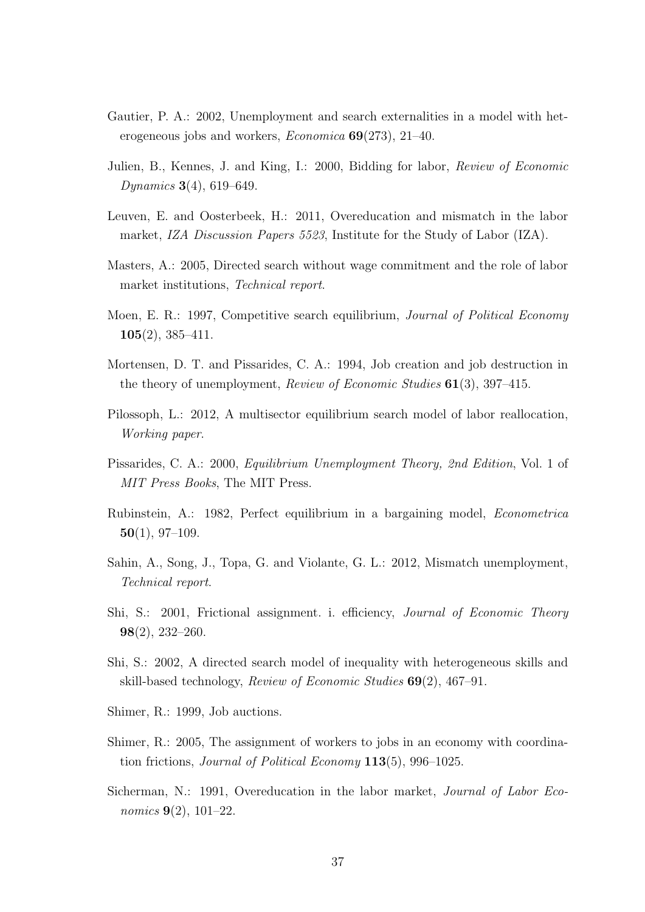- Gautier, P. A.: 2002, Unemployment and search externalities in a model with heterogeneous jobs and workers, *Economica*  $69(273)$ , 21–40.
- Julien, B., Kennes, J. and King, I.: 2000, Bidding for labor, Review of Economic Dynamics 3(4), 619–649.
- Leuven, E. and Oosterbeek, H.: 2011, Overeducation and mismatch in the labor market, IZA Discussion Papers 5523, Institute for the Study of Labor (IZA).
- Masters, A.: 2005, Directed search without wage commitment and the role of labor market institutions, Technical report.
- Moen, E. R.: 1997, Competitive search equilibrium, *Journal of Political Economy* 105(2), 385–411.
- Mortensen, D. T. and Pissarides, C. A.: 1994, Job creation and job destruction in the theory of unemployment, *Review of Economic Studies*  $61(3)$ , 397–415.
- Pilossoph, L.: 2012, A multisector equilibrium search model of labor reallocation, Working paper.
- Pissarides, C. A.: 2000, Equilibrium Unemployment Theory, 2nd Edition, Vol. 1 of MIT Press Books, The MIT Press.
- Rubinstein, A.: 1982, Perfect equilibrium in a bargaining model, Econometrica  $50(1), 97-109.$
- Sahin, A., Song, J., Topa, G. and Violante, G. L.: 2012, Mismatch unemployment, Technical report.
- Shi, S.: 2001, Frictional assignment. i. efficiency, Journal of Economic Theory 98(2), 232–260.
- Shi, S.: 2002, A directed search model of inequality with heterogeneous skills and skill-based technology, Review of Economic Studies 69(2), 467–91.
- Shimer, R.: 1999, Job auctions.
- Shimer, R.: 2005, The assignment of workers to jobs in an economy with coordination frictions, Journal of Political Economy 113(5), 996–1025.
- Sicherman, N.: 1991, Overeducation in the labor market, Journal of Labor Economics  $9(2)$ , 101–22.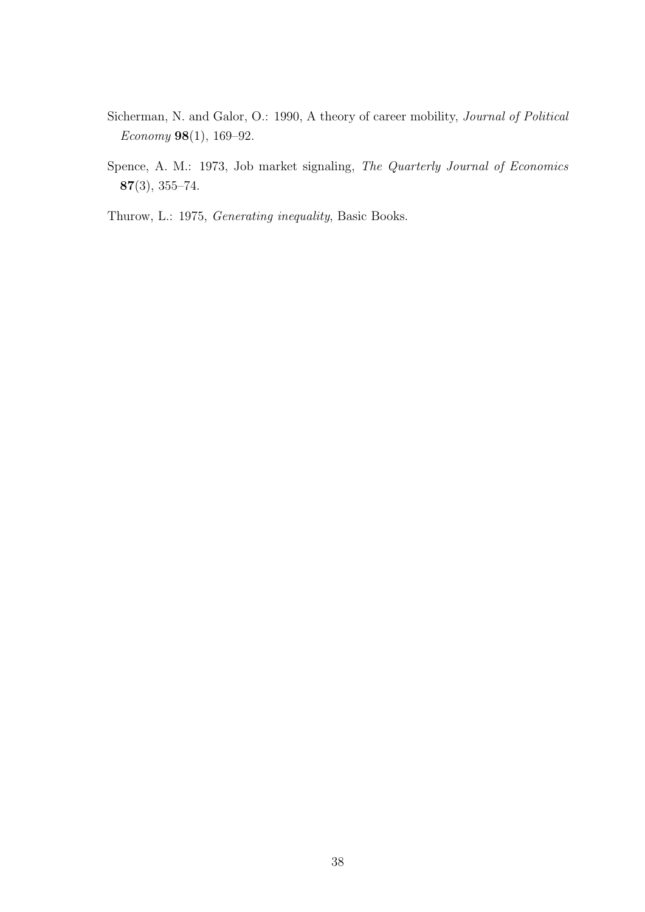- Sicherman, N. and Galor, O.: 1990, A theory of career mobility, Journal of Political Economy 98(1), 169–92.
- Spence, A. M.: 1973, Job market signaling, The Quarterly Journal of Economics 87(3), 355–74.
- Thurow, L.: 1975, Generating inequality, Basic Books.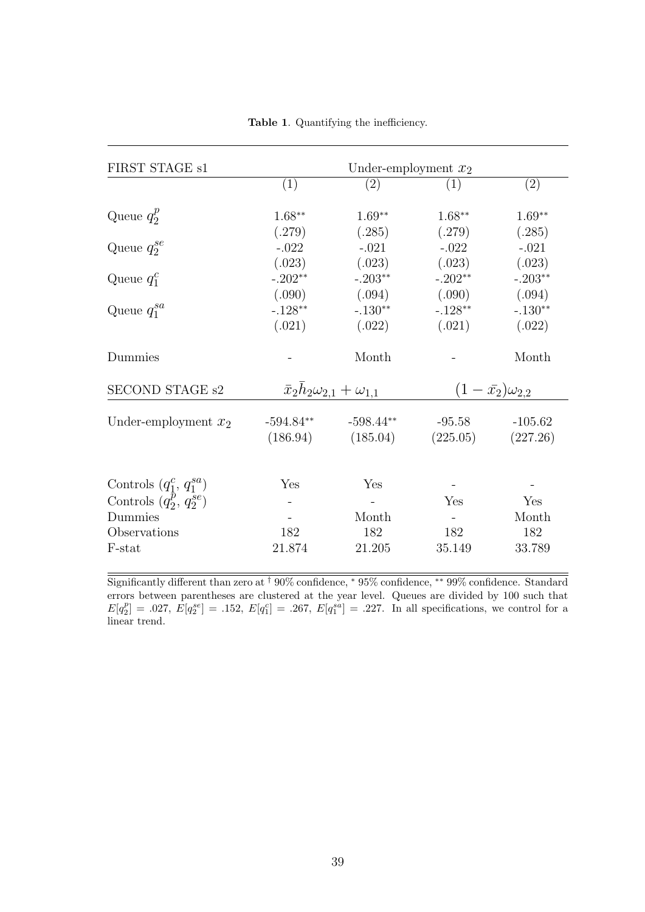| FIRST STAGE s1                                                                                    | Under-employment $x_2$                    |                                           |                                   |                               |
|---------------------------------------------------------------------------------------------------|-------------------------------------------|-------------------------------------------|-----------------------------------|-------------------------------|
|                                                                                                   | (1)                                       | (2)                                       | (1)                               | (2)                           |
| Queue $q_2^p$                                                                                     | $1.68***$<br>(.279)                       | $1.69**$<br>(.285)                        | $1.68***$<br>(.279)               | $1.69**$<br>(.285)            |
| Queue $q_2^{se}$                                                                                  | $-.022$<br>(.023)                         | $-.021$<br>(.023)                         | $-.022$<br>(.023)                 | $-.021$<br>(.023)             |
| Queue $q_1^c$                                                                                     | $-.202**$                                 | $-.203**$                                 | $-.202**$                         | $-.203**$                     |
| Queue $q_1^{sa}$                                                                                  | (.090)<br>$-.128**$<br>(.021)             | (.094)<br>$-.130**$<br>(.022)             | (.090)<br>$-.128**$<br>(.021)     | (.094)<br>$-.130**$<br>(.022) |
| Dummies                                                                                           |                                           | Month                                     |                                   | Month                         |
| SECOND STAGE s2                                                                                   | $\bar{x}_2h_2\omega_{2,1} + \omega_{1,1}$ |                                           | $(1-\bar{x_2})\omega_{2,2}$       |                               |
| Under-employment $x_2$                                                                            | $-594.84**$                               | $-598.44**$<br>$(186.94)$ $(185.04)$      | $-95.58$<br>$(225.05)$ $(227.26)$ | $-105.62$                     |
| Controls $(q_1^c, q_1^{sa})$<br>Controls $(q_2^p, q_2^{se})$<br>Dummies<br>Observations<br>F-stat | Yes<br>182<br>21.874                      | Yes<br>$\equiv$<br>Month<br>182<br>21.205 | Yes<br>182<br>35.149              | Yes<br>Month<br>182<br>33.789 |

Table 1. Quantifying the inefficiency.

Significantly different than zero at † 90% confidence, <sup>∗</sup> 95% confidence, ∗∗ 99% confidence. Standard errors between parentheses are clustered at the year level. Queues are divided by 100 such that  $E[q_2^p] = .027, E[q_2^{se}] = .152, E[q_1^{c}] = .267, E[q_1^{sa}] = .227.$  In all specifications, we control for a linear trend.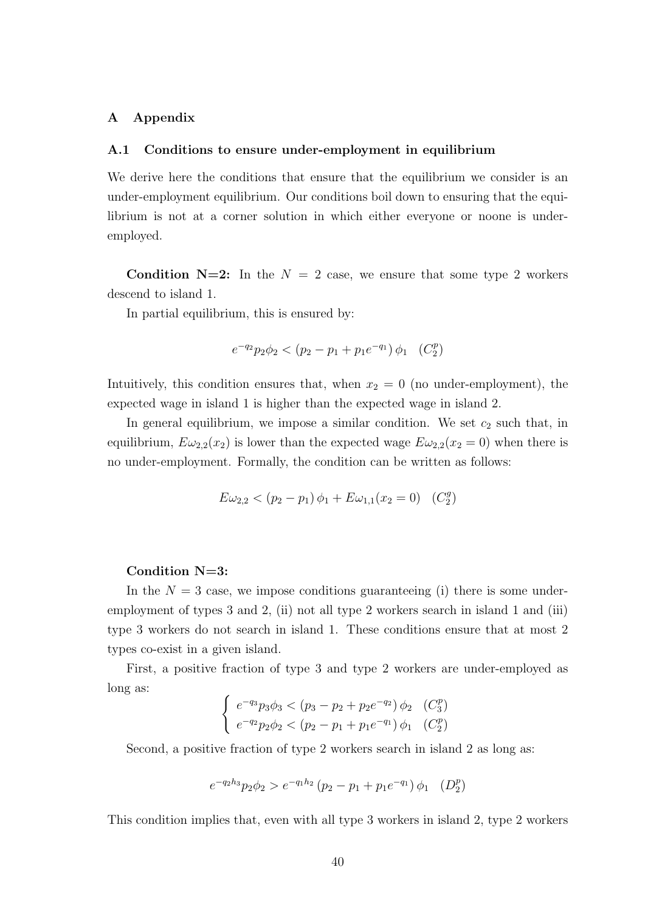# A Appendix

#### A.1 Conditions to ensure under-employment in equilibrium

We derive here the conditions that ensure that the equilibrium we consider is an under-employment equilibrium. Our conditions boil down to ensuring that the equilibrium is not at a corner solution in which either everyone or noone is underemployed.

**Condition N=2:** In the  $N = 2$  case, we ensure that some type 2 workers descend to island 1.

In partial equilibrium, this is ensured by:

$$
e^{-q_2}p_2\phi_2 < (p_2 - p_1 + p_1e^{-q_1})\phi_1 \quad (C_2^p)
$$

Intuitively, this condition ensures that, when  $x_2 = 0$  (no under-employment), the expected wage in island 1 is higher than the expected wage in island 2.

In general equilibrium, we impose a similar condition. We set  $c_2$  such that, in equilibrium,  $E\omega_{2,2}(x_2)$  is lower than the expected wage  $E\omega_{2,2}(x_2 = 0)$  when there is no under-employment. Formally, the condition can be written as follows:

$$
E\omega_{2,2} < (p_2 - p_1)\phi_1 + E\omega_{1,1}(x_2 = 0) \quad (C_2^g)
$$

# Condition  $N=3$ :

In the  $N = 3$  case, we impose conditions guaranteeing (i) there is some underemployment of types 3 and 2, (ii) not all type 2 workers search in island 1 and (iii) type 3 workers do not search in island 1. These conditions ensure that at most 2 types co-exist in a given island.

First, a positive fraction of type 3 and type 2 workers are under-employed as long as:

$$
\begin{cases}\ne^{-q_3}p_3\phi_3 < (p_3 - p_2 + p_2 e^{-q_2})\phi_2 & (C_3^p) \\
e^{-q_2}p_2\phi_2 < (p_2 - p_1 + p_1 e^{-q_1})\phi_1 & (C_2^p)\n\end{cases}
$$

Second, a positive fraction of type 2 workers search in island 2 as long as:

$$
e^{-q_2h_3}p_2\phi_2 > e^{-q_1h_2}(p_2 - p_1 + p_1e^{-q_1})\phi_1 \quad (D_2^p)
$$

This condition implies that, even with all type 3 workers in island 2, type 2 workers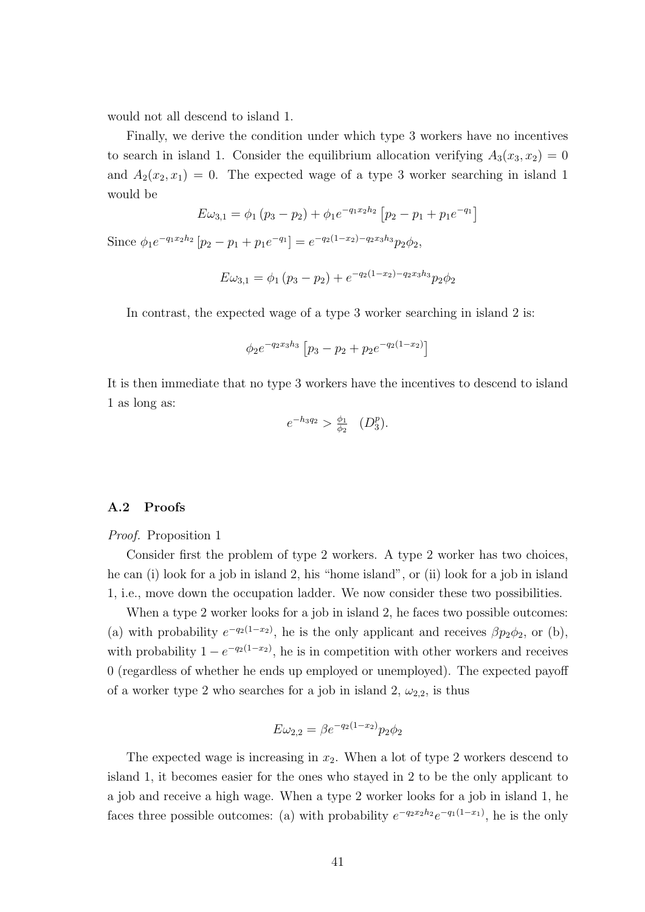would not all descend to island 1.

Finally, we derive the condition under which type 3 workers have no incentives to search in island 1. Consider the equilibrium allocation verifying  $A_3(x_3, x_2) = 0$ and  $A_2(x_2, x_1) = 0$ . The expected wage of a type 3 worker searching in island 1 would be

$$
E\omega_{3,1} = \phi_1 (p_3 - p_2) + \phi_1 e^{-q_1 x_2 h_2} [p_2 - p_1 + p_1 e^{-q_1}]
$$

Since  $\phi_1 e^{-q_1 x_2 h_2} [p_2 - p_1 + p_1 e^{-q_1}] = e^{-q_2 (1 - x_2) - q_2 x_3 h_3} p_2 \phi_2$ 

$$
E\omega_{3,1} = \phi_1 \left(p_3 - p_2\right) + e^{-q_2(1-x_2) - q_2 x_3 h_3} p_2 \phi_2
$$

In contrast, the expected wage of a type 3 worker searching in island 2 is:

$$
\phi_2 e^{-q_2 x_3 h_3} \left[ p_3 - p_2 + p_2 e^{-q_2 (1 - x_2)} \right]
$$

It is then immediate that no type 3 workers have the incentives to descend to island 1 as long as:

$$
e^{-h_3 q_2} > \frac{\phi_1}{\phi_2} \quad (D_3^p).
$$

#### A.2 Proofs

Proof. Proposition 1

Consider first the problem of type 2 workers. A type 2 worker has two choices, he can (i) look for a job in island 2, his "home island", or (ii) look for a job in island 1, i.e., move down the occupation ladder. We now consider these two possibilities.

When a type 2 worker looks for a job in island 2, he faces two possible outcomes: (a) with probability  $e^{-q_2(1-x_2)}$ , he is the only applicant and receives  $\beta p_2 \phi_2$ , or (b), with probability  $1 - e^{-q_2(1-x_2)}$ , he is in competition with other workers and receives 0 (regardless of whether he ends up employed or unemployed). The expected payoff of a worker type 2 who searches for a job in island 2,  $\omega_{2,2}$ , is thus

$$
E\omega_{2,2} = \beta e^{-q_2(1-x_2)} p_2 \phi_2
$$

The expected wage is increasing in  $x_2$ . When a lot of type 2 workers descend to island 1, it becomes easier for the ones who stayed in 2 to be the only applicant to a job and receive a high wage. When a type 2 worker looks for a job in island 1, he faces three possible outcomes: (a) with probability  $e^{-q_2x_2h_2}e^{-q_1(1-x_1)}$ , he is the only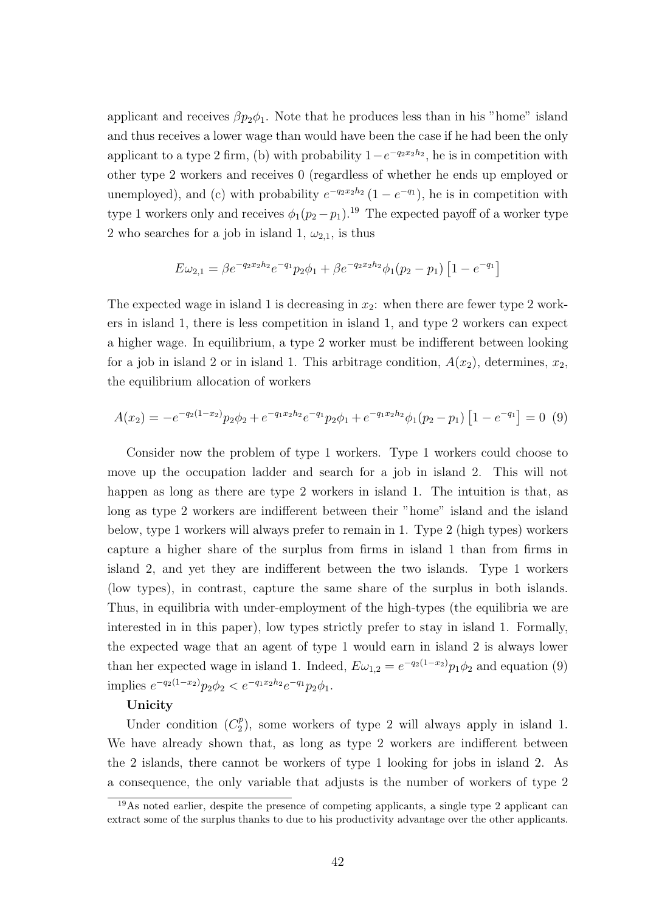applicant and receives  $\beta p_2 \phi_1$ . Note that he produces less than in his "home" island and thus receives a lower wage than would have been the case if he had been the only applicant to a type 2 firm, (b) with probability  $1-e^{-q_2x_2h_2}$ , he is in competition with other type 2 workers and receives 0 (regardless of whether he ends up employed or unemployed), and (c) with probability  $e^{-q_2x_2h_2}(1-e^{-q_1})$ , he is in competition with type 1 workers only and receives  $\phi_1(p_2 - p_1)^{19}$ . The expected payoff of a worker type 2 who searches for a job in island 1,  $\omega_{2,1}$ , is thus

$$
E\omega_{2,1} = \beta e^{-q_2 x_2 h_2} e^{-q_1} p_2 \phi_1 + \beta e^{-q_2 x_2 h_2} \phi_1 (p_2 - p_1) \left[ 1 - e^{-q_1} \right]
$$

The expected wage in island 1 is decreasing in  $x_2$ : when there are fewer type 2 workers in island 1, there is less competition in island 1, and type 2 workers can expect a higher wage. In equilibrium, a type 2 worker must be indifferent between looking for a job in island 2 or in island 1. This arbitrage condition,  $A(x_2)$ , determines,  $x_2$ , the equilibrium allocation of workers

$$
A(x_2) = -e^{-q_2(1-x_2)}p_2\phi_2 + e^{-q_1x_2h_2}e^{-q_1}p_2\phi_1 + e^{-q_1x_2h_2}\phi_1(p_2-p_1)\left[1 - e^{-q_1}\right] = 0\tag{9}
$$

Consider now the problem of type 1 workers. Type 1 workers could choose to move up the occupation ladder and search for a job in island 2. This will not happen as long as there are type 2 workers in island 1. The intuition is that, as long as type 2 workers are indifferent between their "home" island and the island below, type 1 workers will always prefer to remain in 1. Type 2 (high types) workers capture a higher share of the surplus from firms in island 1 than from firms in island 2, and yet they are indifferent between the two islands. Type 1 workers (low types), in contrast, capture the same share of the surplus in both islands. Thus, in equilibria with under-employment of the high-types (the equilibria we are interested in in this paper), low types strictly prefer to stay in island 1. Formally, the expected wage that an agent of type 1 would earn in island 2 is always lower than her expected wage in island 1. Indeed,  $E\omega_{1,2} = e^{-q_2(1-x_2)}p_1\phi_2$  and equation (9) implies  $e^{-q_2(1-x_2)}p_2\phi_2 < e^{-q_1x_2h_2}e^{-q_1}p_2\phi_1$ .

# Unicity

Under condition  $(C_2^p)$  $2<sup>p</sup>$ ), some workers of type 2 will always apply in island 1. We have already shown that, as long as type 2 workers are indifferent between the 2 islands, there cannot be workers of type 1 looking for jobs in island 2. As a consequence, the only variable that adjusts is the number of workers of type 2

<sup>19</sup>As noted earlier, despite the presence of competing applicants, a single type 2 applicant can extract some of the surplus thanks to due to his productivity advantage over the other applicants.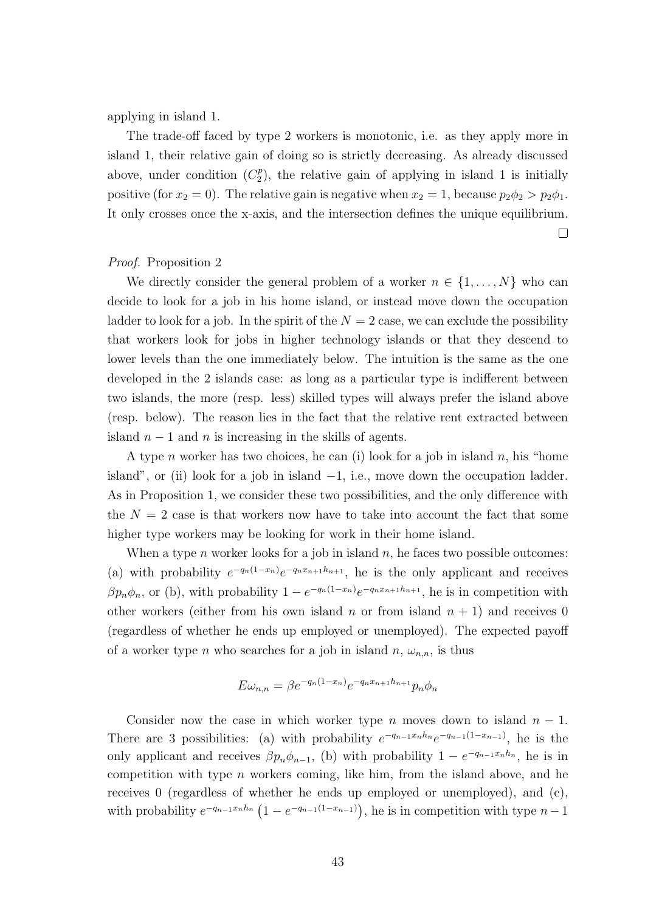applying in island 1.

The trade-off faced by type 2 workers is monotonic, i.e. as they apply more in island 1, their relative gain of doing so is strictly decreasing. As already discussed above, under condition  $(C_2^p)$  $2<sup>p</sup>$ ), the relative gain of applying in island 1 is initially positive (for  $x_2 = 0$ ). The relative gain is negative when  $x_2 = 1$ , because  $p_2 \phi_2 > p_2 \phi_1$ . It only crosses once the x-axis, and the intersection defines the unique equilibrium.

 $\Box$ 

# Proof. Proposition 2

We directly consider the general problem of a worker  $n \in \{1, ..., N\}$  who can decide to look for a job in his home island, or instead move down the occupation ladder to look for a job. In the spirit of the  $N = 2$  case, we can exclude the possibility that workers look for jobs in higher technology islands or that they descend to lower levels than the one immediately below. The intuition is the same as the one developed in the 2 islands case: as long as a particular type is indifferent between two islands, the more (resp. less) skilled types will always prefer the island above (resp. below). The reason lies in the fact that the relative rent extracted between island  $n-1$  and n is increasing in the skills of agents.

A type *n* worker has two choices, he can (i) look for a job in island *n*, his "home island", or (ii) look for a job in island  $-1$ , i.e., move down the occupation ladder. As in Proposition 1, we consider these two possibilities, and the only difference with the  $N = 2$  case is that workers now have to take into account the fact that some higher type workers may be looking for work in their home island.

When a type *n* worker looks for a job in island *n*, he faces two possible outcomes: (a) with probability  $e^{-q_n(1-x_n)}e^{-q_nx_{n+1}h_{n+1}}$ , he is the only applicant and receives  $\beta p_n \phi_n$ , or (b), with probability  $1 - e^{-q_n(1-x_n)} e^{-q_n x_{n+1} h_{n+1}}$ , he is in competition with other workers (either from his own island n or from island  $n + 1$ ) and receives 0 (regardless of whether he ends up employed or unemployed). The expected payoff of a worker type n who searches for a job in island  $n, \omega_{n,n}$ , is thus

$$
E\omega_{n,n} = \beta e^{-q_n(1-x_n)} e^{-q_n x_{n+1} h_{n+1}} p_n \phi_n
$$

Consider now the case in which worker type n moves down to island  $n-1$ . There are 3 possibilities: (a) with probability  $e^{-q_{n-1}x_nh_n}e^{-q_{n-1}(1-x_{n-1})}$ , he is the only applicant and receives  $\beta p_n \phi_{n-1}$ , (b) with probability  $1 - e^{-q_{n-1} x_n h_n}$ , he is in competition with type  $n$  workers coming, like him, from the island above, and he receives 0 (regardless of whether he ends up employed or unemployed), and (c), with probability  $e^{-q_{n-1}x_nh_n}$   $(1-e^{-q_{n-1}(1-x_{n-1})})$ , he is in competition with type  $n-1$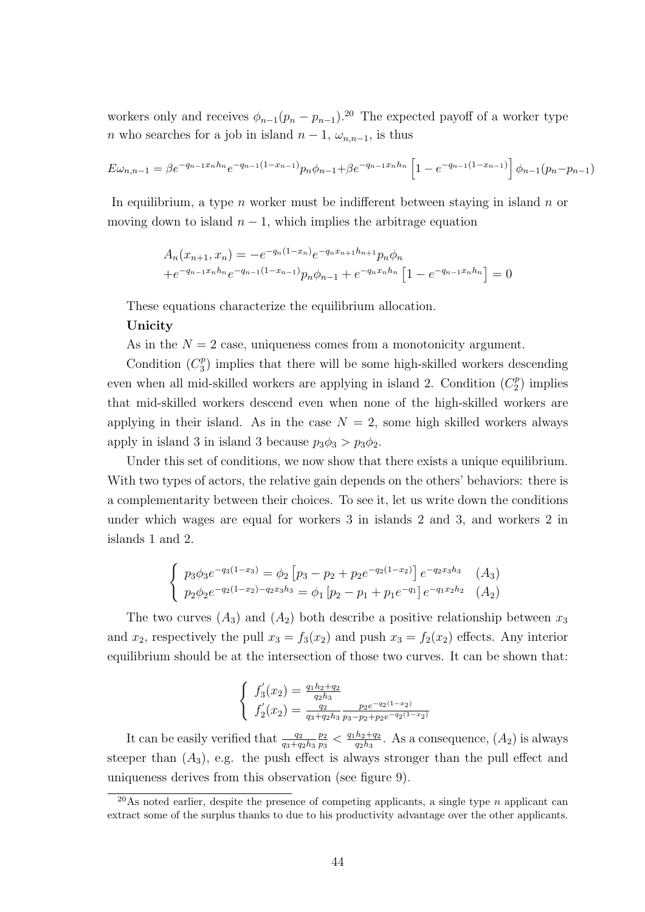workers only and receives  $\phi_{n-1}(p_n - p_{n-1})$ .<sup>20</sup> The expected payoff of a worker type *n* who searches for a job in island  $n-1$ ,  $\omega_{n,n-1}$ , is thus

$$
E\omega_{n,n-1} = \beta e^{-q_{n-1}x_n h_n} e^{-q_{n-1}(1-x_{n-1})} p_n \phi_{n-1} + \beta e^{-q_{n-1}x_n h_n} \left[1 - e^{-q_{n-1}(1-x_{n-1})}\right] \phi_{n-1}(p_n - p_{n-1})
$$

In equilibrium, a type n worker must be indifferent between staying in island n or moving down to island  $n-1$ , which implies the arbitrage equation

$$
A_n(x_{n+1}, x_n) = -e^{-q_n(1-x_n)}e^{-q_n x_{n+1}h_{n+1}} p_n \phi_n
$$
  
+e^{-q\_{n-1}x\_n h\_n}e^{-q\_{n-1}(1-x\_{n-1})} p\_n \phi\_{n-1} + e^{-q\_n x\_n h\_n} [1 - e^{-q\_{n-1}x\_n h\_n}] = 0

These equations characterize the equilibrium allocation.

# Unicity

As in the  $N = 2$  case, uniqueness comes from a monotonicity argument.

Condition  $(C_3^p)$  $\binom{p}{3}$  implies that there will be some high-skilled workers descending even when all mid-skilled workers are applying in island 2. Condition  $(C_2^p)$  $2^p$ ) implies that mid-skilled workers descend even when none of the high-skilled workers are applying in their island. As in the case  $N = 2$ , some high skilled workers always apply in island 3 in island 3 because  $p_3\phi_3 > p_3\phi_2$ .

Under this set of conditions, we now show that there exists a unique equilibrium. With two types of actors, the relative gain depends on the others' behaviors: there is a complementarity between their choices. To see it, let us write down the conditions under which wages are equal for workers 3 in islands 2 and 3, and workers 2 in islands 1 and 2.

$$
\begin{cases}\np_3\phi_3e^{-q_3(1-x_3)} = \phi_2 \left[p_3 - p_2 + p_2e^{-q_2(1-x_2)}\right]e^{-q_2x_3h_3} \\
p_2\phi_2e^{-q_2(1-x_2)-q_2x_3h_3} = \phi_1 \left[p_2 - p_1 + p_1e^{-q_1}\right]e^{-q_1x_2h_2} \\
(A_2)\n\end{cases}
$$

The two curves  $(A_3)$  and  $(A_2)$  both describe a positive relationship between  $x_3$ and  $x_2$ , respectively the pull  $x_3 = f_3(x_2)$  and push  $x_3 = f_2(x_2)$  effects. Any interior equilibrium should be at the intersection of those two curves. It can be shown that:

$$
\begin{cases}\nf_3'(x_2) = \frac{q_1 h_2 + q_2}{q_2 h_3} \\
f_2'(x_2) = \frac{q_2}{q_3 + q_2 h_3} \frac{p_2 e^{-q_2(1-x_2)}}{p_3 - p_2 + p_2 e^{-q_2(1-x_2)}}\n\end{cases}
$$

It can be easily verified that  $\frac{q_2}{q_3+q_2h_3}$  $\overline{p_2}$  $\frac{p_2}{p_3}< \frac{q_1h_2+q_2}{q_2h_3}$  $\frac{h_2+q_2}{q_2h_3}$ . As a consequence,  $(A_2)$  is always steeper than  $(A_3)$ , e.g. the push effect is always stronger than the pull effect and uniqueness derives from this observation (see figure 9).

<sup>&</sup>lt;sup>20</sup>As noted earlier, despite the presence of competing applicants, a single type n applicant can extract some of the surplus thanks to due to his productivity advantage over the other applicants.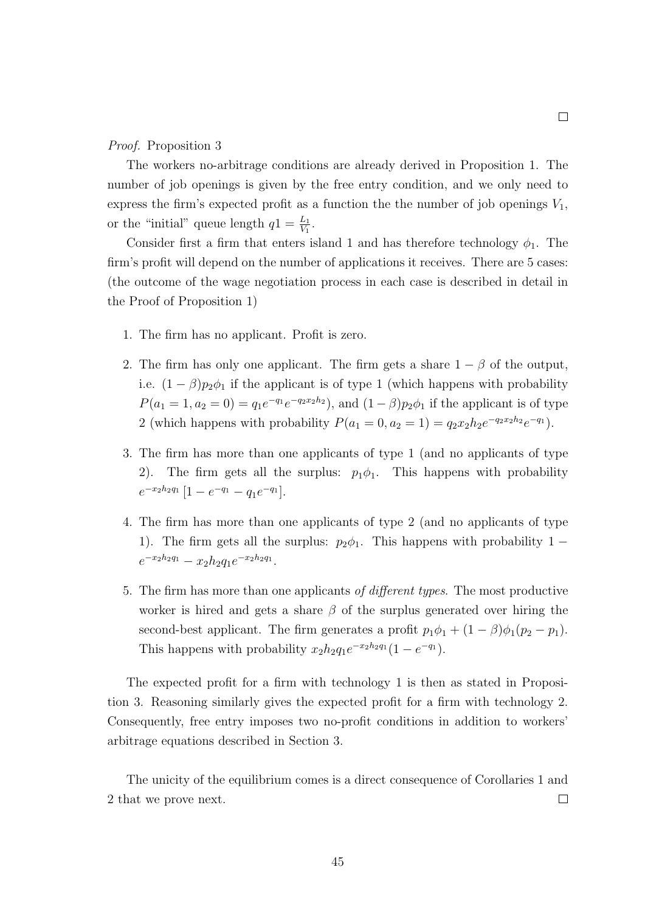#### Proof. Proposition 3

The workers no-arbitrage conditions are already derived in Proposition 1. The number of job openings is given by the free entry condition, and we only need to express the firm's expected profit as a function the the number of job openings  $V_1$ , or the "initial" queue length  $q_1 = \frac{L_1}{V_1}$ .

Consider first a firm that enters island 1 and has therefore technology  $\phi_1$ . The firm's profit will depend on the number of applications it receives. There are 5 cases: (the outcome of the wage negotiation process in each case is described in detail in the Proof of Proposition 1)

- 1. The firm has no applicant. Profit is zero.
- 2. The firm has only one applicant. The firm gets a share  $1 \beta$  of the output, i.e.  $(1 - \beta)p_2\phi_1$  if the applicant is of type 1 (which happens with probability  $P(a_1 = 1, a_2 = 0) = q_1 e^{-q_1} e^{-q_2 x_2 h_2}$ , and  $(1 - \beta) p_2 \phi_1$  if the applicant is of type 2 (which happens with probability  $P(a_1 = 0, a_2 = 1) = q_2 x_2 h_2 e^{-q_2 x_2 h_2} e^{-q_1}$ ).
- 3. The firm has more than one applicants of type 1 (and no applicants of type 2). The firm gets all the surplus:  $p_1\phi_1$ . This happens with probability  $e^{-x_2h_2q_1} [1 - e^{-q_1} - q_1e^{-q_1}].$
- 4. The firm has more than one applicants of type 2 (and no applicants of type 1). The firm gets all the surplus:  $p_2\phi_1$ . This happens with probability 1 −  $e^{-x_2h_2q_1} - x_2h_2q_1e^{-x_2h_2q_1}.$
- 5. The firm has more than one applicants of different types. The most productive worker is hired and gets a share  $\beta$  of the surplus generated over hiring the second-best applicant. The firm generates a profit  $p_1\phi_1 + (1 - \beta)\phi_1(p_2 - p_1)$ . This happens with probability  $x_2h_2q_1e^{-x_2h_2q_1}(1-e^{-q_1}).$

The expected profit for a firm with technology 1 is then as stated in Proposition 3. Reasoning similarly gives the expected profit for a firm with technology 2. Consequently, free entry imposes two no-profit conditions in addition to workers' arbitrage equations described in Section 3.

The unicity of the equilibrium comes is a direct consequence of Corollaries 1 and 2 that we prove next.  $\Box$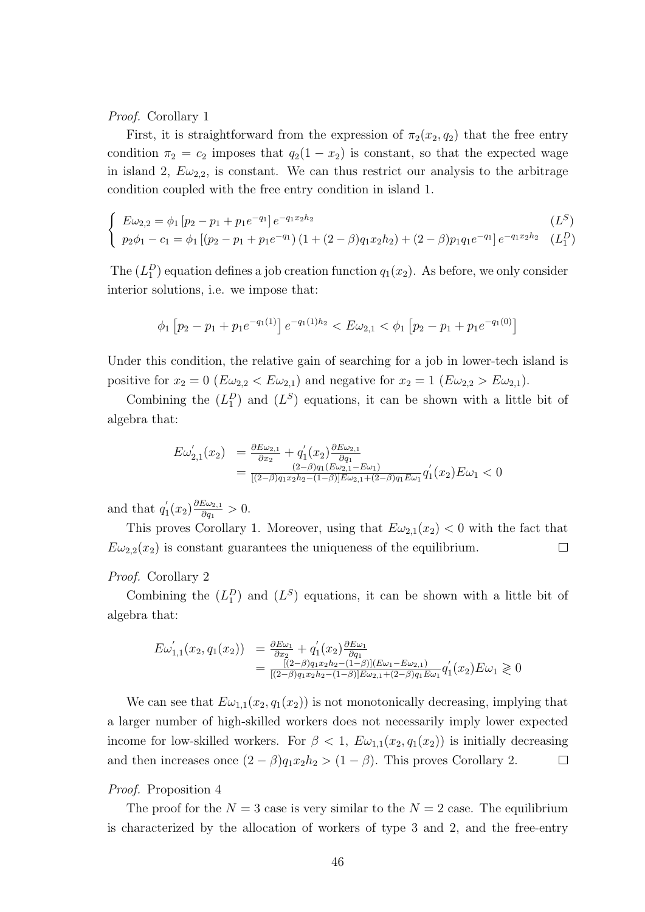Proof. Corollary 1

First, it is straightforward from the expression of  $\pi_2(x_2, q_2)$  that the free entry condition  $\pi_2 = c_2$  imposes that  $q_2(1 - x_2)$  is constant, so that the expected wage in island 2,  $E\omega_{2,2}$ , is constant. We can thus restrict our analysis to the arbitrage condition coupled with the free entry condition in island 1.

$$
\begin{cases}\nE\omega_{2,2} = \phi_1 \left[ p_2 - p_1 + p_1 e^{-q_1} \right] e^{-q_1 x_2 h_2} & (L^S) \\
p_2 \phi_1 - c_1 = \phi_1 \left[ (p_2 - p_1 + p_1 e^{-q_1}) \left( 1 + (2 - \beta) q_1 x_2 h_2 \right) + (2 - \beta) p_1 q_1 e^{-q_1} \right] e^{-q_1 x_2 h_2} & (L_1^D)\n\end{cases}
$$

The  $(L_1^D)$  equation defines a job creation function  $q_1(x_2)$ . As before, we only consider interior solutions, i.e. we impose that:

$$
\phi_1 \left[ p_2 - p_1 + p_1 e^{-q_1(1)} \right] e^{-q_1(1)h_2} < E\omega_{2,1} < \phi_1 \left[ p_2 - p_1 + p_1 e^{-q_1(0)} \right]
$$

Under this condition, the relative gain of searching for a job in lower-tech island is positive for  $x_2 = 0$  ( $E\omega_{2,2} < E\omega_{2,1}$ ) and negative for  $x_2 = 1$  ( $E\omega_{2,2} > E\omega_{2,1}$ ).

Combining the  $(L_1^D)$  and  $(L^S)$  equations, it can be shown with a little bit of algebra that:

$$
E\omega'_{2,1}(x_2) = \frac{\partial E\omega_{2,1}}{\partial x_2} + q'_1(x_2) \frac{\partial E\omega_{2,1}}{\partial q_1} = \frac{(2-\beta)q_1(E\omega_{2,1} - E\omega_1)}{[(2-\beta)q_1x_2h_2 - (1-\beta)]E\omega_{2,1} + (2-\beta)q_1E\omega_1} q'_1(x_2)E\omega_1 < 0
$$

and that  $q_1'$  $y_1'(x_2)\frac{\partial E\omega_{2,1}}{\partial q_1}$  $\frac{\partial \omega_{2,1}}{\partial q_1} > 0.$ 

This proves Corollary 1. Moreover, using that  $E\omega_{2,1}(x_2) < 0$  with the fact that  $E\omega_{2,2}(x_2)$  is constant guarantees the uniqueness of the equilibrium.  $\Box$ 

#### Proof. Corollary 2

Combining the  $(L_1^D)$  and  $(L^S)$  equations, it can be shown with a little bit of algebra that:

$$
E\omega'_{1,1}(x_2, q_1(x_2)) = \frac{\partial E\omega_1}{\partial x_2} + q'_1(x_2) \frac{\partial E\omega_1}{\partial q_1}
$$
  
= 
$$
\frac{[(2-\beta)q_1x_2h_2 - (1-\beta)](E\omega_1 - E\omega_{2,1})}{[(2-\beta)q_1x_2h_2 - (1-\beta)]E\omega_{2,1} + (2-\beta)q_1E\omega_1} q'_1(x_2)E\omega_1 \ge 0
$$

We can see that  $E\omega_{1,1}(x_2, q_1(x_2))$  is not monotonically decreasing, implying that a larger number of high-skilled workers does not necessarily imply lower expected income for low-skilled workers. For  $\beta < 1$ ,  $E\omega_{1,1}(x_2, q_1(x_2))$  is initially decreasing and then increases once  $(2 - \beta)q_1x_2h_2 > (1 - \beta)$ . This proves Corollary 2.  $\Box$ 

#### Proof. Proposition 4

The proof for the  $N = 3$  case is very similar to the  $N = 2$  case. The equilibrium is characterized by the allocation of workers of type 3 and 2, and the free-entry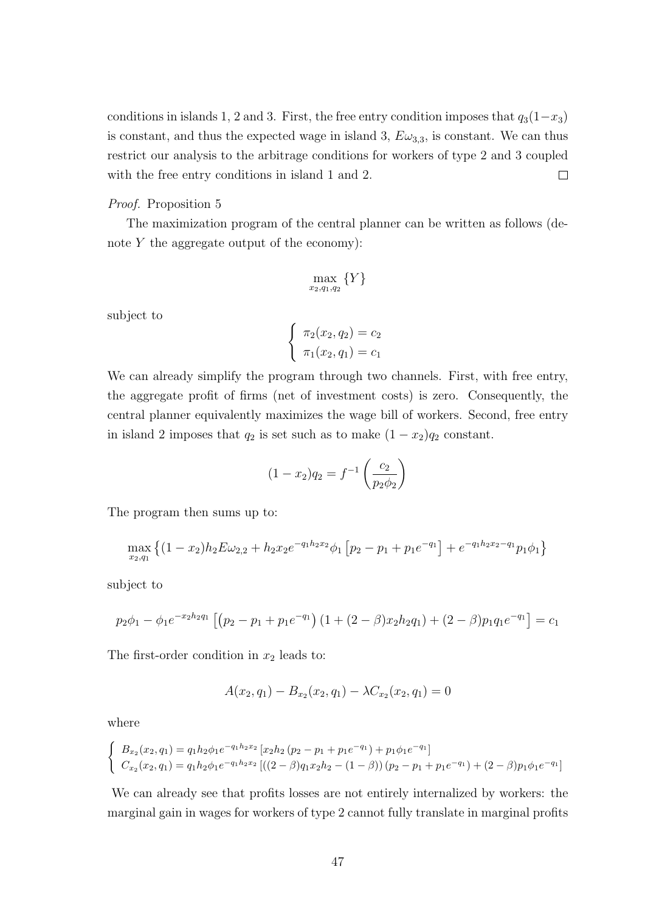conditions in islands 1, 2 and 3. First, the free entry condition imposes that  $q_3(1-x_3)$ is constant, and thus the expected wage in island 3,  $E\omega_{3,3}$ , is constant. We can thus restrict our analysis to the arbitrage conditions for workers of type 2 and 3 coupled with the free entry conditions in island 1 and 2.  $\Box$ 

# Proof. Proposition 5

The maximization program of the central planner can be written as follows (denote  $Y$  the aggregate output of the economy):

$$
\max_{x_2,q_1,q_2} \{Y\}
$$

subject to

$$
\begin{cases} \pi_2(x_2, q_2) = c_2 \\ \pi_1(x_2, q_1) = c_1 \end{cases}
$$

We can already simplify the program through two channels. First, with free entry, the aggregate profit of firms (net of investment costs) is zero. Consequently, the central planner equivalently maximizes the wage bill of workers. Second, free entry in island 2 imposes that  $q_2$  is set such as to make  $(1 - x_2)q_2$  constant.

$$
(1 - x_2)q_2 = f^{-1}\left(\frac{c_2}{p_2 \phi_2}\right)
$$

The program then sums up to:

$$
\max_{x_2,q_1} \left\{ (1-x_2)h_2 E \omega_{2,2} + h_2 x_2 e^{-q_1 h_2 x_2} \phi_1 \left[ p_2 - p_1 + p_1 e^{-q_1} \right] + e^{-q_1 h_2 x_2 - q_1} p_1 \phi_1 \right\}
$$

subject to

$$
p_2\phi_1 - \phi_1 e^{-x_2h_2q_1} \left[ \left( p_2 - p_1 + p_1 e^{-q_1} \right) \left( 1 + (2 - \beta)x_2h_2q_1 \right) + (2 - \beta)p_1q_1e^{-q_1} \right] = c_1
$$

The first-order condition in  $x_2$  leads to:

$$
A(x_2, q_1) - B_{x_2}(x_2, q_1) - \lambda C_{x_2}(x_2, q_1) = 0
$$

where

$$
\begin{cases}\nB_{x_2}(x_2, q_1) = q_1 h_2 \phi_1 e^{-q_1 h_2 x_2} \left[ x_2 h_2 \left( p_2 - p_1 + p_1 e^{-q_1} \right) + p_1 \phi_1 e^{-q_1} \right] \\
C_{x_2}(x_2, q_1) = q_1 h_2 \phi_1 e^{-q_1 h_2 x_2} \left[ \left( \left( 2 - \beta \right) q_1 x_2 h_2 - \left( 1 - \beta \right) \right) \left( p_2 - p_1 + p_1 e^{-q_1} \right) + \left( 2 - \beta \right) p_1 \phi_1 e^{-q_1} \right]\n\end{cases}
$$

We can already see that profits losses are not entirely internalized by workers: the marginal gain in wages for workers of type 2 cannot fully translate in marginal profits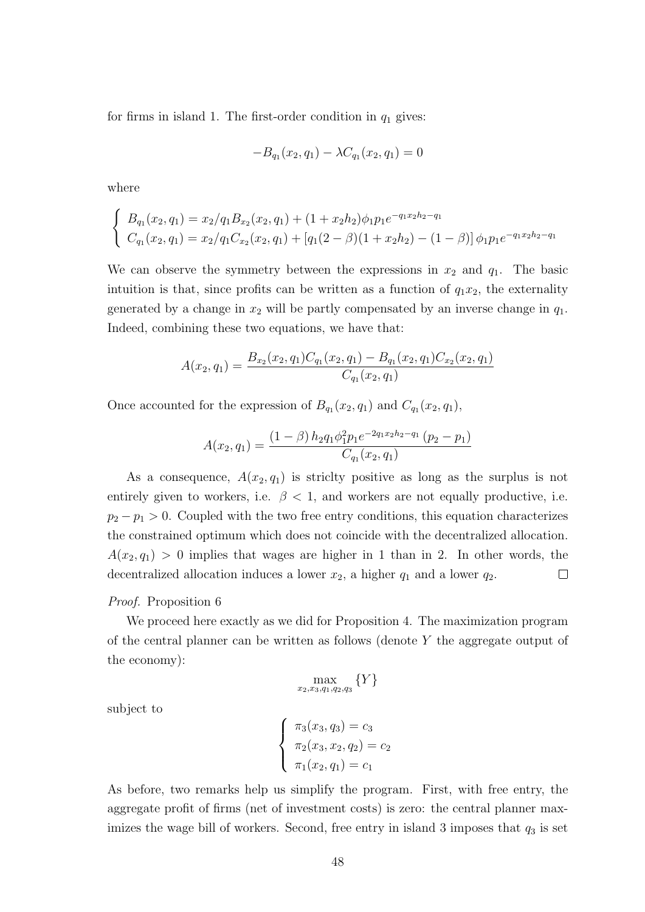for firms in island 1. The first-order condition in  $q_1$  gives:

$$
-B_{q_1}(x_2, q_1) - \lambda C_{q_1}(x_2, q_1) = 0
$$

where

$$
\begin{cases}\nB_{q_1}(x_2, q_1) = x_2/q_1B_{x_2}(x_2, q_1) + (1 + x_2h_2)\phi_1p_1e^{-q_1x_2h_2 - q_1} \\
C_{q_1}(x_2, q_1) = x_2/q_1C_{x_2}(x_2, q_1) + [q_1(2 - \beta)(1 + x_2h_2) - (1 - \beta)]\phi_1p_1e^{-q_1x_2h_2 - q_1}\n\end{cases}
$$

We can observe the symmetry between the expressions in  $x_2$  and  $q_1$ . The basic intuition is that, since profits can be written as a function of  $q_1x_2$ , the externality generated by a change in  $x_2$  will be partly compensated by an inverse change in  $q_1$ . Indeed, combining these two equations, we have that:

$$
A(x_2, q_1) = \frac{B_{x_2}(x_2, q_1)C_{q_1}(x_2, q_1) - B_{q_1}(x_2, q_1)C_{x_2}(x_2, q_1)}{C_{q_1}(x_2, q_1)}
$$

Once accounted for the expression of  $B_{q_1}(x_2, q_1)$  and  $C_{q_1}(x_2, q_1)$ ,

$$
A(x_2, q_1) = \frac{(1 - \beta) h_2 q_1 \phi_1^2 p_1 e^{-2q_1 x_2 h_2 - q_1} (p_2 - p_1)}{C_{q_1}(x_2, q_1)}
$$

As a consequence,  $A(x_2, q_1)$  is strictly positive as long as the surplus is not entirely given to workers, i.e.  $\beta$  < 1, and workers are not equally productive, i.e.  $p_2 - p_1 > 0$ . Coupled with the two free entry conditions, this equation characterizes the constrained optimum which does not coincide with the decentralized allocation.  $A(x_2, q_1) > 0$  implies that wages are higher in 1 than in 2. In other words, the decentralized allocation induces a lower  $x_2$ , a higher  $q_1$  and a lower  $q_2$ .  $\Box$ 

#### Proof. Proposition 6

We proceed here exactly as we did for Proposition 4. The maximization program of the central planner can be written as follows (denote  $Y$  the aggregate output of the economy):

$$
\max_{x_2, x_3, q_1, q_2, q_3} \{Y\}
$$

subject to

$$
\begin{cases}\n\pi_3(x_3, q_3) = c_3 \\
\pi_2(x_3, x_2, q_2) = c_2 \\
\pi_1(x_2, q_1) = c_1\n\end{cases}
$$

As before, two remarks help us simplify the program. First, with free entry, the aggregate profit of firms (net of investment costs) is zero: the central planner maximizes the wage bill of workers. Second, free entry in island 3 imposes that  $q_3$  is set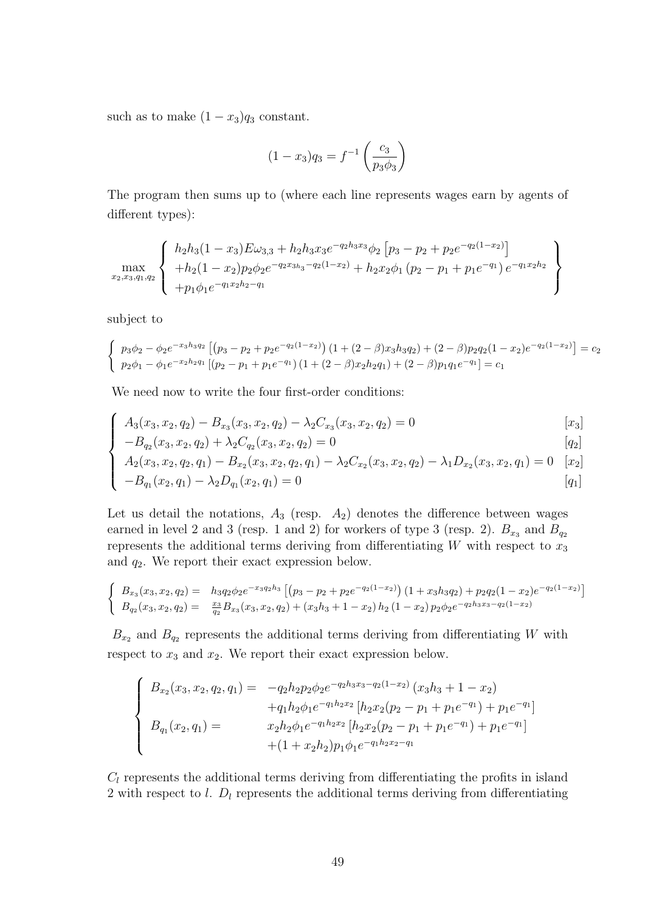such as to make  $(1 - x_3)q_3$  constant.

$$
(1 - x_3)q_3 = f^{-1}\left(\frac{c_3}{p_3 \phi_3}\right)
$$

The program then sums up to (where each line represents wages earn by agents of different types):

$$
\max_{x_2,x_3,q_1,q_2} \left\{\n\begin{array}{l}\nh_2h_3(1-x_3)E\omega_{3,3} + h_2h_3x_3e^{-q_2h_3x_3}\phi_2\left[p_3 - p_2 + p_2e^{-q_2(1-x_2)}\right] \\
+h_2(1-x_2)p_2\phi_2e^{-q_2x_{3h_3}-q_2(1-x_2)} + h_2x_2\phi_1\left(p_2 - p_1 + p_1e^{-q_1}\right)e^{-q_1x_2h_2} \\
+p_1\phi_1e^{-q_1x_2h_2-q_1}\n\end{array}\n\right\}
$$

subject to

$$
\begin{cases}\n p_3\phi_2 - \phi_2 e^{-x_3h_3q_2} \left[ (p_3 - p_2 + p_2 e^{-q_2(1-x_2)}) (1 + (2-\beta)x_3h_3q_2) + (2-\beta)p_2q_2(1-x_2)e^{-q_2(1-x_2)} \right] = c_2 \\
 p_2\phi_1 - \phi_1 e^{-x_2h_2q_1} \left[ (p_2 - p_1 + p_1 e^{-q_1}) (1 + (2-\beta)x_2h_2q_1) + (2-\beta)p_1q_1e^{-q_1} \right] = c_1\n\end{cases}
$$

We need now to write the four first-order conditions:

$$
\begin{cases}\nA_3(x_3, x_2, q_2) - B_{x_3}(x_3, x_2, q_2) - \lambda_2 C_{x_3}(x_3, x_2, q_2) = 0 \\
-B_{q_2}(x_3, x_2, q_2) + \lambda_2 C_{q_2}(x_3, x_2, q_2) = 0\n\end{cases}
$$
\n[x<sub>3</sub>]\n
$$
[x_3]
$$
\n[12]

$$
-B_{q_2}(x_3, x_2, q_2) + \lambda_2 C_{q_2}(x_3, x_2, q_2) = 0
$$
\n
$$
[q_2]
$$

$$
\begin{cases}\nA_2(x_3, x_2, q_2, q_1) - B_{x_2}(x_3, x_2, q_2, q_1) - \lambda_2 C_{x_2}(x_3, x_2, q_2) - \lambda_1 D_{x_2}(x_3, x_2, q_1) = 0 & [x_2] \\
-B_{q_1}(x_2, q_1) - \lambda_2 D_{q_1}(x_2, q_1) = 0 & [q_1]\n\end{cases}
$$

Let us detail the notations,  $A_3$  (resp.  $A_2$ ) denotes the difference between wages earned in level 2 and 3 (resp. 1 and 2) for workers of type 3 (resp. 2).  $B_{x_3}$  and  $B_{q_2}$ represents the additional terms deriving from differentiating  $W$  with respect to  $x_3$ and  $q_2$ . We report their exact expression below.

$$
\begin{cases}\nB_{x_3}(x_3, x_2, q_2) = h_3 q_2 \phi_2 e^{-x_3 q_2 h_3} \left[ \left( p_3 - p_2 + p_2 e^{-q_2(1-x_2)} \right) \left( 1 + x_3 h_3 q_2 \right) + p_2 q_2 (1-x_2) e^{-q_2(1-x_2)} \right] \\
B_{q_2}(x_3, x_2, q_2) = \frac{x_3}{q_2} B_{x_3}(x_3, x_2, q_2) + (x_3 h_3 + 1 - x_2) h_2 (1-x_2) p_2 \phi_2 e^{-q_2 h_3 x_3 - q_2(1-x_2)}\n\end{cases}
$$

 $B_{x_2}$  and  $B_{q_2}$  represents the additional terms deriving from differentiating W with respect to  $x_3$  and  $x_2$ . We report their exact expression below.

$$
\begin{cases}\nB_{x_2}(x_3, x_2, q_2, q_1) = -q_2 h_2 p_2 \phi_2 e^{-q_2 h_3 x_3 - q_2(1 - x_2)} (x_3 h_3 + 1 - x_2) \\
+ q_1 h_2 \phi_1 e^{-q_1 h_2 x_2} [h_2 x_2 (p_2 - p_1 + p_1 e^{-q_1}) + p_1 e^{-q_1}] \\
B_{q_1}(x_2, q_1) = x_2 h_2 \phi_1 e^{-q_1 h_2 x_2} [h_2 x_2 (p_2 - p_1 + p_1 e^{-q_1}) + p_1 e^{-q_1}] \\
+ (1 + x_2 h_2) p_1 \phi_1 e^{-q_1 h_2 x_2 - q_1}\n\end{cases}
$$

 $C_l$  represents the additional terms deriving from differentiating the profits in island 2 with respect to  $l$ .  $D_l$  represents the additional terms deriving from differentiating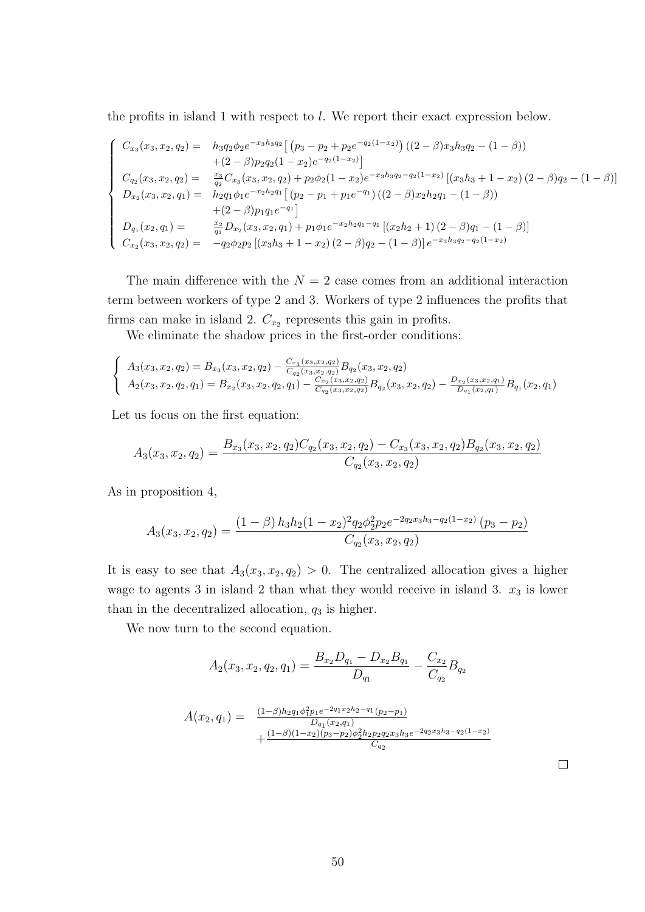the profits in island 1 with respect to l. We report their exact expression below.

$$
\begin{cases}\nC_{x_3}(x_3, x_2, q_2) = h_{3}q_{2}\phi_{2}e^{-x_{3}h_{3}q_{2}} \left[ (p_3 - p_2 + p_2e^{-q_2(1-x_2)}) \left( (2-\beta)x_{3}h_{3}q_{2} - (1-\beta) \right) \right. \\
\left. + (2-\beta)p_{2}q_{2}(1-x_{2})e^{-q_{2}(1-x_{2})} \right] \\
C_{q_2}(x_3, x_2, q_2) = \frac{x_3}{q_2} C_{x_3}(x_3, x_2, q_2) + p_{2}\phi_{2}(1-x_{2})e^{-x_{3}h_{3}q_{2}-q_{2}(1-x_{2})} \left[ (x_{3}h_{3} + 1 - x_{2}) (2-\beta)q_{2} - (1-\beta) \right] \\
D_{x_2}(x_3, x_2, q_1) = h_{2}q_{1}\phi_{1}e^{-x_{2}h_{2}q_{1}} \left[ (p_2 - p_1 + p_1e^{-q_1}) \left( (2-\beta)x_{2}h_{2}q_{1} - (1-\beta) \right) \right. \\
\left. + (2-\beta)p_{1}q_{1}e^{-q_{1}} \right] \\
D_{q_1}(x_2, q_1) = \frac{x_2}{q_1} D_{x_2}(x_3, x_2, q_1) + p_{1}\phi_{1}e^{-x_{2}h_{2}q_{1}-q_{1}} \left[ (x_{2}h_{2} + 1) (2-\beta)q_{1} - (1-\beta) \right] \\
C_{x_2}(x_3, x_2, q_2) = -q_{2}\phi_{2}p_{2} \left[ (x_{3}h_{3} + 1 - x_{2}) (2-\beta)q_{2} - (1-\beta) \right] e^{-x_{3}h_{3}q_{2}-q_{2}(1-x_{2})}\n\end{cases}
$$

The main difference with the  $N = 2$  case comes from an additional interaction term between workers of type 2 and 3. Workers of type 2 influences the profits that firms can make in island 2.  $C_{x_2}$  represents this gain in profits.

We eliminate the shadow prices in the first-order conditions:

$$
\begin{cases}\nA_3(x_3, x_2, q_2) = B_{x_3}(x_3, x_2, q_2) - \frac{C_{x_3}(x_3, x_2, q_2)}{C_{q_2}(x_3, x_2, q_2)} B_{q_2}(x_3, x_2, q_2) \\
A_2(x_3, x_2, q_2, q_1) = B_{x_2}(x_3, x_2, q_2, q_1) - \frac{C_{x_2}(x_3, x_2, q_2)}{C_{q_2}(x_3, x_2, q_2)} B_{q_2}(x_3, x_2, q_2) - \frac{D_{x_2}(x_3, x_2, q_1)}{D_{q_1}(x_2, q_1)} B_{q_1}(x_2, q_1)\n\end{cases}
$$

Let us focus on the first equation:

$$
A_3(x_3, x_2, q_2) = \frac{B_{x_3}(x_3, x_2, q_2)C_{q_2}(x_3, x_2, q_2) - C_{x_3}(x_3, x_2, q_2)B_{q_2}(x_3, x_2, q_2)}{C_{q_2}(x_3, x_2, q_2)}
$$

As in proposition 4,

$$
A_3(x_3, x_2, q_2) = \frac{(1 - \beta) h_3 h_2 (1 - x_2)^2 q_2 \phi_2^2 p_2 e^{-2q_2 x_3 h_3 - q_2 (1 - x_2)} (p_3 - p_2)}{C_{q_2}(x_3, x_2, q_2)}
$$

It is easy to see that  $A_3(x_3, x_2, q_2) > 0$ . The centralized allocation gives a higher wage to agents 3 in island 2 than what they would receive in island 3.  $x_3$  is lower than in the decentralized allocation,  $q_3$  is higher.

We now turn to the second equation.

$$
A_2(x_3, x_2, q_2, q_1) = \frac{B_{x_2}D_{q_1} - D_{x_2}B_{q_1}}{D_{q_1}} - \frac{C_{x_2}}{C_{q_2}}B_{q_2}
$$

$$
A(x_2, q_1) = \frac{(1-\beta)h_2 q_1 \phi_1^2 p_1 e^{-2q_1 x_2 h_2 - q_1} (p_2 - p_1)}{D_{q_1}(x_2, q_1)} + \frac{(1-\beta)(1-x_2)(p_3 - p_2)\phi_2^2 h_2 p_2 q_2 x_3 h_3 e^{-2q_2 x_3 h_3 - q_2(1-x_2)}}{C_{q_2}}
$$

 $\Box$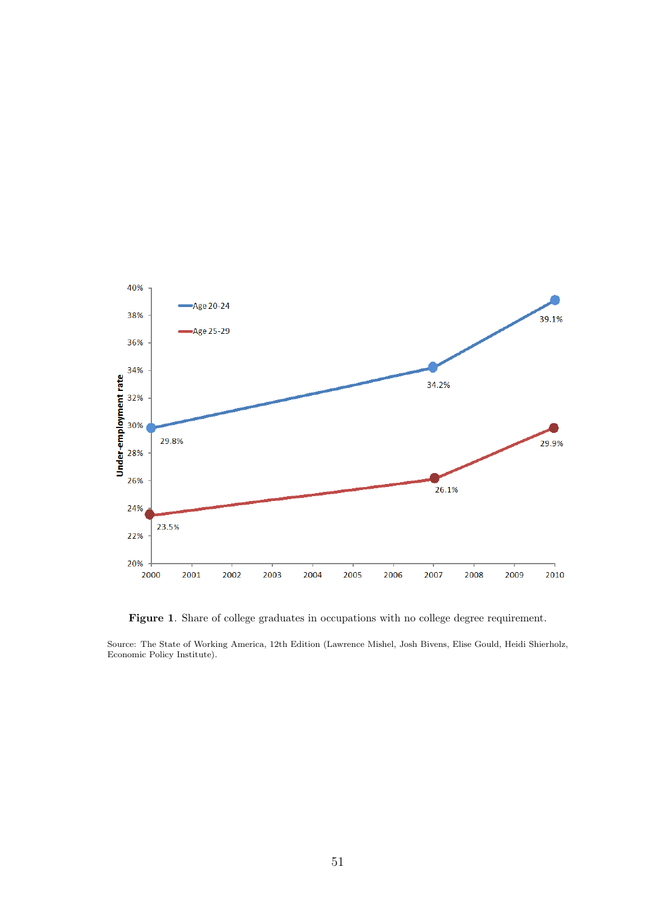

Figure 1. Share of college graduates in occupations with no college degree requirement.

Source: The State of Working America, 12th Edition (Lawrence Mishel, Josh Bivens, Elise Gould, Heidi Shierholz, Economic Policy Institute).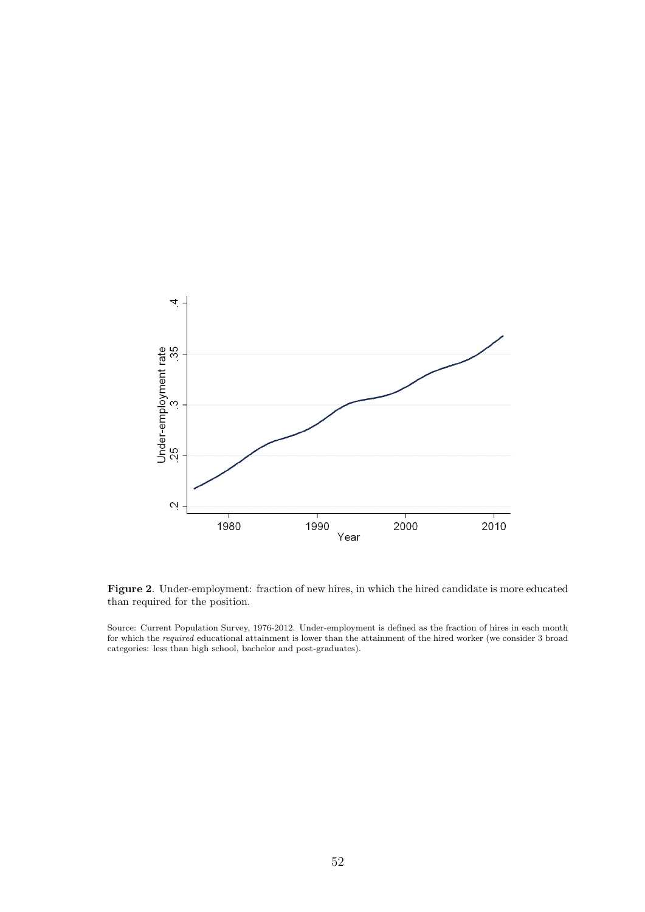

Figure 2. Under-employment: fraction of new hires, in which the hired candidate is more educated than required for the position.

Source: Current Population Survey, 1976-2012. Under-employment is defined as the fraction of hires in each month for which the required educational attainment is lower than the attainment of the hired worker (we consider 3 broad categories: less than high school, bachelor and post-graduates).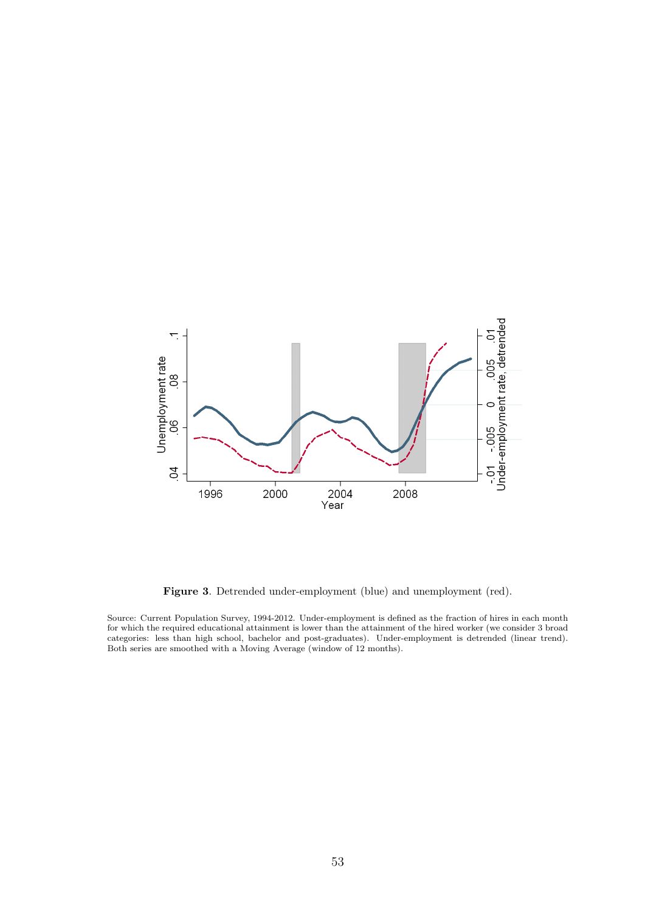

Figure 3. Detrended under-employment (blue) and unemployment (red).

Source: Current Population Survey, 1994-2012. Under-employment is defined as the fraction of hires in each month for which the required educational attainment is lower than the attainment of the hired worker (we consider 3 broad categories: less than high school, bachelor and post-graduates). Under-employment is detrended (linear trend). Both series are smoothed with a Moving Average (window of 12 months).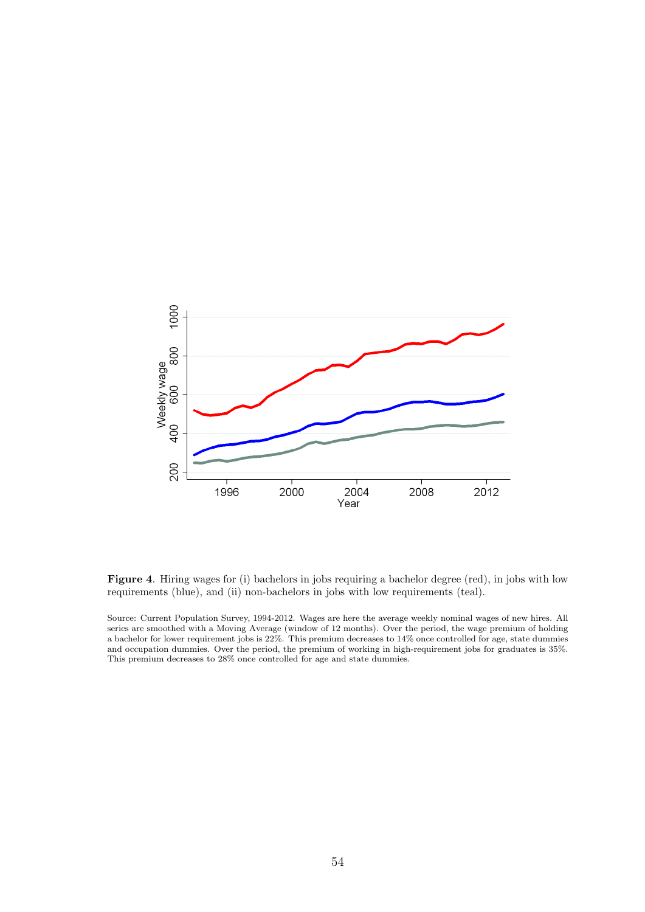

Figure 4. Hiring wages for (i) bachelors in jobs requiring a bachelor degree (red), in jobs with low requirements (blue), and (ii) non-bachelors in jobs with low requirements (teal).

Source: Current Population Survey, 1994-2012. Wages are here the average weekly nominal wages of new hires. All series are smoothed with a Moving Average (window of 12 months). Over the period, the wage premium of holding a bachelor for lower requirement jobs is 22%. This premium decreases to 14% once controlled for age, state dummies and occupation dummies. Over the period, the premium of working in high-requirement jobs for graduates is 35%. This premium decreases to 28% once controlled for age and state dummies.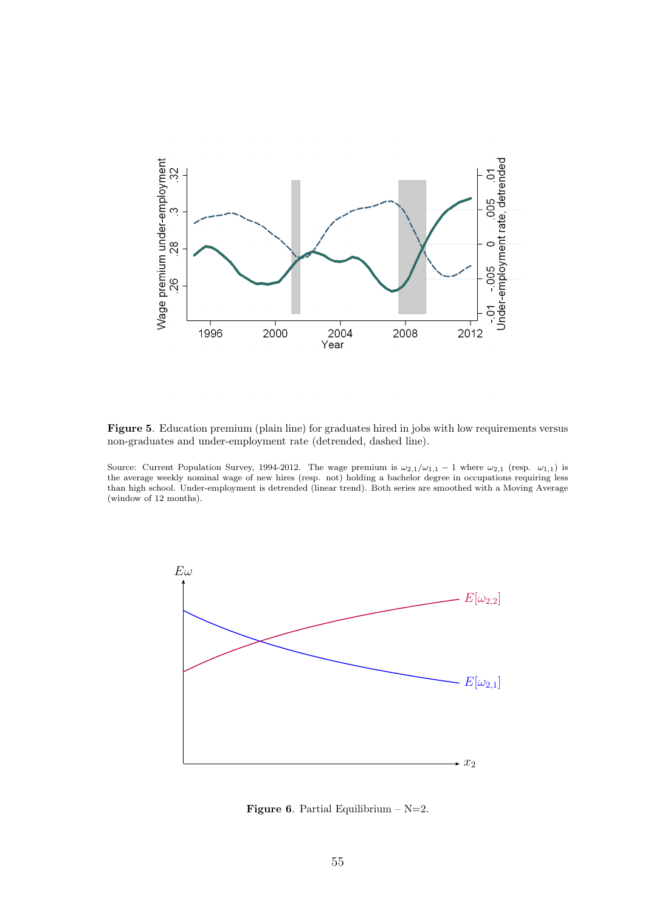

Figure 5. Education premium (plain line) for graduates hired in jobs with low requirements versus non-graduates and under-employment rate (detrended, dashed line).

Source: Current Population Survey, 1994-2012. The wage premium is  $\omega_{2,1}/\omega_{1,1} - 1$  where  $\omega_{2,1}$  (resp.  $\omega_{1,1}$ ) is the average weekly nominal wage of new hires (resp. not) holding a bachelor degree in occupations requiring less than high school. Under-employment is detrended (linear trend). Both series are smoothed with a Moving Average (window of 12 months).



**Figure 6.** Partial Equilibrium –  $N=2$ .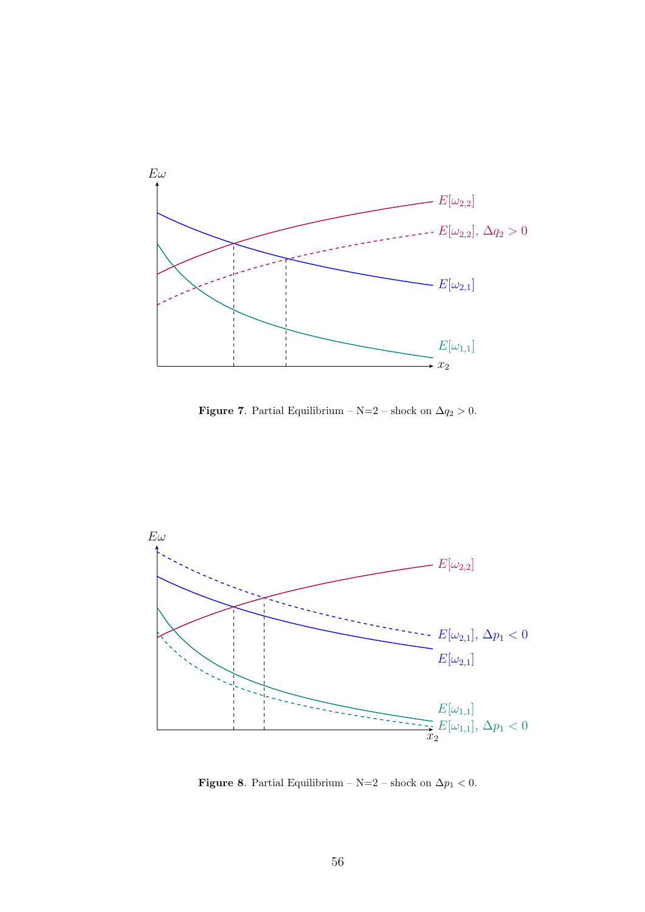

Figure 7. Partial Equilibrium – N=2 – shock on  $\Delta q_2 > 0$ .



Figure 8. Partial Equilibrium – N=2 – shock on  $\Delta p_1 < 0$ .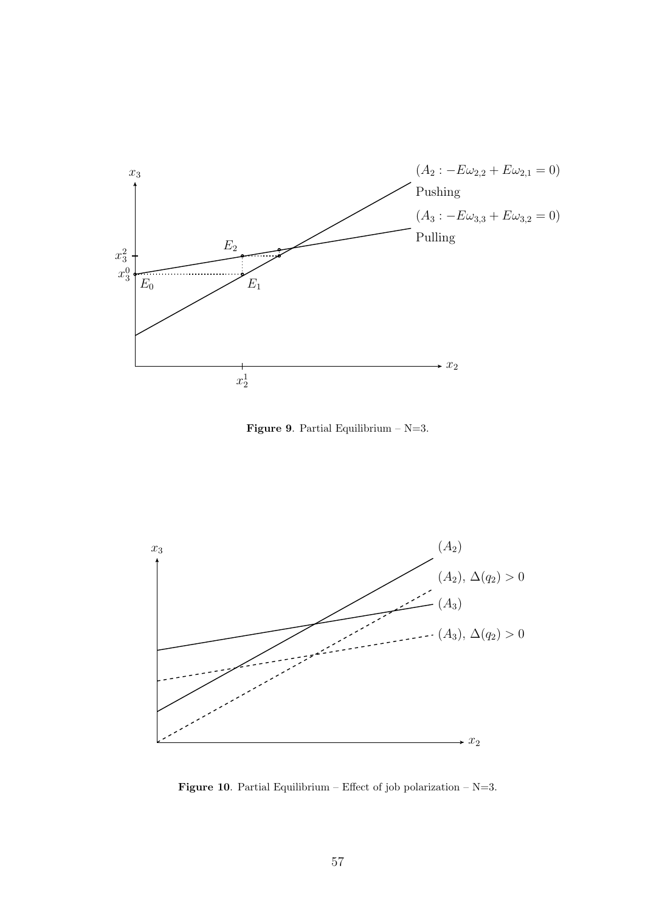

**Figure 9.** Partial Equilibrium –  $N=3$ .



Figure 10. Partial Equilibrium – Effect of job polarization –  $N=3$ .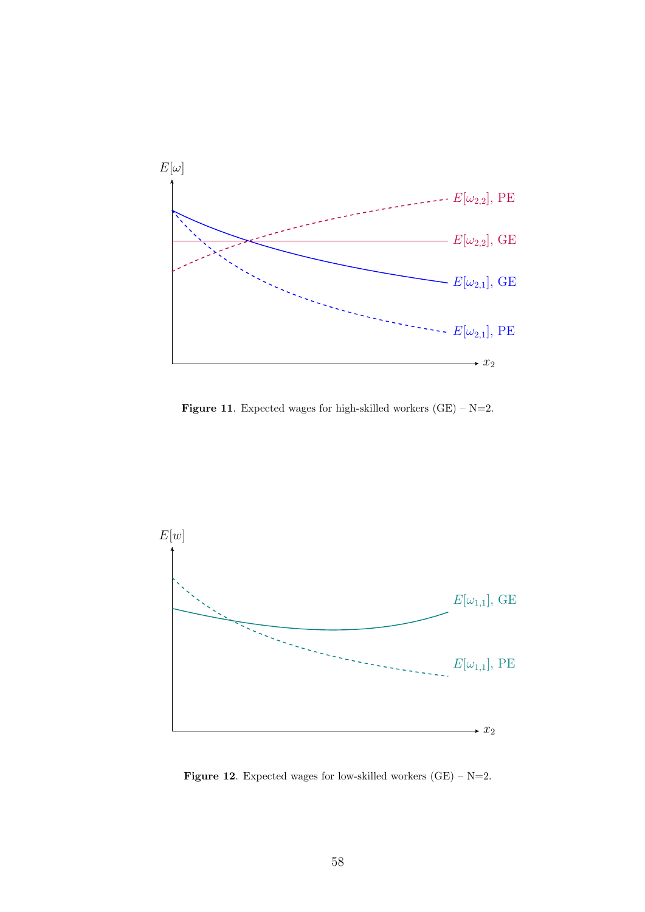

**Figure 11.** Expected wages for high-skilled workers  $(GE) - N=2$ .



**Figure 12.** Expected wages for low-skilled workers  $(GE) - N=2$ .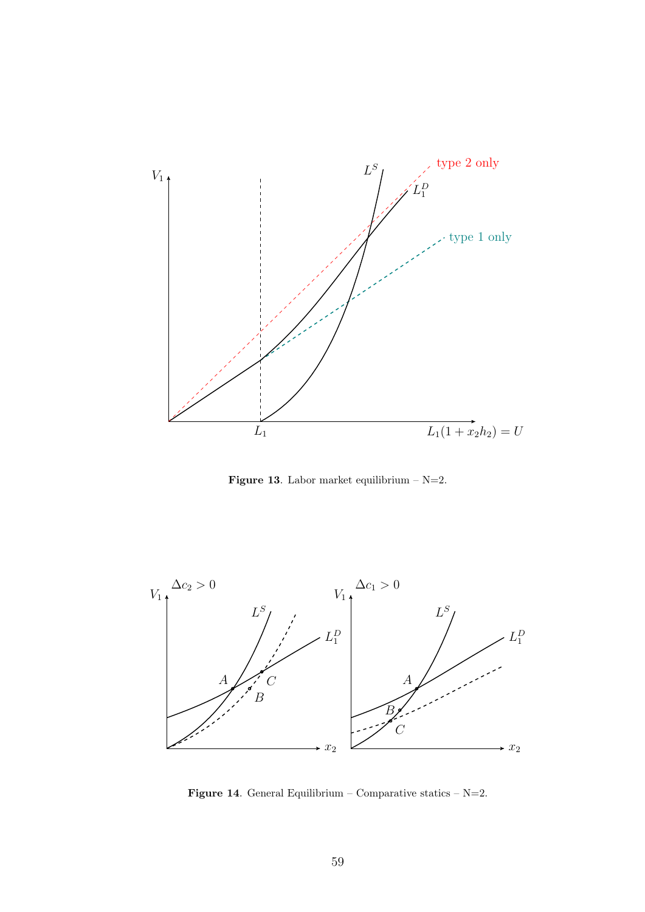

Figure 13. Labor market equilibrium –  $N=2$ .



Figure 14. General Equilibrium – Comparative statics –  $N=2$ .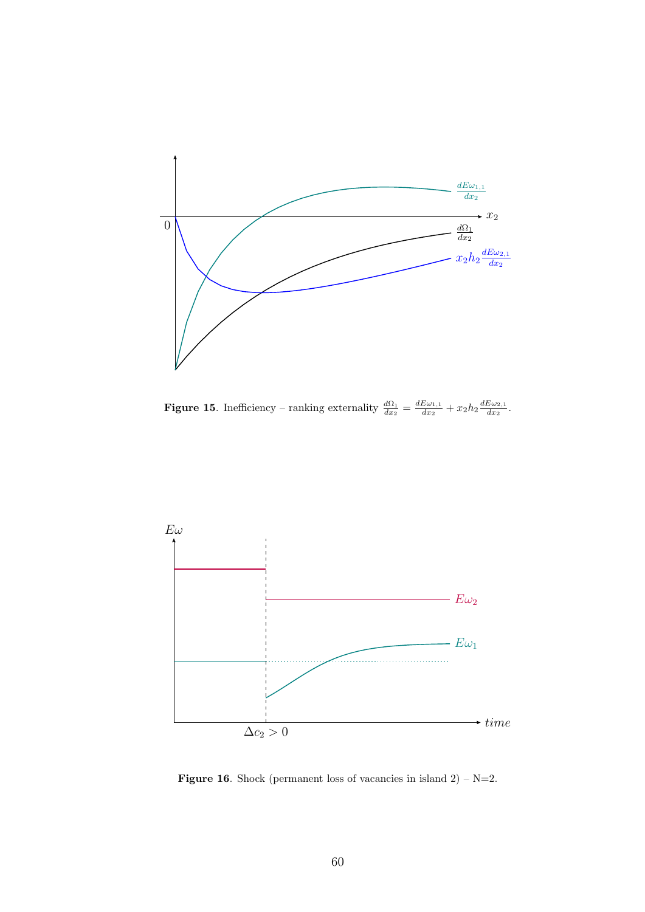

**Figure 15.** Inefficiency – ranking externality  $\frac{d\Omega_1}{dx_2} = \frac{dE\omega_{1,1}}{dx_2}$  $\frac{E\omega_{1,1}}{dx_2}+x_2h_2\frac{dE\omega_{2,1}}{dx_2}$  $\frac{\omega_{2,1}}{dx_2}$ .



**Figure 16.** Shock (permanent loss of vacancies in island  $2$ ) – N=2.